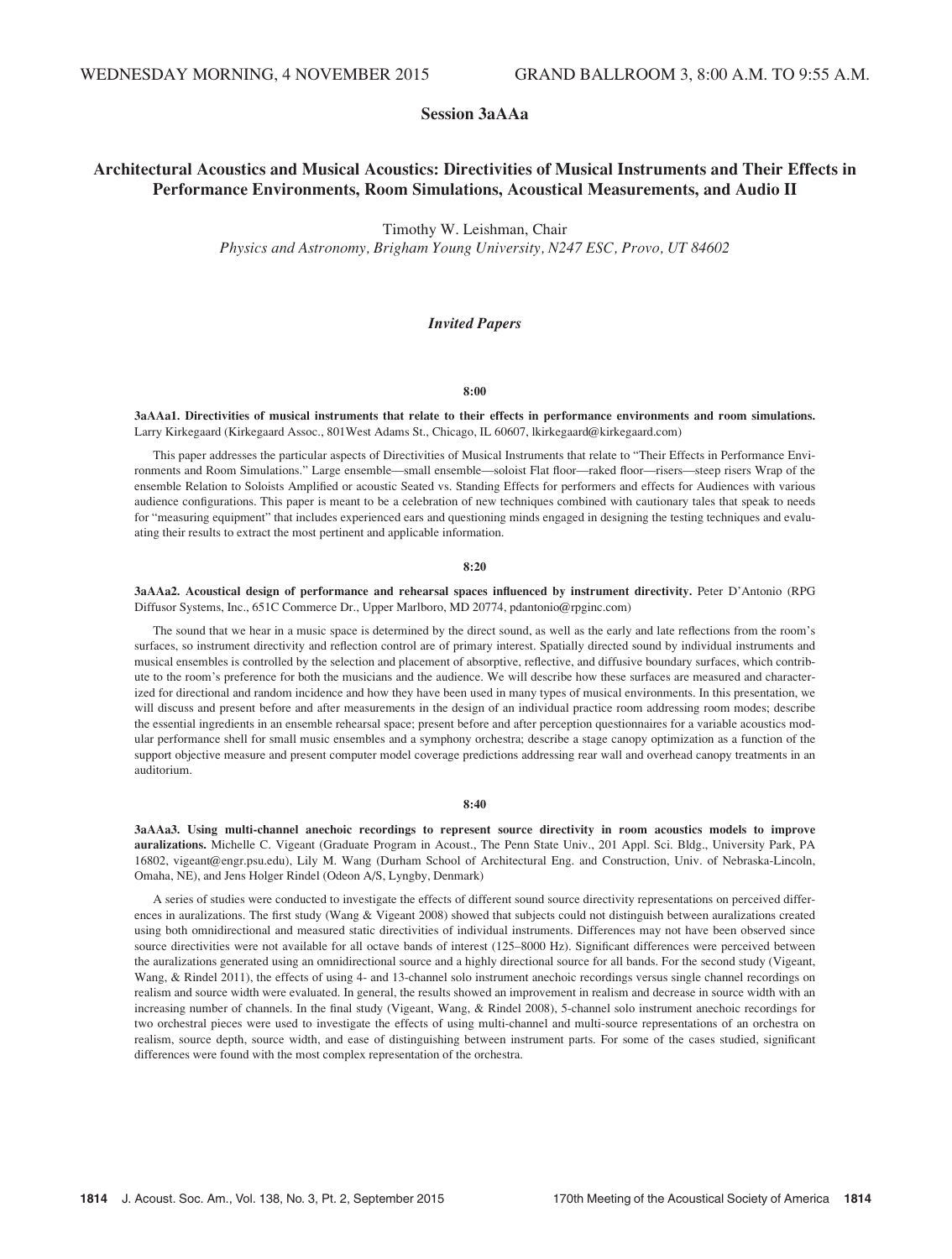# Session 3aAAa

# Architectural Acoustics and Musical Acoustics: Directivities of Musical Instruments and Their Effects in Performance Environments, Room Simulations, Acoustical Measurements, and Audio II

Timothy W. Leishman, Chair

Physics and Astronomy, Brigham Young University, N247 ESC, Provo, UT 84602

# Invited Papers

### 8:00

3aAAa1. Directivities of musical instruments that relate to their effects in performance environments and room simulations. Larry Kirkegaard (Kirkegaard Assoc., 801West Adams St., Chicago, IL 60607, lkirkegaard@kirkegaard.com)

This paper addresses the particular aspects of Directivities of Musical Instruments that relate to "Their Effects in Performance Environments and Room Simulations." Large ensemble—small ensemble—soloist Flat floor—raked floor—risers—steep risers Wrap of the ensemble Relation to Soloists Amplified or acoustic Seated vs. Standing Effects for performers and effects for Audiences with various audience configurations. This paper is meant to be a celebration of new techniques combined with cautionary tales that speak to needs for "measuring equipment" that includes experienced ears and questioning minds engaged in designing the testing techniques and evaluating their results to extract the most pertinent and applicable information.

#### 8:20

3aAAa2. Acoustical design of performance and rehearsal spaces influenced by instrument directivity. Peter D'Antonio (RPG Diffusor Systems, Inc., 651C Commerce Dr., Upper Marlboro, MD 20774, pdantonio@rpginc.com)

The sound that we hear in a music space is determined by the direct sound, as well as the early and late reflections from the room's surfaces, so instrument directivity and reflection control are of primary interest. Spatially directed sound by individual instruments and musical ensembles is controlled by the selection and placement of absorptive, reflective, and diffusive boundary surfaces, which contribute to the room's preference for both the musicians and the audience. We will describe how these surfaces are measured and characterized for directional and random incidence and how they have been used in many types of musical environments. In this presentation, we will discuss and present before and after measurements in the design of an individual practice room addressing room modes; describe the essential ingredients in an ensemble rehearsal space; present before and after perception questionnaires for a variable acoustics modular performance shell for small music ensembles and a symphony orchestra; describe a stage canopy optimization as a function of the support objective measure and present computer model coverage predictions addressing rear wall and overhead canopy treatments in an auditorium.

### 8:40

3aAAa3. Using multi-channel anechoic recordings to represent source directivity in room acoustics models to improve auralizations. Michelle C. Vigeant (Graduate Program in Acoust., The Penn State Univ., 201 Appl. Sci. Bldg., University Park, PA 16802, vigeant@engr.psu.edu), Lily M. Wang (Durham School of Architectural Eng. and Construction, Univ. of Nebraska-Lincoln, Omaha, NE), and Jens Holger Rindel (Odeon A/S, Lyngby, Denmark)

A series of studies were conducted to investigate the effects of different sound source directivity representations on perceived differences in auralizations. The first study (Wang & Vigeant 2008) showed that subjects could not distinguish between auralizations created using both omnidirectional and measured static directivities of individual instruments. Differences may not have been observed since source directivities were not available for all octave bands of interest (125–8000 Hz). Significant differences were perceived between the auralizations generated using an omnidirectional source and a highly directional source for all bands. For the second study (Vigeant, Wang, & Rindel 2011), the effects of using 4- and 13-channel solo instrument anechoic recordings versus single channel recordings on realism and source width were evaluated. In general, the results showed an improvement in realism and decrease in source width with an increasing number of channels. In the final study (Vigeant, Wang, & Rindel 2008), 5-channel solo instrument anechoic recordings for two orchestral pieces were used to investigate the effects of using multi-channel and multi-source representations of an orchestra on realism, source depth, source width, and ease of distinguishing between instrument parts. For some of the cases studied, significant differences were found with the most complex representation of the orchestra.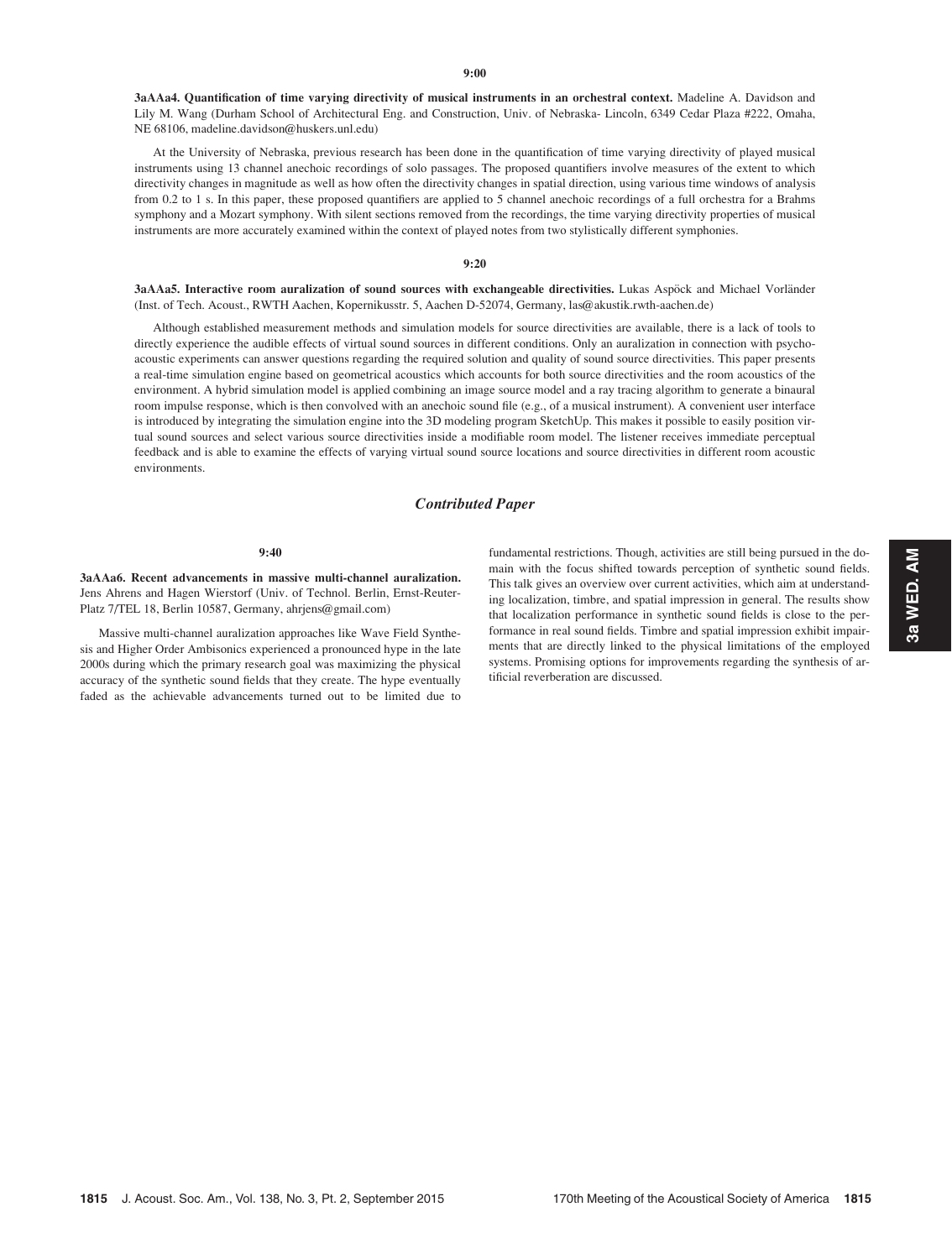3aAAa4. Quantification of time varying directivity of musical instruments in an orchestral context. Madeline A. Davidson and Lily M. Wang (Durham School of Architectural Eng. and Construction, Univ. of Nebraska- Lincoln, 6349 Cedar Plaza #222, Omaha, NE 68106, madeline.davidson@huskers.unl.edu)

At the University of Nebraska, previous research has been done in the quantification of time varying directivity of played musical instruments using 13 channel anechoic recordings of solo passages. The proposed quantifiers involve measures of the extent to which directivity changes in magnitude as well as how often the directivity changes in spatial direction, using various time windows of analysis from 0.2 to 1 s. In this paper, these proposed quantifiers are applied to 5 channel anechoic recordings of a full orchestra for a Brahms symphony and a Mozart symphony. With silent sections removed from the recordings, the time varying directivity properties of musical instruments are more accurately examined within the context of played notes from two stylistically different symphonies.

# 9:20

3aAAa5. Interactive room auralization of sound sources with exchangeable directivities. Lukas Aspöck and Michael Vorländer (Inst. of Tech. Acoust., RWTH Aachen, Kopernikusstr. 5, Aachen D-52074, Germany, las@akustik.rwth-aachen.de)

Although established measurement methods and simulation models for source directivities are available, there is a lack of tools to directly experience the audible effects of virtual sound sources in different conditions. Only an auralization in connection with psychoacoustic experiments can answer questions regarding the required solution and quality of sound source directivities. This paper presents a real-time simulation engine based on geometrical acoustics which accounts for both source directivities and the room acoustics of the environment. A hybrid simulation model is applied combining an image source model and a ray tracing algorithm to generate a binaural room impulse response, which is then convolved with an anechoic sound file (e.g., of a musical instrument). A convenient user interface is introduced by integrating the simulation engine into the 3D modeling program SketchUp. This makes it possible to easily position virtual sound sources and select various source directivities inside a modifiable room model. The listener receives immediate perceptual feedback and is able to examine the effects of varying virtual sound source locations and source directivities in different room acoustic environments.

# Contributed Paper

#### 9:40

3aAAa6. Recent advancements in massive multi-channel auralization. Jens Ahrens and Hagen Wierstorf (Univ. of Technol. Berlin, Ernst-Reuter-Platz 7/TEL 18, Berlin 10587, Germany, ahrjens@gmail.com)

Massive multi-channel auralization approaches like Wave Field Synthesis and Higher Order Ambisonics experienced a pronounced hype in the late 2000s during which the primary research goal was maximizing the physical accuracy of the synthetic sound fields that they create. The hype eventually faded as the achievable advancements turned out to be limited due to fundamental restrictions. Though, activities are still being pursued in the domain with the focus shifted towards perception of synthetic sound fields. This talk gives an overview over current activities, which aim at understanding localization, timbre, and spatial impression in general. The results show that localization performance in synthetic sound fields is close to the performance in real sound fields. Timbre and spatial impression exhibit impairments that are directly linked to the physical limitations of the employed systems. Promising options for improvements regarding the synthesis of artificial reverberation are discussed.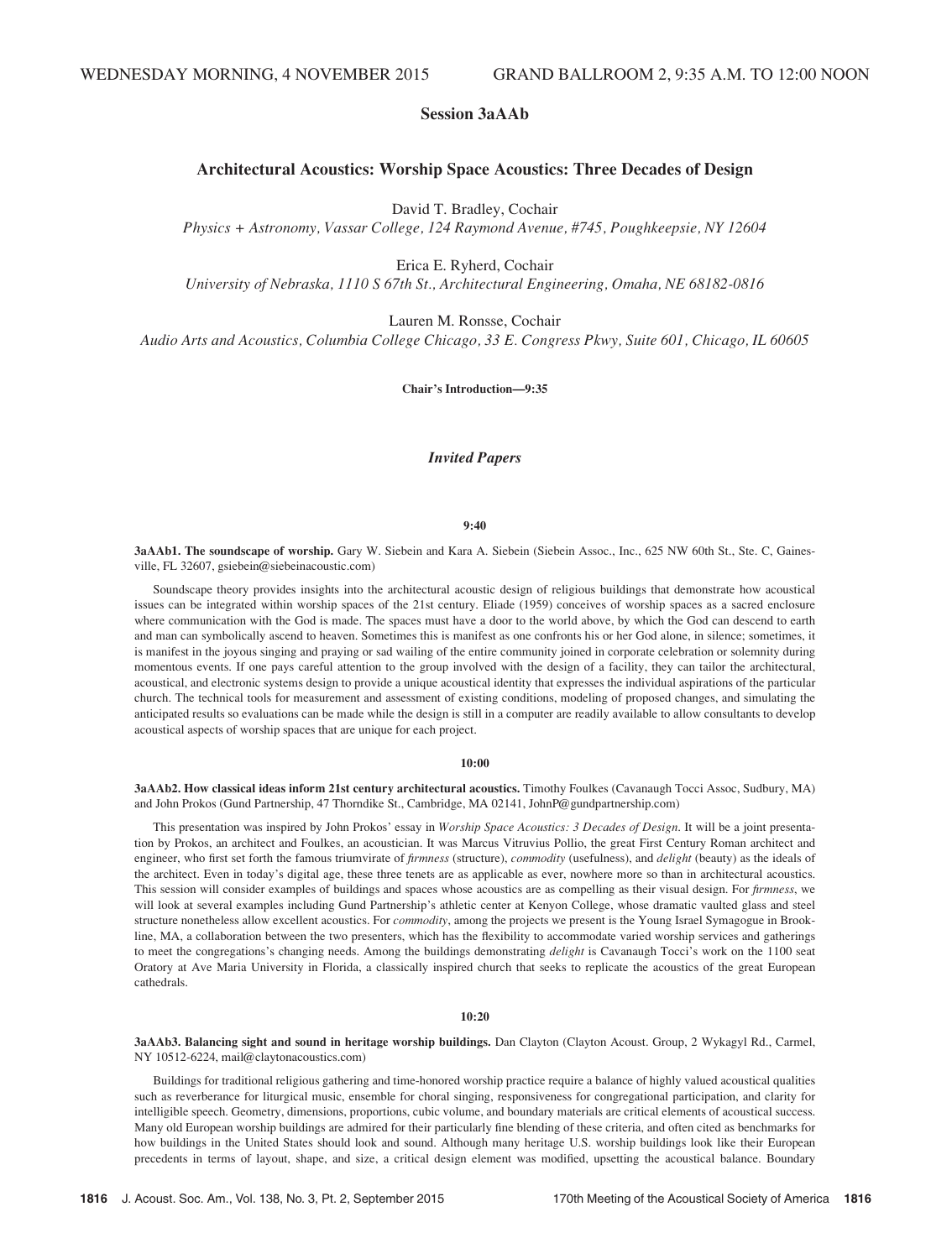# Session 3aAAb

# Architectural Acoustics: Worship Space Acoustics: Three Decades of Design

David T. Bradley, Cochair

Physics + Astronomy, Vassar College, 124 Raymond Avenue, #745, Poughkeepsie, NY 12604

Erica E. Ryherd, Cochair

University of Nebraska, 1110 S 67th St., Architectural Engineering, Omaha, NE 68182-0816

Lauren M. Ronsse, Cochair

Audio Arts and Acoustics, Columbia College Chicago, 33 E. Congress Pkwy, Suite 601, Chicago, IL 60605

Chair's Introduction—9:35

# Invited Papers

### 9:40

3aAAb1. The soundscape of worship. Gary W. Siebein and Kara A. Siebein (Siebein Assoc., Inc., 625 NW 60th St., Ste. C, Gainesville, FL 32607, gsiebein@siebeinacoustic.com)

Soundscape theory provides insights into the architectural acoustic design of religious buildings that demonstrate how acoustical issues can be integrated within worship spaces of the 21st century. Eliade (1959) conceives of worship spaces as a sacred enclosure where communication with the God is made. The spaces must have a door to the world above, by which the God can descend to earth and man can symbolically ascend to heaven. Sometimes this is manifest as one confronts his or her God alone, in silence; sometimes, it is manifest in the joyous singing and praying or sad wailing of the entire community joined in corporate celebration or solemnity during momentous events. If one pays careful attention to the group involved with the design of a facility, they can tailor the architectural, acoustical, and electronic systems design to provide a unique acoustical identity that expresses the individual aspirations of the particular church. The technical tools for measurement and assessment of existing conditions, modeling of proposed changes, and simulating the anticipated results so evaluations can be made while the design is still in a computer are readily available to allow consultants to develop acoustical aspects of worship spaces that are unique for each project.

### 10:00

3aAAb2. How classical ideas inform 21st century architectural acoustics. Timothy Foulkes (Cavanaugh Tocci Assoc, Sudbury, MA) and John Prokos (Gund Partnership, 47 Thorndike St., Cambridge, MA 02141, JohnP@gundpartnership.com)

This presentation was inspired by John Prokos' essay in Worship Space Acoustics: 3 Decades of Design. It will be a joint presentation by Prokos, an architect and Foulkes, an acoustician. It was Marcus Vitruvius Pollio, the great First Century Roman architect and engineer, who first set forth the famous triumvirate of firmness (structure), commodity (usefulness), and delight (beauty) as the ideals of the architect. Even in today's digital age, these three tenets are as applicable as ever, nowhere more so than in architectural acoustics. This session will consider examples of buildings and spaces whose acoustics are as compelling as their visual design. For *firmness*, we will look at several examples including Gund Partnership's athletic center at Kenyon College, whose dramatic vaulted glass and steel structure nonetheless allow excellent acoustics. For *commodity*, among the projects we present is the Young Israel Symagogue in Brookline, MA, a collaboration between the two presenters, which has the flexibility to accommodate varied worship services and gatherings to meet the congregations's changing needs. Among the buildings demonstrating delight is Cavanaugh Tocci's work on the 1100 seat Oratory at Ave Maria University in Florida, a classically inspired church that seeks to replicate the acoustics of the great European cathedrals.

# 10:20

3aAAb3. Balancing sight and sound in heritage worship buildings. Dan Clayton (Clayton Acoust. Group, 2 Wykagyl Rd., Carmel, NY 10512-6224, mail@claytonacoustics.com)

Buildings for traditional religious gathering and time-honored worship practice require a balance of highly valued acoustical qualities such as reverberance for liturgical music, ensemble for choral singing, responsiveness for congregational participation, and clarity for intelligible speech. Geometry, dimensions, proportions, cubic volume, and boundary materials are critical elements of acoustical success. Many old European worship buildings are admired for their particularly fine blending of these criteria, and often cited as benchmarks for how buildings in the United States should look and sound. Although many heritage U.S. worship buildings look like their European precedents in terms of layout, shape, and size, a critical design element was modified, upsetting the acoustical balance. Boundary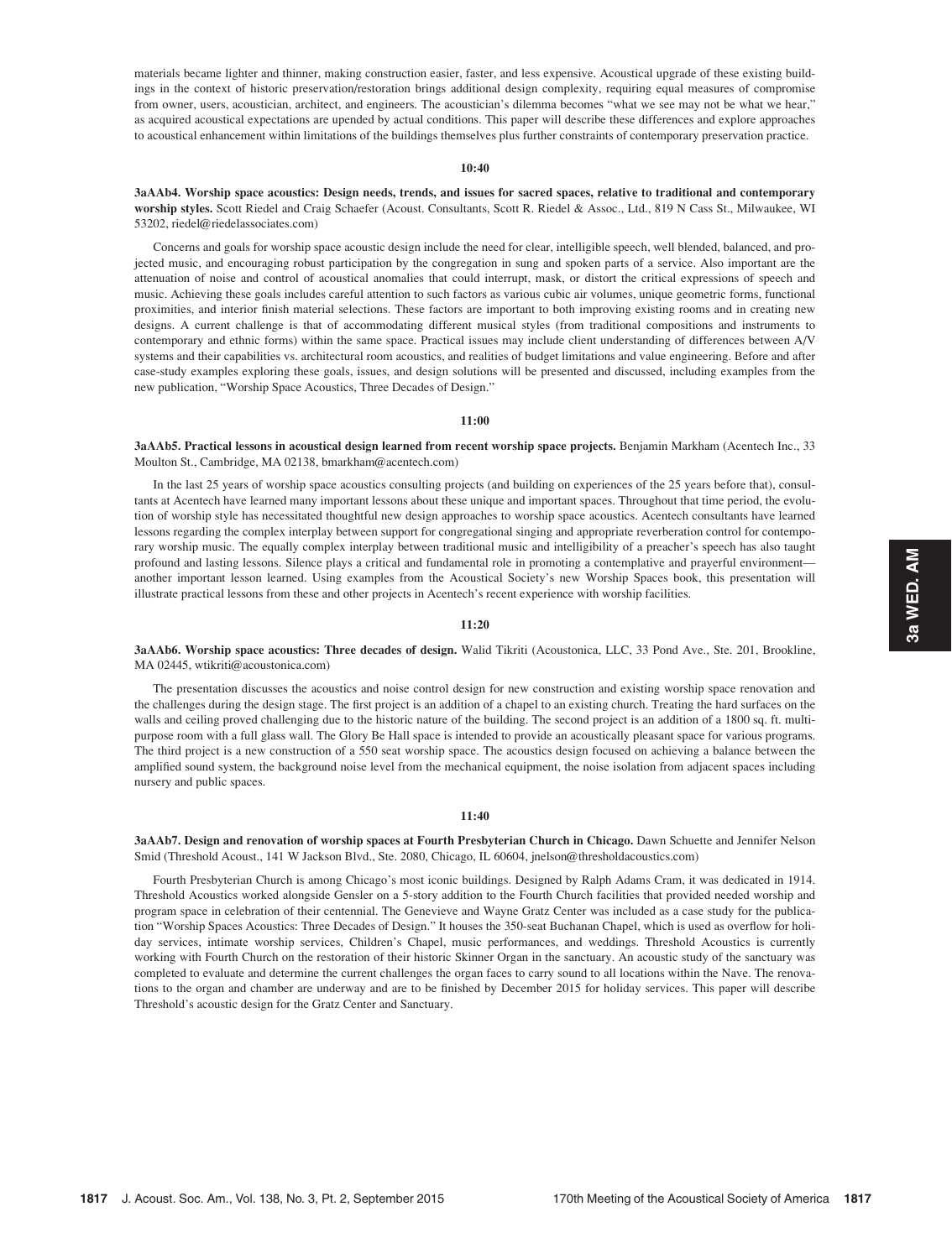materials became lighter and thinner, making construction easier, faster, and less expensive. Acoustical upgrade of these existing buildings in the context of historic preservation/restoration brings additional design complexity, requiring equal measures of compromise from owner, users, acoustician, architect, and engineers. The acoustician's dilemma becomes "what we see may not be what we hear," as acquired acoustical expectations are upended by actual conditions. This paper will describe these differences and explore approaches to acoustical enhancement within limitations of the buildings themselves plus further constraints of contemporary preservation practice.

### 10:40

3aAAb4. Worship space acoustics: Design needs, trends, and issues for sacred spaces, relative to traditional and contemporary worship styles. Scott Riedel and Craig Schaefer (Acoust. Consultants, Scott R. Riedel & Assoc., Ltd., 819 N Cass St., Milwaukee, WI 53202, riedel@riedelassociates.com)

Concerns and goals for worship space acoustic design include the need for clear, intelligible speech, well blended, balanced, and projected music, and encouraging robust participation by the congregation in sung and spoken parts of a service. Also important are the attenuation of noise and control of acoustical anomalies that could interrupt, mask, or distort the critical expressions of speech and music. Achieving these goals includes careful attention to such factors as various cubic air volumes, unique geometric forms, functional proximities, and interior finish material selections. These factors are important to both improving existing rooms and in creating new designs. A current challenge is that of accommodating different musical styles (from traditional compositions and instruments to contemporary and ethnic forms) within the same space. Practical issues may include client understanding of differences between A/V systems and their capabilities vs. architectural room acoustics, and realities of budget limitations and value engineering. Before and after case-study examples exploring these goals, issues, and design solutions will be presented and discussed, including examples from the new publication, "Worship Space Acoustics, Three Decades of Design."

### 11:00

3aAAb5. Practical lessons in acoustical design learned from recent worship space projects. Benjamin Markham (Acentech Inc., 33 Moulton St., Cambridge, MA 02138, bmarkham@acentech.com)

In the last 25 years of worship space acoustics consulting projects (and building on experiences of the 25 years before that), consultants at Acentech have learned many important lessons about these unique and important spaces. Throughout that time period, the evolution of worship style has necessitated thoughtful new design approaches to worship space acoustics. Acentech consultants have learned lessons regarding the complex interplay between support for congregational singing and appropriate reverberation control for contemporary worship music. The equally complex interplay between traditional music and intelligibility of a preacher's speech has also taught profound and lasting lessons. Silence plays a critical and fundamental role in promoting a contemplative and prayerful environment another important lesson learned. Using examples from the Acoustical Society's new Worship Spaces book, this presentation will illustrate practical lessons from these and other projects in Acentech's recent experience with worship facilities.

# 11:20

3aAAb6. Worship space acoustics: Three decades of design. Walid Tikriti (Acoustonica, LLC, 33 Pond Ave., Ste. 201, Brookline, MA 02445, wtikriti@acoustonica.com)

The presentation discusses the acoustics and noise control design for new construction and existing worship space renovation and the challenges during the design stage. The first project is an addition of a chapel to an existing church. Treating the hard surfaces on the walls and ceiling proved challenging due to the historic nature of the building. The second project is an addition of a 1800 sq. ft. multipurpose room with a full glass wall. The Glory Be Hall space is intended to provide an acoustically pleasant space for various programs. The third project is a new construction of a 550 seat worship space. The acoustics design focused on achieving a balance between the amplified sound system, the background noise level from the mechanical equipment, the noise isolation from adjacent spaces including nursery and public spaces.

### 11:40

3aAAb7. Design and renovation of worship spaces at Fourth Presbyterian Church in Chicago. Dawn Schuette and Jennifer Nelson Smid (Threshold Acoust., 141 W Jackson Blvd., Ste. 2080, Chicago, IL 60604, jnelson@thresholdacoustics.com)

Fourth Presbyterian Church is among Chicago's most iconic buildings. Designed by Ralph Adams Cram, it was dedicated in 1914. Threshold Acoustics worked alongside Gensler on a 5-story addition to the Fourth Church facilities that provided needed worship and program space in celebration of their centennial. The Genevieve and Wayne Gratz Center was included as a case study for the publication "Worship Spaces Acoustics: Three Decades of Design." It houses the 350-seat Buchanan Chapel, which is used as overflow for holiday services, intimate worship services, Children's Chapel, music performances, and weddings. Threshold Acoustics is currently working with Fourth Church on the restoration of their historic Skinner Organ in the sanctuary. An acoustic study of the sanctuary was completed to evaluate and determine the current challenges the organ faces to carry sound to all locations within the Nave. The renovations to the organ and chamber are underway and are to be finished by December 2015 for holiday services. This paper will describe Threshold's acoustic design for the Gratz Center and Sanctuary.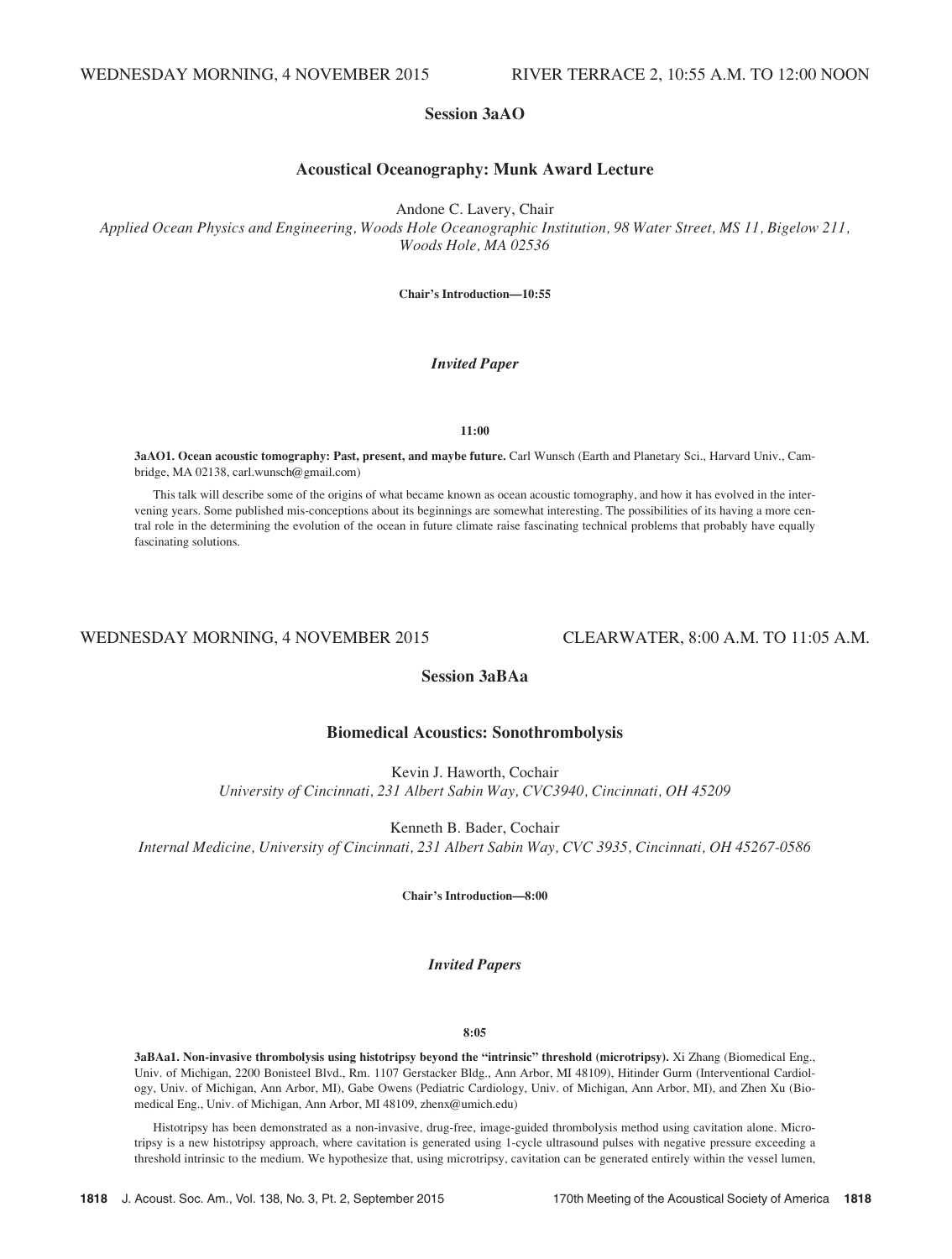# Session 3aAO

# Acoustical Oceanography: Munk Award Lecture

Andone C. Lavery, Chair

Applied Ocean Physics and Engineering, Woods Hole Oceanographic Institution, 98 Water Street, MS 11, Bigelow 211, Woods Hole, MA 02536

Chair's Introduction—10:55

# Invited Paper

11:00

3aAO1. Ocean acoustic tomography: Past, present, and maybe future. Carl Wunsch (Earth and Planetary Sci., Harvard Univ., Cambridge, MA 02138, carl.wunsch@gmail.com)

This talk will describe some of the origins of what became known as ocean acoustic tomography, and how it has evolved in the intervening years. Some published mis-conceptions about its beginnings are somewhat interesting. The possibilities of its having a more central role in the determining the evolution of the ocean in future climate raise fascinating technical problems that probably have equally fascinating solutions.

# WEDNESDAY MORNING, 4 NOVEMBER 2015 CLEARWATER, 8:00 A.M. TO 11:05 A.M.

# Session 3aBAa

# Biomedical Acoustics: Sonothrombolysis

Kevin J. Haworth, Cochair University of Cincinnati, 231 Albert Sabin Way, CVC3940, Cincinnati, OH 45209

Kenneth B. Bader, Cochair Internal Medicine, University of Cincinnati, 231 Albert Sabin Way, CVC 3935, Cincinnati, OH 45267-0586

Chair's Introduction—8:00

# Invited Papers

### 8:05

3aBAa1. Non-invasive thrombolysis using histotripsy beyond the "intrinsic" threshold (microtripsy). Xi Zhang (Biomedical Eng., Univ. of Michigan, 2200 Bonisteel Blvd., Rm. 1107 Gerstacker Bldg., Ann Arbor, MI 48109), Hitinder Gurm (Interventional Cardiology, Univ. of Michigan, Ann Arbor, MI), Gabe Owens (Pediatric Cardiology, Univ. of Michigan, Ann Arbor, MI), and Zhen Xu (Biomedical Eng., Univ. of Michigan, Ann Arbor, MI 48109, zhenx@umich.edu)

Histotripsy has been demonstrated as a non-invasive, drug-free, image-guided thrombolysis method using cavitation alone. Microtripsy is a new histotripsy approach, where cavitation is generated using 1-cycle ultrasound pulses with negative pressure exceeding a threshold intrinsic to the medium. We hypothesize that, using microtripsy, cavitation can be generated entirely within the vessel lumen,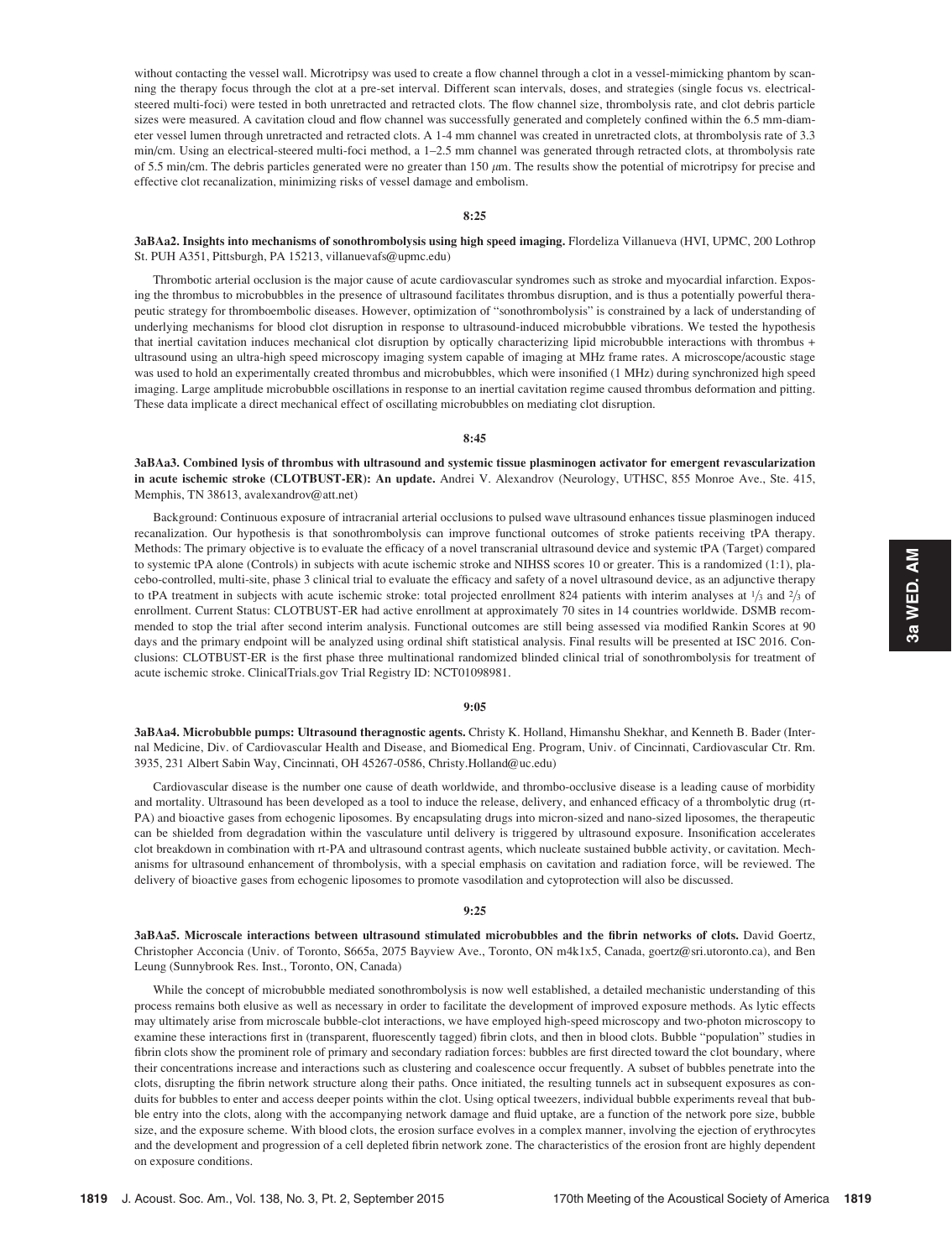without contacting the vessel wall. Microtripsy was used to create a flow channel through a clot in a vessel-mimicking phantom by scanning the therapy focus through the clot at a pre-set interval. Different scan intervals, doses, and strategies (single focus vs. electricalsteered multi-foci) were tested in both unretracted and retracted clots. The flow channel size, thrombolysis rate, and clot debris particle sizes were measured. A cavitation cloud and flow channel was successfully generated and completely confined within the 6.5 mm-diameter vessel lumen through unretracted and retracted clots. A 1-4 mm channel was created in unretracted clots, at thrombolysis rate of 3.3 min/cm. Using an electrical-steered multi-foci method, a 1–2.5 mm channel was generated through retracted clots, at thrombolysis rate of 5.5 min/cm. The debris particles generated were no greater than 150  $\mu$ m. The results show the potential of microtripsy for precise and effective clot recanalization, minimizing risks of vessel damage and embolism.

### 8:25

3aBAa2. Insights into mechanisms of sonothrombolysis using high speed imaging. Flordeliza Villanueva (HVI, UPMC, 200 Lothrop St. PUH A351, Pittsburgh, PA 15213, villanuevafs@upmc.edu)

Thrombotic arterial occlusion is the major cause of acute cardiovascular syndromes such as stroke and myocardial infarction. Exposing the thrombus to microbubbles in the presence of ultrasound facilitates thrombus disruption, and is thus a potentially powerful therapeutic strategy for thromboembolic diseases. However, optimization of "sonothrombolysis" is constrained by a lack of understanding of underlying mechanisms for blood clot disruption in response to ultrasound-induced microbubble vibrations. We tested the hypothesis that inertial cavitation induces mechanical clot disruption by optically characterizing lipid microbubble interactions with thrombus + ultrasound using an ultra-high speed microscopy imaging system capable of imaging at MHz frame rates. A microscope/acoustic stage was used to hold an experimentally created thrombus and microbubbles, which were insonified (1 MHz) during synchronized high speed imaging. Large amplitude microbubble oscillations in response to an inertial cavitation regime caused thrombus deformation and pitting. These data implicate a direct mechanical effect of oscillating microbubbles on mediating clot disruption.

#### 8:45

3aBAa3. Combined lysis of thrombus with ultrasound and systemic tissue plasminogen activator for emergent revascularization in acute ischemic stroke (CLOTBUST-ER): An update. Andrei V. Alexandrov (Neurology, UTHSC, 855 Monroe Ave., Ste. 415, Memphis, TN 38613, avalexandrov@att.net)

Background: Continuous exposure of intracranial arterial occlusions to pulsed wave ultrasound enhances tissue plasminogen induced recanalization. Our hypothesis is that sonothrombolysis can improve functional outcomes of stroke patients receiving tPA therapy. Methods: The primary objective is to evaluate the efficacy of a novel transcranial ultrasound device and systemic tPA (Target) compared to systemic tPA alone (Controls) in subjects with acute ischemic stroke and NIHSS scores 10 or greater. This is a randomized (1:1), placebo-controlled, multi-site, phase 3 clinical trial to evaluate the efficacy and safety of a novel ultrasound device, as an adjunctive therapy to tPA treatment in subjects with acute ischemic stroke: total projected enrollment 824 patients with interim analyses at  $\frac{1}{3}$  and  $\frac{2}{3}$  of enrollment. Current Status: CLOTBUST-ER had active enrollment at approximately 70 sites in 14 countries worldwide. DSMB recommended to stop the trial after second interim analysis. Functional outcomes are still being assessed via modified Rankin Scores at 90 days and the primary endpoint will be analyzed using ordinal shift statistical analysis. Final results will be presented at ISC 2016. Conclusions: CLOTBUST-ER is the first phase three multinational randomized blinded clinical trial of sonothrombolysis for treatment of acute ischemic stroke. ClinicalTrials.gov Trial Registry ID: NCT01098981.

#### 9:05

3aBAa4. Microbubble pumps: Ultrasound theragnostic agents. Christy K. Holland, Himanshu Shekhar, and Kenneth B. Bader (Internal Medicine, Div. of Cardiovascular Health and Disease, and Biomedical Eng. Program, Univ. of Cincinnati, Cardiovascular Ctr. Rm. 3935, 231 Albert Sabin Way, Cincinnati, OH 45267-0586, Christy.Holland@uc.edu)

Cardiovascular disease is the number one cause of death worldwide, and thrombo-occlusive disease is a leading cause of morbidity and mortality. Ultrasound has been developed as a tool to induce the release, delivery, and enhanced efficacy of a thrombolytic drug (rt-PA) and bioactive gases from echogenic liposomes. By encapsulating drugs into micron-sized and nano-sized liposomes, the therapeutic can be shielded from degradation within the vasculature until delivery is triggered by ultrasound exposure. Insonification accelerates clot breakdown in combination with rt-PA and ultrasound contrast agents, which nucleate sustained bubble activity, or cavitation. Mechanisms for ultrasound enhancement of thrombolysis, with a special emphasis on cavitation and radiation force, will be reviewed. The delivery of bioactive gases from echogenic liposomes to promote vasodilation and cytoprotection will also be discussed.

#### 9:25

3aBAa5. Microscale interactions between ultrasound stimulated microbubbles and the fibrin networks of clots. David Goertz, Christopher Acconcia (Univ. of Toronto, S665a, 2075 Bayview Ave., Toronto, ON m4k1x5, Canada, goertz@sri.utoronto.ca), and Ben Leung (Sunnybrook Res. Inst., Toronto, ON, Canada)

While the concept of microbubble mediated sonothrombolysis is now well established, a detailed mechanistic understanding of this process remains both elusive as well as necessary in order to facilitate the development of improved exposure methods. As lytic effects may ultimately arise from microscale bubble-clot interactions, we have employed high-speed microscopy and two-photon microscopy to examine these interactions first in (transparent, fluorescently tagged) fibrin clots, and then in blood clots. Bubble "population" studies in fibrin clots show the prominent role of primary and secondary radiation forces: bubbles are first directed toward the clot boundary, where their concentrations increase and interactions such as clustering and coalescence occur frequently. A subset of bubbles penetrate into the clots, disrupting the fibrin network structure along their paths. Once initiated, the resulting tunnels act in subsequent exposures as conduits for bubbles to enter and access deeper points within the clot. Using optical tweezers, individual bubble experiments reveal that bubble entry into the clots, along with the accompanying network damage and fluid uptake, are a function of the network pore size, bubble size, and the exposure scheme. With blood clots, the erosion surface evolves in a complex manner, involving the ejection of erythrocytes and the development and progression of a cell depleted fibrin network zone. The characteristics of the erosion front are highly dependent on exposure conditions.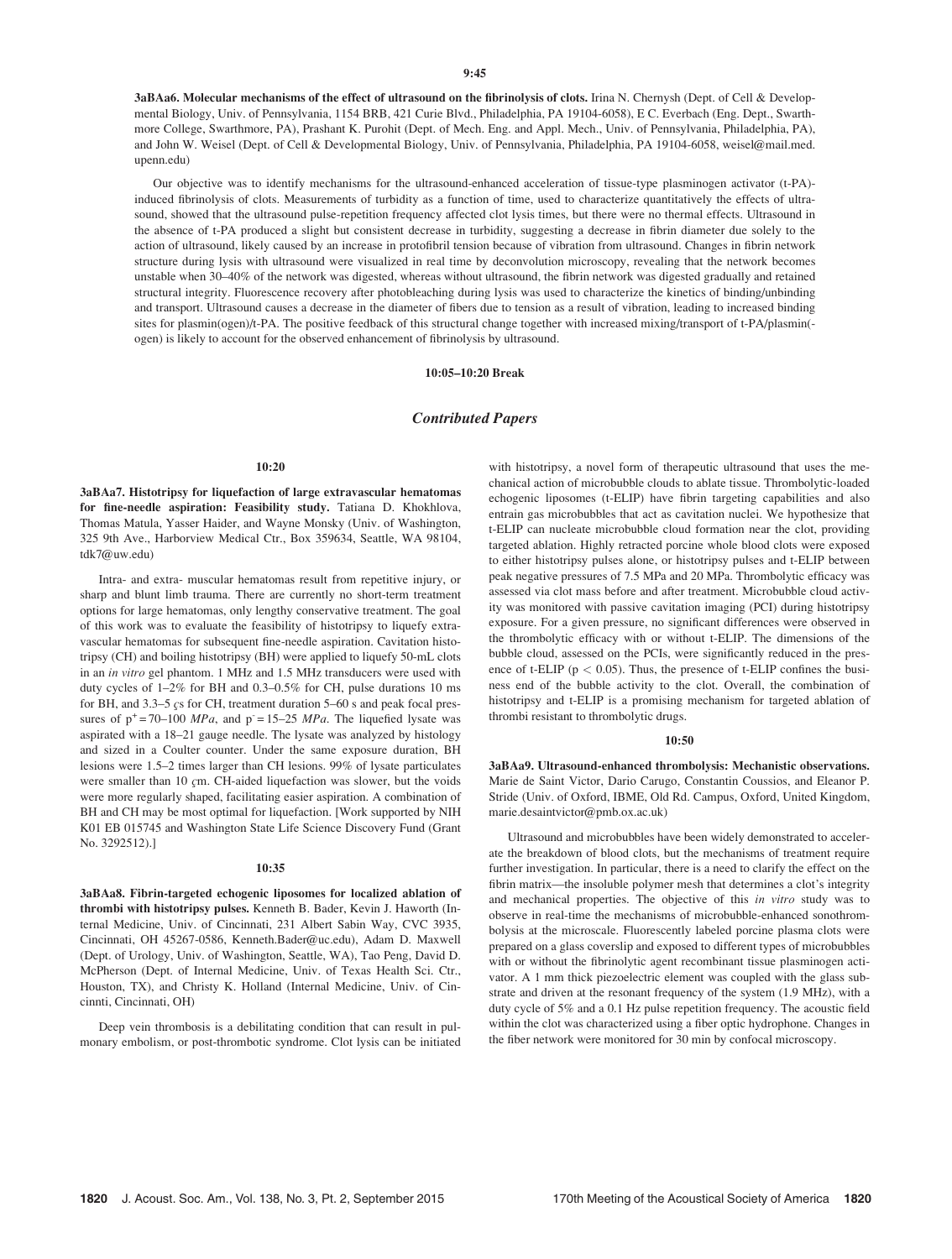3aBAa6. Molecular mechanisms of the effect of ultrasound on the fibrinolysis of clots. Irina N. Chernysh (Dept. of Cell & Developmental Biology, Univ. of Pennsylvania, 1154 BRB, 421 Curie Blvd., Philadelphia, PA 19104-6058), E C. Everbach (Eng. Dept., Swarthmore College, Swarthmore, PA), Prashant K. Purohit (Dept. of Mech. Eng. and Appl. Mech., Univ. of Pennsylvania, Philadelphia, PA), and John W. Weisel (Dept. of Cell & Developmental Biology, Univ. of Pennsylvania, Philadelphia, PA 19104-6058, weisel@mail.med. upenn.edu)

Our objective was to identify mechanisms for the ultrasound-enhanced acceleration of tissue-type plasminogen activator (t-PA) induced fibrinolysis of clots. Measurements of turbidity as a function of time, used to characterize quantitatively the effects of ultrasound, showed that the ultrasound pulse-repetition frequency affected clot lysis times, but there were no thermal effects. Ultrasound in the absence of t-PA produced a slight but consistent decrease in turbidity, suggesting a decrease in fibrin diameter due solely to the action of ultrasound, likely caused by an increase in protofibril tension because of vibration from ultrasound. Changes in fibrin network structure during lysis with ultrasound were visualized in real time by deconvolution microscopy, revealing that the network becomes unstable when 30–40% of the network was digested, whereas without ultrasound, the fibrin network was digested gradually and retained structural integrity. Fluorescence recovery after photobleaching during lysis was used to characterize the kinetics of binding/unbinding and transport. Ultrasound causes a decrease in the diameter of fibers due to tension as a result of vibration, leading to increased binding sites for plasmin(ogen)/t-PA. The positive feedback of this structural change together with increased mixing/transport of t-PA/plasmin( ogen) is likely to account for the observed enhancement of fibrinolysis by ultrasound.

# 10:05–10:20 Break

### Contributed Papers

#### 10:20

3aBAa7. Histotripsy for liquefaction of large extravascular hematomas for fine-needle aspiration: Feasibility study. Tatiana D. Khokhlova, Thomas Matula, Yasser Haider, and Wayne Monsky (Univ. of Washington, 325 9th Ave., Harborview Medical Ctr., Box 359634, Seattle, WA 98104, tdk7@uw.edu)

Intra- and extra- muscular hematomas result from repetitive injury, or sharp and blunt limb trauma. There are currently no short-term treatment options for large hematomas, only lengthy conservative treatment. The goal of this work was to evaluate the feasibility of histotripsy to liquefy extravascular hematomas for subsequent fine-needle aspiration. Cavitation histotripsy (CH) and boiling histotripsy (BH) were applied to liquefy 50-mL clots in an in vitro gel phantom. 1 MHz and 1.5 MHz transducers were used with duty cycles of 1–2% for BH and 0.3–0.5% for CH, pulse durations 10 ms for BH, and  $3.3-5$  cs for CH, treatment duration  $5-60$  s and peak focal pressures of  $p^+=70-100$  MPa, and  $p=15-25$  MPa. The liquefied lysate was aspirated with a 18–21 gauge needle. The lysate was analyzed by histology and sized in a Coulter counter. Under the same exposure duration, BH lesions were 1.5–2 times larger than CH lesions. 99% of lysate particulates were smaller than 10 cm. CH-aided liquefaction was slower, but the voids were more regularly shaped, facilitating easier aspiration. A combination of BH and CH may be most optimal for liquefaction. [Work supported by NIH K01 EB 015745 and Washington State Life Science Discovery Fund (Grant No. 3292512).]

#### 10:35

3aBAa8. Fibrin-targeted echogenic liposomes for localized ablation of thrombi with histotripsy pulses. Kenneth B. Bader, Kevin J. Haworth (Internal Medicine, Univ. of Cincinnati, 231 Albert Sabin Way, CVC 3935, Cincinnati, OH 45267-0586, Kenneth.Bader@uc.edu), Adam D. Maxwell (Dept. of Urology, Univ. of Washington, Seattle, WA), Tao Peng, David D. McPherson (Dept. of Internal Medicine, Univ. of Texas Health Sci. Ctr., Houston, TX), and Christy K. Holland (Internal Medicine, Univ. of Cincinnti, Cincinnati, OH)

Deep vein thrombosis is a debilitating condition that can result in pulmonary embolism, or post-thrombotic syndrome. Clot lysis can be initiated with histotripsy, a novel form of therapeutic ultrasound that uses the mechanical action of microbubble clouds to ablate tissue. Thrombolytic-loaded echogenic liposomes (t-ELIP) have fibrin targeting capabilities and also entrain gas microbubbles that act as cavitation nuclei. We hypothesize that t-ELIP can nucleate microbubble cloud formation near the clot, providing targeted ablation. Highly retracted porcine whole blood clots were exposed to either histotripsy pulses alone, or histotripsy pulses and t-ELIP between peak negative pressures of 7.5 MPa and 20 MPa. Thrombolytic efficacy was assessed via clot mass before and after treatment. Microbubble cloud activity was monitored with passive cavitation imaging (PCI) during histotripsy exposure. For a given pressure, no significant differences were observed in the thrombolytic efficacy with or without t-ELIP. The dimensions of the bubble cloud, assessed on the PCIs, were significantly reduced in the presence of t-ELIP ( $p < 0.05$ ). Thus, the presence of t-ELIP confines the business end of the bubble activity to the clot. Overall, the combination of histotripsy and t-ELIP is a promising mechanism for targeted ablation of thrombi resistant to thrombolytic drugs.

#### 10:50

3aBAa9. Ultrasound-enhanced thrombolysis: Mechanistic observations. Marie de Saint Victor, Dario Carugo, Constantin Coussios, and Eleanor P. Stride (Univ. of Oxford, IBME, Old Rd. Campus, Oxford, United Kingdom, marie.desaintvictor@pmb.ox.ac.uk)

Ultrasound and microbubbles have been widely demonstrated to accelerate the breakdown of blood clots, but the mechanisms of treatment require further investigation. In particular, there is a need to clarify the effect on the fibrin matrix—the insoluble polymer mesh that determines a clot's integrity and mechanical properties. The objective of this in vitro study was to observe in real-time the mechanisms of microbubble-enhanced sonothrombolysis at the microscale. Fluorescently labeled porcine plasma clots were prepared on a glass coverslip and exposed to different types of microbubbles with or without the fibrinolytic agent recombinant tissue plasminogen activator. A 1 mm thick piezoelectric element was coupled with the glass substrate and driven at the resonant frequency of the system (1.9 MHz), with a duty cycle of 5% and a 0.1 Hz pulse repetition frequency. The acoustic field within the clot was characterized using a fiber optic hydrophone. Changes in the fiber network were monitored for 30 min by confocal microscopy.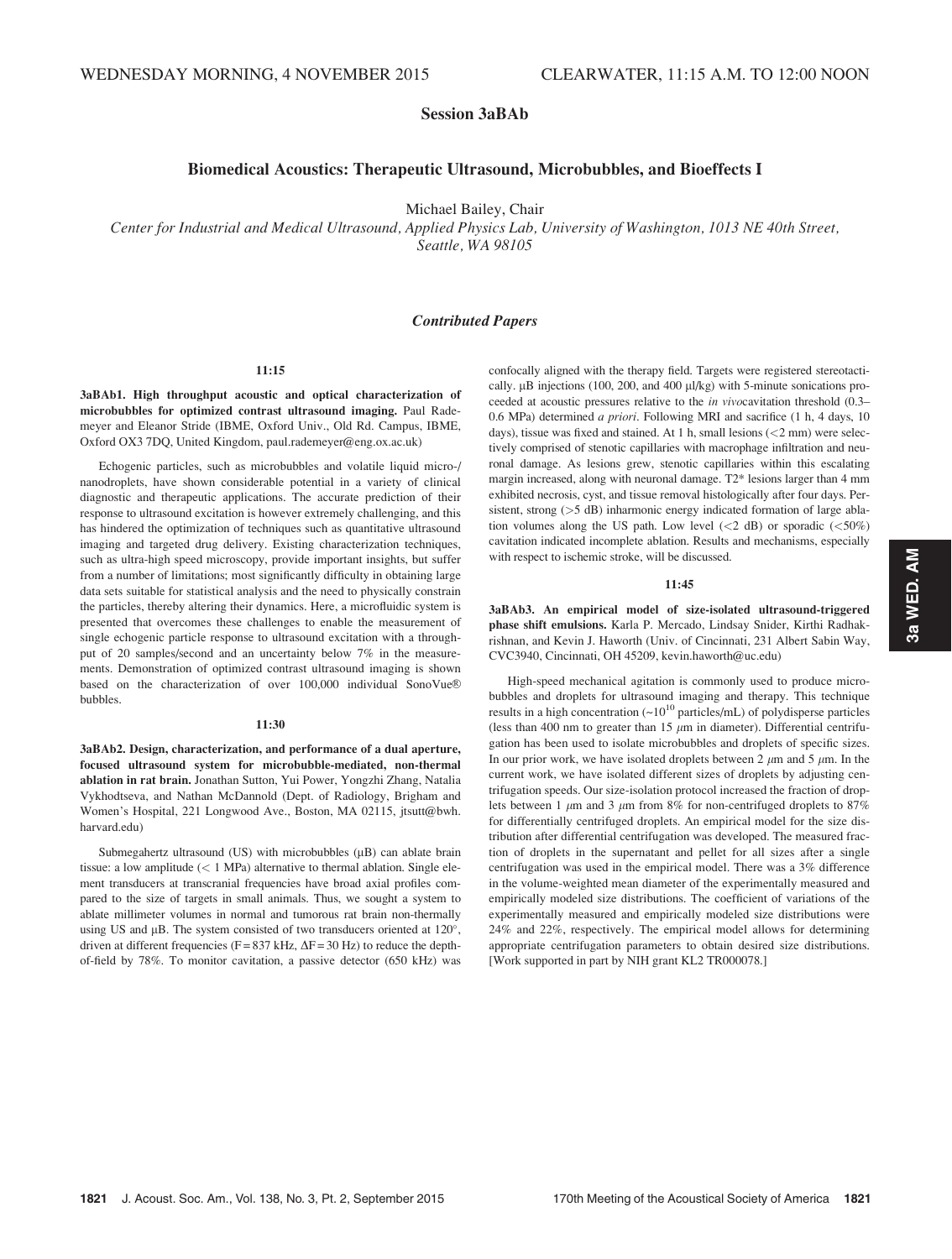# Session 3aBAb

# Biomedical Acoustics: Therapeutic Ultrasound, Microbubbles, and Bioeffects I

Michael Bailey, Chair

Center for Industrial and Medical Ultrasound, Applied Physics Lab, University of Washington, 1013 NE 40th Street, Seattle, WA 98105

### Contributed Papers

### 11:15

3aBAb1. High throughput acoustic and optical characterization of microbubbles for optimized contrast ultrasound imaging. Paul Rademeyer and Eleanor Stride (IBME, Oxford Univ., Old Rd. Campus, IBME, Oxford OX3 7DQ, United Kingdom, paul.rademeyer@eng.ox.ac.uk)

Echogenic particles, such as microbubbles and volatile liquid micro-/ nanodroplets, have shown considerable potential in a variety of clinical diagnostic and therapeutic applications. The accurate prediction of their response to ultrasound excitation is however extremely challenging, and this has hindered the optimization of techniques such as quantitative ultrasound imaging and targeted drug delivery. Existing characterization techniques, such as ultra-high speed microscopy, provide important insights, but suffer from a number of limitations; most significantly difficulty in obtaining large data sets suitable for statistical analysis and the need to physically constrain the particles, thereby altering their dynamics. Here, a microfluidic system is presented that overcomes these challenges to enable the measurement of single echogenic particle response to ultrasound excitation with a throughput of 20 samples/second and an uncertainty below 7% in the measurements. Demonstration of optimized contrast ultrasound imaging is shown based on the characterization of over  $100,000$  individual SonoVue® bubbles.

#### 11:30

3aBAb2. Design, characterization, and performance of a dual aperture, focused ultrasound system for microbubble-mediated, non-thermal ablation in rat brain. Jonathan Sutton, Yui Power, Yongzhi Zhang, Natalia Vykhodtseva, and Nathan McDannold (Dept. of Radiology, Brigham and Women's Hospital, 221 Longwood Ave., Boston, MA 02115, jtsutt@bwh. harvard.edu)

Submegahertz ultrasound (US) with microbubbles  $(\mu B)$  can ablate brain tissue: a low amplitude  $(< 1$  MPa) alternative to thermal ablation. Single element transducers at transcranial frequencies have broad axial profiles compared to the size of targets in small animals. Thus, we sought a system to ablate millimeter volumes in normal and tumorous rat brain non-thermally using US and  $\mu$ B. The system consisted of two transducers oriented at 120 $^{\circ}$ , driven at different frequencies (F = 837 kHz,  $\Delta$ F = 30 Hz) to reduce the depthof-field by 78%. To monitor cavitation, a passive detector (650 kHz) was confocally aligned with the therapy field. Targets were registered stereotactically.  $\mu$ B injections (100, 200, and 400  $\mu$ l/kg) with 5-minute sonications proceeded at acoustic pressures relative to the in vivocavitation threshold (0.3– 0.6 MPa) determined a priori. Following MRI and sacrifice (1 h, 4 days, 10 days), tissue was fixed and stained. At 1 h, small lesions  $(< 2$  mm) were selectively comprised of stenotic capillaries with macrophage infiltration and neuronal damage. As lesions grew, stenotic capillaries within this escalating margin increased, along with neuronal damage. T2\* lesions larger than 4 mm exhibited necrosis, cyst, and tissue removal histologically after four days. Persistent, strong ( $>$ 5 dB) inharmonic energy indicated formation of large ablation volumes along the US path. Low level  $(<2$  dB) or sporadic  $(<50\%)$ cavitation indicated incomplete ablation. Results and mechanisms, especially with respect to ischemic stroke, will be discussed.

### 11:45

3aBAb3. An empirical model of size-isolated ultrasound-triggered phase shift emulsions. Karla P. Mercado, Lindsay Snider, Kirthi Radhakrishnan, and Kevin J. Haworth (Univ. of Cincinnati, 231 Albert Sabin Way, CVC3940, Cincinnati, OH 45209, kevin.haworth@uc.edu)

High-speed mechanical agitation is commonly used to produce microbubbles and droplets for ultrasound imaging and therapy. This technique results in a high concentration  $({\sim}10^{10}$  particles/mL) of polydisperse particles (less than 400 nm to greater than 15  $\mu$ m in diameter). Differential centrifugation has been used to isolate microbubbles and droplets of specific sizes. In our prior work, we have isolated droplets between 2  $\mu$ m and 5  $\mu$ m. In the current work, we have isolated different sizes of droplets by adjusting centrifugation speeds. Our size-isolation protocol increased the fraction of droplets between 1  $\mu$ m and 3  $\mu$ m from 8% for non-centrifuged droplets to 87% for differentially centrifuged droplets. An empirical model for the size distribution after differential centrifugation was developed. The measured fraction of droplets in the supernatant and pellet for all sizes after a single centrifugation was used in the empirical model. There was a 3% difference in the volume-weighted mean diameter of the experimentally measured and empirically modeled size distributions. The coefficient of variations of the experimentally measured and empirically modeled size distributions were 24% and 22%, respectively. The empirical model allows for determining appropriate centrifugation parameters to obtain desired size distributions. [Work supported in part by NIH grant KL2 TR000078.]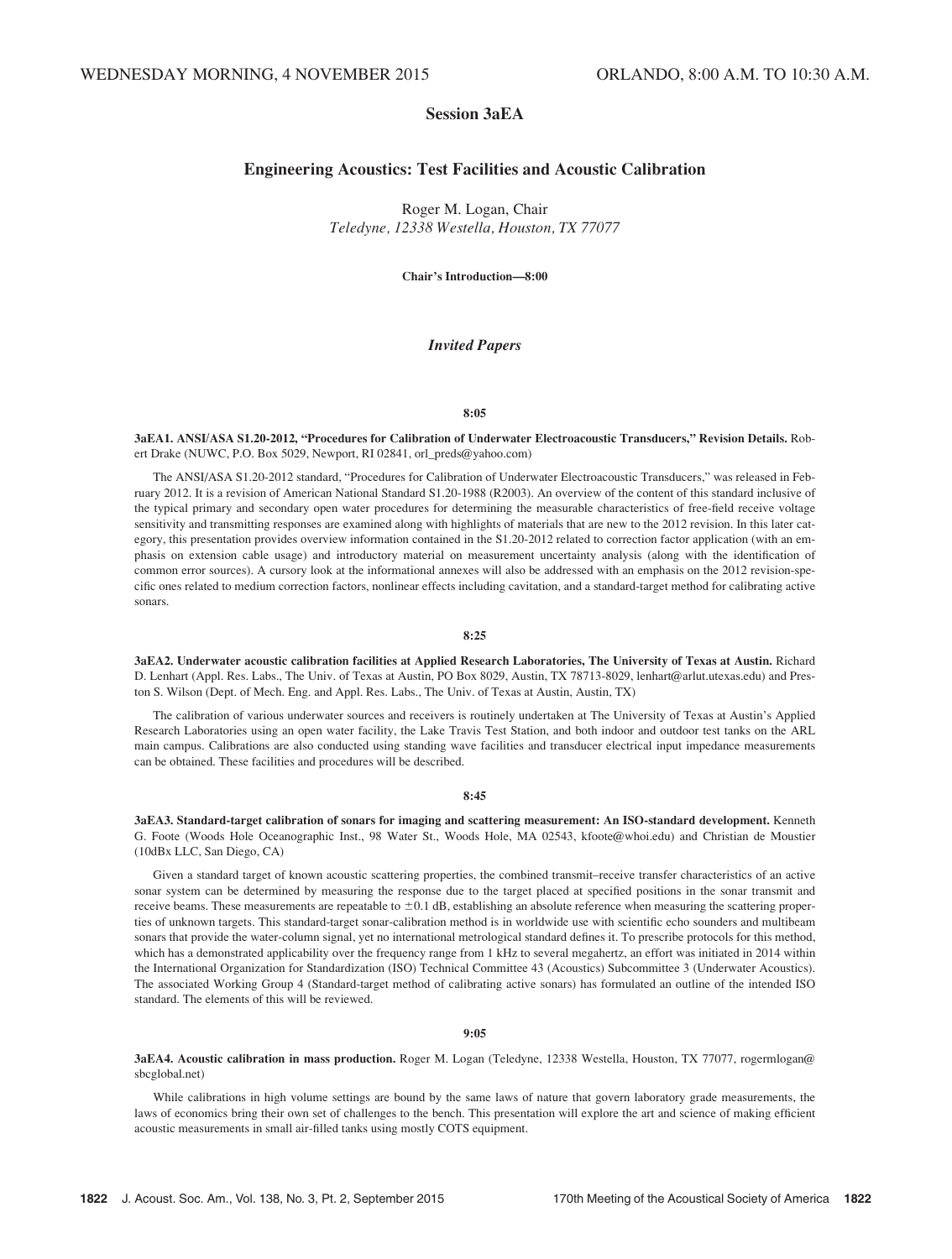# Session 3aEA

# Engineering Acoustics: Test Facilities and Acoustic Calibration

Roger M. Logan, Chair Teledyne, 12338 Westella, Houston, TX 77077

Chair's Introduction—8:00

# Invited Papers

### 8:05

3aEA1. ANSI/ASA S1.20-2012, "Procedures for Calibration of Underwater Electroacoustic Transducers," Revision Details. Robert Drake (NUWC, P.O. Box 5029, Newport, RI 02841, orl\_preds@yahoo.com)

The ANSI/ASA S1.20-2012 standard, "Procedures for Calibration of Underwater Electroacoustic Transducers," was released in February 2012. It is a revision of American National Standard S1.20-1988 (R2003). An overview of the content of this standard inclusive of the typical primary and secondary open water procedures for determining the measurable characteristics of free-field receive voltage sensitivity and transmitting responses are examined along with highlights of materials that are new to the 2012 revision. In this later category, this presentation provides overview information contained in the S1.20-2012 related to correction factor application (with an emphasis on extension cable usage) and introductory material on measurement uncertainty analysis (along with the identification of common error sources). A cursory look at the informational annexes will also be addressed with an emphasis on the 2012 revision-specific ones related to medium correction factors, nonlinear effects including cavitation, and a standard-target method for calibrating active sonars.

#### 8:25

3aEA2. Underwater acoustic calibration facilities at Applied Research Laboratories, The University of Texas at Austin. Richard D. Lenhart (Appl. Res. Labs., The Univ. of Texas at Austin, PO Box 8029, Austin, TX 78713-8029, lenhart@arlut.utexas.edu) and Preston S. Wilson (Dept. of Mech. Eng. and Appl. Res. Labs., The Univ. of Texas at Austin, Austin, TX)

The calibration of various underwater sources and receivers is routinely undertaken at The University of Texas at Austin's Applied Research Laboratories using an open water facility, the Lake Travis Test Station, and both indoor and outdoor test tanks on the ARL main campus. Calibrations are also conducted using standing wave facilities and transducer electrical input impedance measurements can be obtained. These facilities and procedures will be described.

#### 8:45

3aEA3. Standard-target calibration of sonars for imaging and scattering measurement: An ISO-standard development. Kenneth G. Foote (Woods Hole Oceanographic Inst., 98 Water St., Woods Hole, MA 02543, kfoote@whoi.edu) and Christian de Moustier (10dBx LLC, San Diego, CA)

Given a standard target of known acoustic scattering properties, the combined transmit–receive transfer characteristics of an active sonar system can be determined by measuring the response due to the target placed at specified positions in the sonar transmit and receive beams. These measurements are repeatable to  $\pm 0.1$  dB, establishing an absolute reference when measuring the scattering properties of unknown targets. This standard-target sonar-calibration method is in worldwide use with scientific echo sounders and multibeam sonars that provide the water-column signal, yet no international metrological standard defines it. To prescribe protocols for this method, which has a demonstrated applicability over the frequency range from 1 kHz to several megahertz, an effort was initiated in 2014 within the International Organization for Standardization (ISO) Technical Committee 43 (Acoustics) Subcommittee 3 (Underwater Acoustics). The associated Working Group 4 (Standard-target method of calibrating active sonars) has formulated an outline of the intended ISO standard. The elements of this will be reviewed.

### 9:05

3aEA4. Acoustic calibration in mass production. Roger M. Logan (Teledyne, 12338 Westella, Houston, TX 77077, rogermlogan@ sbcglobal.net)

While calibrations in high volume settings are bound by the same laws of nature that govern laboratory grade measurements, the laws of economics bring their own set of challenges to the bench. This presentation will explore the art and science of making efficient acoustic measurements in small air-filled tanks using mostly COTS equipment.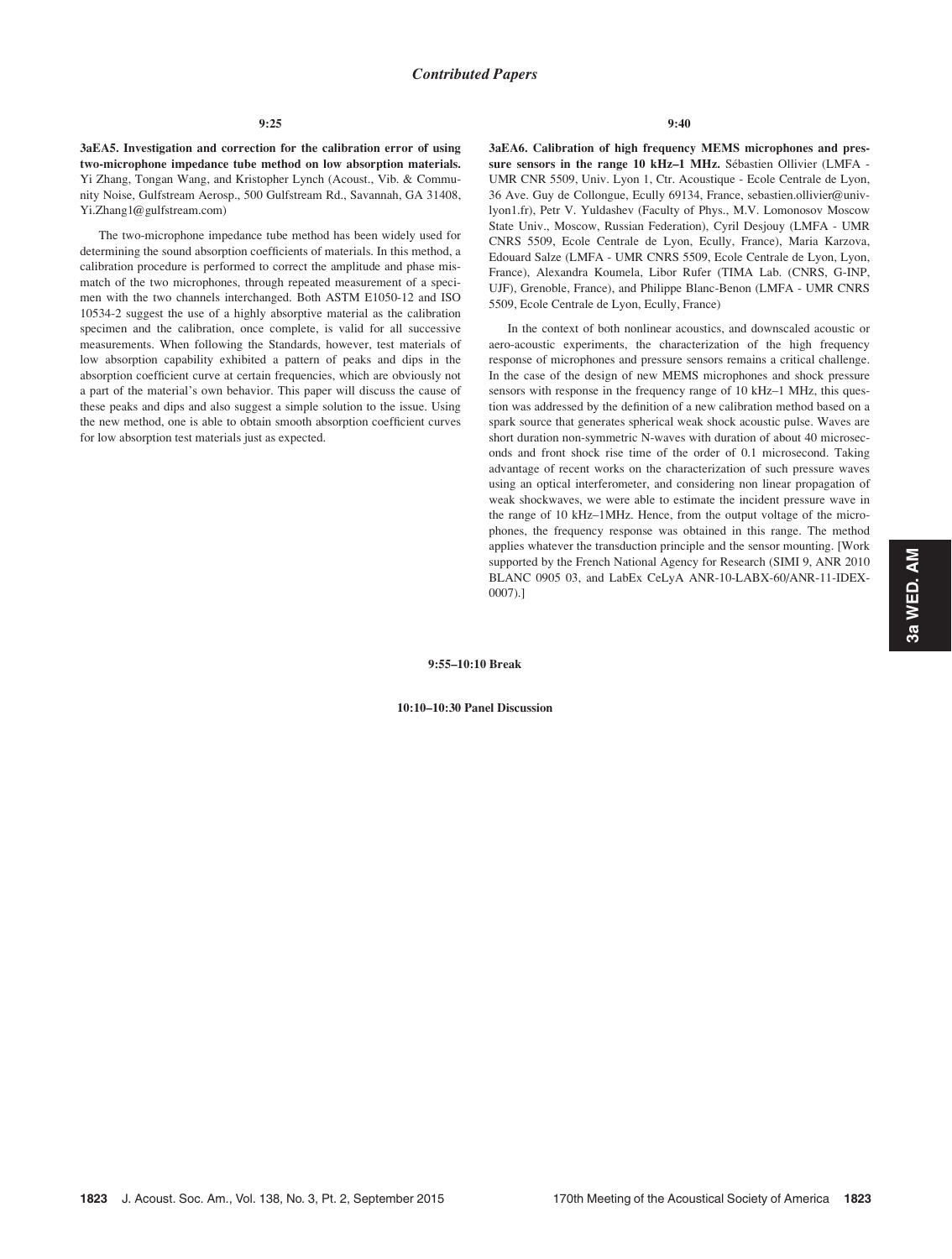3aEA5. Investigation and correction for the calibration error of using two-microphone impedance tube method on low absorption materials. Yi Zhang, Tongan Wang, and Kristopher Lynch (Acoust., Vib. & Community Noise, Gulfstream Aerosp., 500 Gulfstream Rd., Savannah, GA 31408, Yi.Zhang1@gulfstream.com)

The two-microphone impedance tube method has been widely used for determining the sound absorption coefficients of materials. In this method, a calibration procedure is performed to correct the amplitude and phase mismatch of the two microphones, through repeated measurement of a specimen with the two channels interchanged. Both ASTM E1050-12 and ISO 10534-2 suggest the use of a highly absorptive material as the calibration specimen and the calibration, once complete, is valid for all successive measurements. When following the Standards, however, test materials of low absorption capability exhibited a pattern of peaks and dips in the absorption coefficient curve at certain frequencies, which are obviously not a part of the material's own behavior. This paper will discuss the cause of these peaks and dips and also suggest a simple solution to the issue. Using the new method, one is able to obtain smooth absorption coefficient curves for low absorption test materials just as expected.

3aEA6. Calibration of high frequency MEMS microphones and pressure sensors in the range 10 kHz-1 MHz. Sébastien Ollivier (LMFA -UMR CNR 5509, Univ. Lyon 1, Ctr. Acoustique - Ecole Centrale de Lyon, 36 Ave. Guy de Collongue, Ecully 69134, France, sebastien.ollivier@univlyon1.fr), Petr V. Yuldashev (Faculty of Phys., M.V. Lomonosov Moscow State Univ., Moscow, Russian Federation), Cyril Desjouy (LMFA - UMR CNRS 5509, Ecole Centrale de Lyon, Ecully, France), Maria Karzova, Edouard Salze (LMFA - UMR CNRS 5509, Ecole Centrale de Lyon, Lyon, France), Alexandra Koumela, Libor Rufer (TIMA Lab. (CNRS, G-INP, UJF), Grenoble, France), and Philippe Blanc-Benon (LMFA - UMR CNRS 5509, Ecole Centrale de Lyon, Ecully, France)

In the context of both nonlinear acoustics, and downscaled acoustic or aero-acoustic experiments, the characterization of the high frequency response of microphones and pressure sensors remains a critical challenge. In the case of the design of new MEMS microphones and shock pressure sensors with response in the frequency range of 10 kHz–1 MHz, this question was addressed by the definition of a new calibration method based on a spark source that generates spherical weak shock acoustic pulse. Waves are short duration non-symmetric N-waves with duration of about 40 microseconds and front shock rise time of the order of 0.1 microsecond. Taking advantage of recent works on the characterization of such pressure waves using an optical interferometer, and considering non linear propagation of weak shockwaves, we were able to estimate the incident pressure wave in the range of 10 kHz–1MHz. Hence, from the output voltage of the microphones, the frequency response was obtained in this range. The method applies whatever the transduction principle and the sensor mounting. [Work supported by the French National Agency for Research (SIMI 9, ANR 2010 BLANC 0905 03, and LabEx CeLyA ANR-10-LABX-60/ANR-11-IDEX-0007).]

### 9:55–10:10 Break

## 10:10–10:30 Panel Discussion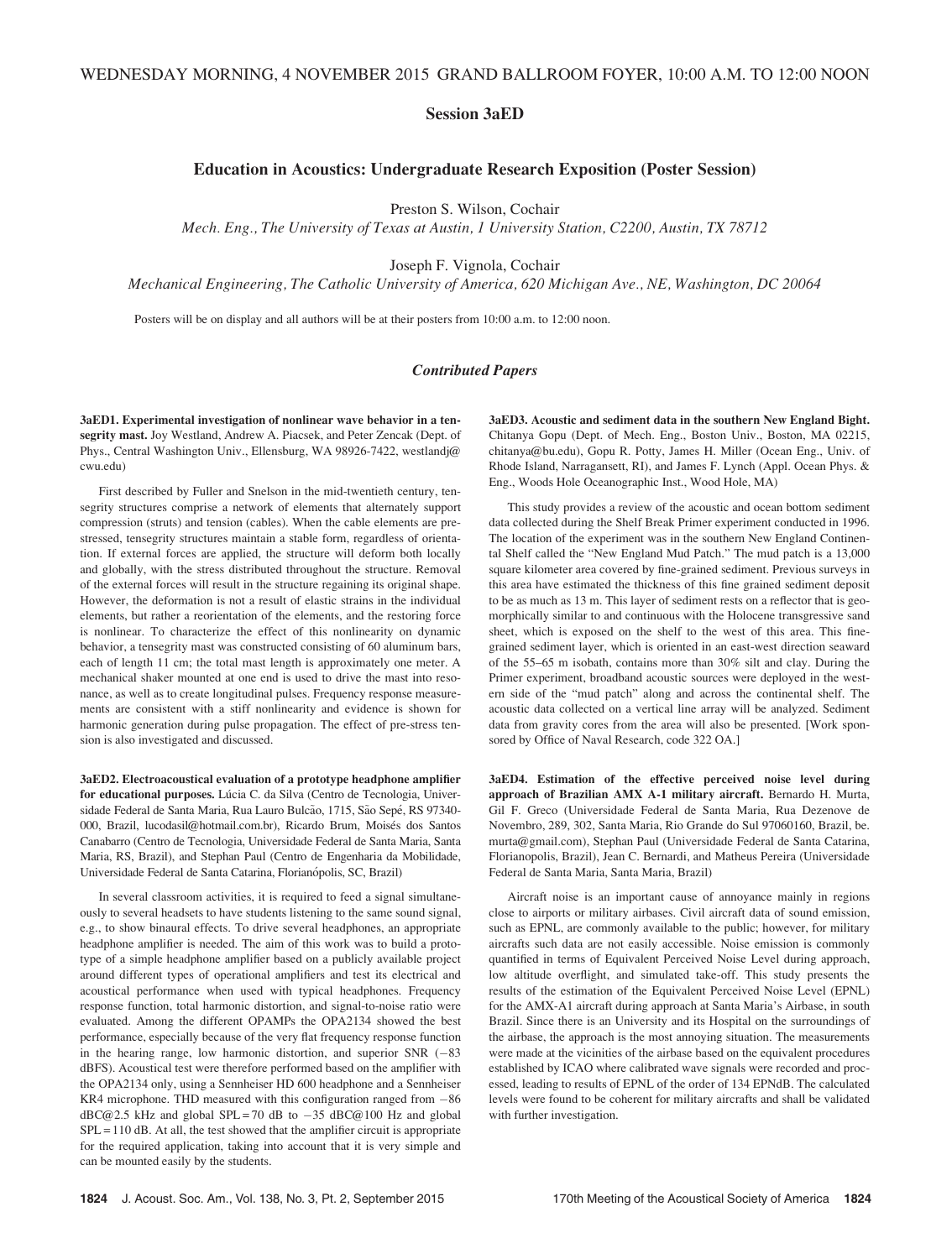# Session 3aED

# Education in Acoustics: Undergraduate Research Exposition (Poster Session)

Preston S. Wilson, Cochair

Mech. Eng., The University of Texas at Austin, 1 University Station, C2200, Austin, TX 78712

Joseph F. Vignola, Cochair

Mechanical Engineering, The Catholic University of America, 620 Michigan Ave., NE, Washington, DC 20064

Posters will be on display and all authors will be at their posters from 10:00 a.m. to 12:00 noon.

# Contributed Papers

3aED1. Experimental investigation of nonlinear wave behavior in a tensegrity mast. Joy Westland, Andrew A. Piacsek, and Peter Zencak (Dept. of Phys., Central Washington Univ., Ellensburg, WA 98926-7422, westlandj@ cwu.edu)

First described by Fuller and Snelson in the mid-twentieth century, tensegrity structures comprise a network of elements that alternately support compression (struts) and tension (cables). When the cable elements are prestressed, tensegrity structures maintain a stable form, regardless of orientation. If external forces are applied, the structure will deform both locally and globally, with the stress distributed throughout the structure. Removal of the external forces will result in the structure regaining its original shape. However, the deformation is not a result of elastic strains in the individual elements, but rather a reorientation of the elements, and the restoring force is nonlinear. To characterize the effect of this nonlinearity on dynamic behavior, a tensegrity mast was constructed consisting of 60 aluminum bars, each of length 11 cm; the total mast length is approximately one meter. A mechanical shaker mounted at one end is used to drive the mast into resonance, as well as to create longitudinal pulses. Frequency response measurements are consistent with a stiff nonlinearity and evidence is shown for harmonic generation during pulse propagation. The effect of pre-stress tension is also investigated and discussed.

3aED2. Electroacoustical evaluation of a prototype headphone amplifier for educational purposes. Lúcia C. da Silva (Centro de Tecnologia, Universidade Federal de Santa Maria, Rua Lauro Bulcão, 1715, São Sepé, RS 97340-000, Brazil, lucodasil@hotmail.com.br), Ricardo Brum, Moisés dos Santos Canabarro (Centro de Tecnologia, Universidade Federal de Santa Maria, Santa Maria, RS, Brazil), and Stephan Paul (Centro de Engenharia da Mobilidade, Universidade Federal de Santa Catarina, Florianópolis, SC, Brazil)

In several classroom activities, it is required to feed a signal simultaneously to several headsets to have students listening to the same sound signal, e.g., to show binaural effects. To drive several headphones, an appropriate headphone amplifier is needed. The aim of this work was to build a prototype of a simple headphone amplifier based on a publicly available project around different types of operational amplifiers and test its electrical and acoustical performance when used with typical headphones. Frequency response function, total harmonic distortion, and signal-to-noise ratio were evaluated. Among the different OPAMPs the OPA2134 showed the best performance, especially because of the very flat frequency response function in the hearing range, low harmonic distortion, and superior SNR  $(-83)$ dBFS). Acoustical test were therefore performed based on the amplifier with the OPA2134 only, using a Sennheiser HD 600 headphone and a Sennheiser KR4 microphone. THD measured with this configuration ranged from  $-86$  $dBC@2.5$  kHz and global SPL = 70 dB to  $-35$  dBC@100 Hz and global  $SPL = 110$  dB. At all, the test showed that the amplifier circuit is appropriate for the required application, taking into account that it is very simple and can be mounted easily by the students.

3aED3. Acoustic and sediment data in the southern New England Bight. Chitanya Gopu (Dept. of Mech. Eng., Boston Univ., Boston, MA 02215, chitanya@bu.edu), Gopu R. Potty, James H. Miller (Ocean Eng., Univ. of Rhode Island, Narragansett, RI), and James F. Lynch (Appl. Ocean Phys. & Eng., Woods Hole Oceanographic Inst., Wood Hole, MA)

This study provides a review of the acoustic and ocean bottom sediment data collected during the Shelf Break Primer experiment conducted in 1996. The location of the experiment was in the southern New England Continental Shelf called the "New England Mud Patch." The mud patch is a 13,000 square kilometer area covered by fine-grained sediment. Previous surveys in this area have estimated the thickness of this fine grained sediment deposit to be as much as 13 m. This layer of sediment rests on a reflector that is geomorphically similar to and continuous with the Holocene transgressive sand sheet, which is exposed on the shelf to the west of this area. This finegrained sediment layer, which is oriented in an east-west direction seaward of the 55–65 m isobath, contains more than 30% silt and clay. During the Primer experiment, broadband acoustic sources were deployed in the western side of the "mud patch" along and across the continental shelf. The acoustic data collected on a vertical line array will be analyzed. Sediment data from gravity cores from the area will also be presented. [Work sponsored by Office of Naval Research, code 322 OA.]

3aED4. Estimation of the effective perceived noise level during approach of Brazilian AMX A-1 military aircraft. Bernardo H. Murta, Gil F. Greco (Universidade Federal de Santa Maria, Rua Dezenove de Novembro, 289, 302, Santa Maria, Rio Grande do Sul 97060160, Brazil, be. murta@gmail.com), Stephan Paul (Universidade Federal de Santa Catarina, Florianopolis, Brazil), Jean C. Bernardi, and Matheus Pereira (Universidade Federal de Santa Maria, Santa Maria, Brazil)

Aircraft noise is an important cause of annoyance mainly in regions close to airports or military airbases. Civil aircraft data of sound emission, such as EPNL, are commonly available to the public; however, for military aircrafts such data are not easily accessible. Noise emission is commonly quantified in terms of Equivalent Perceived Noise Level during approach, low altitude overflight, and simulated take-off. This study presents the results of the estimation of the Equivalent Perceived Noise Level (EPNL) for the AMX-A1 aircraft during approach at Santa Maria's Airbase, in south Brazil. Since there is an University and its Hospital on the surroundings of the airbase, the approach is the most annoying situation. The measurements were made at the vicinities of the airbase based on the equivalent procedures established by ICAO where calibrated wave signals were recorded and processed, leading to results of EPNL of the order of 134 EPNdB. The calculated levels were found to be coherent for military aircrafts and shall be validated with further investigation.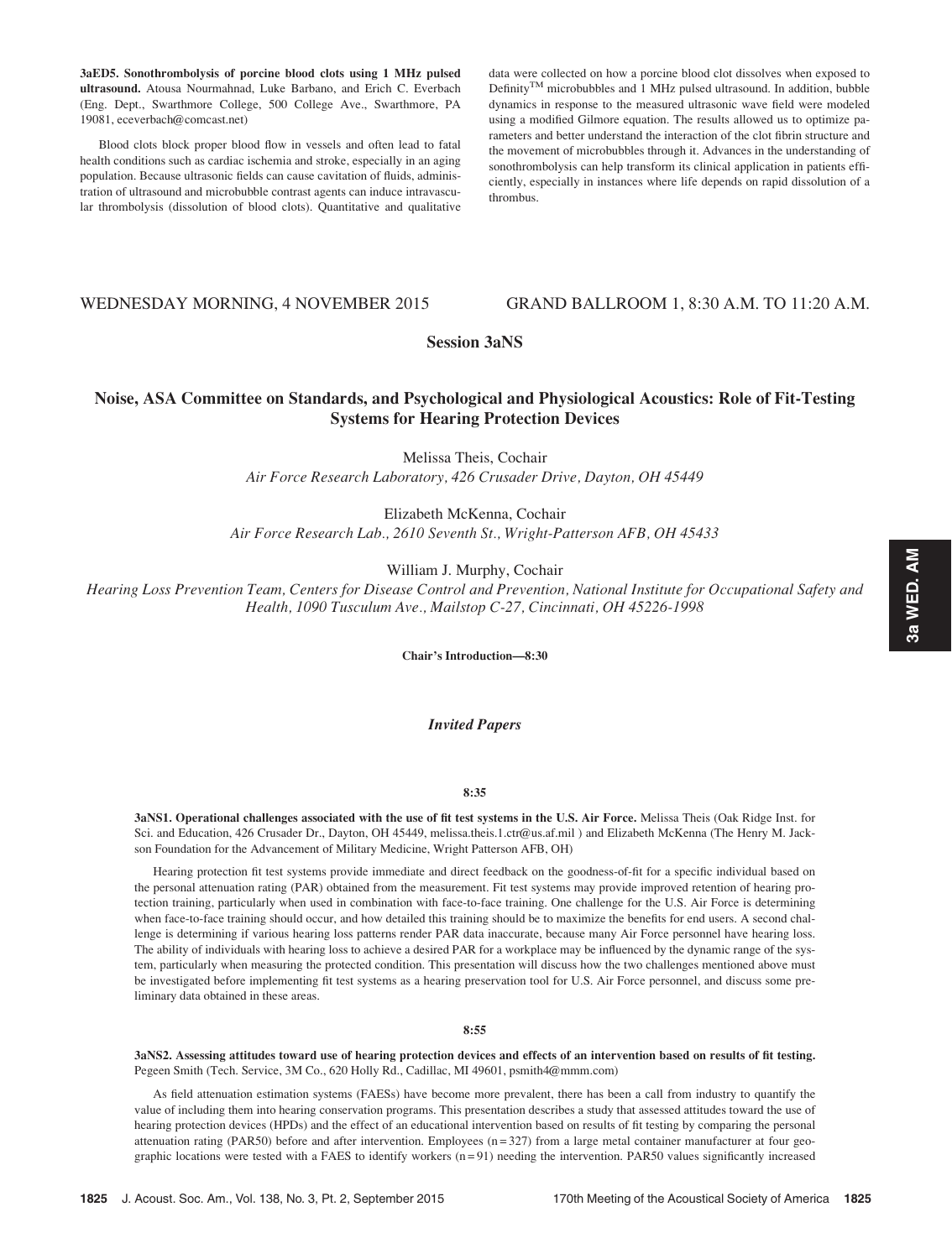3aED5. Sonothrombolysis of porcine blood clots using 1 MHz pulsed ultrasound. Atousa Nourmahnad, Luke Barbano, and Erich C. Everbach (Eng. Dept., Swarthmore College, 500 College Ave., Swarthmore, PA 19081, eceverbach@comcast.net)

Blood clots block proper blood flow in vessels and often lead to fatal health conditions such as cardiac ischemia and stroke, especially in an aging population. Because ultrasonic fields can cause cavitation of fluids, administration of ultrasound and microbubble contrast agents can induce intravascular thrombolysis (dissolution of blood clots). Quantitative and qualitative

data were collected on how a porcine blood clot dissolves when exposed to  $Definity^{TM}$  microbubbles and 1 MHz pulsed ultrasound. In addition, bubble dynamics in response to the measured ultrasonic wave field were modeled using a modified Gilmore equation. The results allowed us to optimize parameters and better understand the interaction of the clot fibrin structure and the movement of microbubbles through it. Advances in the understanding of sonothrombolysis can help transform its clinical application in patients efficiently, especially in instances where life depends on rapid dissolution of a thrombus.

# WEDNESDAY MORNING, 4 NOVEMBER 2015 GRAND BALLROOM 1, 8:30 A.M. TO 11:20 A.M.

# Session 3aNS

# Noise, ASA Committee on Standards, and Psychological and Physiological Acoustics: Role of Fit-Testing Systems for Hearing Protection Devices

Melissa Theis, Cochair Air Force Research Laboratory, 426 Crusader Drive, Dayton, OH 45449

Elizabeth McKenna, Cochair Air Force Research Lab., 2610 Seventh St., Wright-Patterson AFB, OH 45433

William J. Murphy, Cochair

Hearing Loss Prevention Team, Centers for Disease Control and Prevention, National Institute for Occupational Safety and Health, 1090 Tusculum Ave., Mailstop C-27, Cincinnati, OH 45226-1998

Chair's Introduction—8:30

# Invited Papers

### 8:35

3aNS1. Operational challenges associated with the use of fit test systems in the U.S. Air Force. Melissa Theis (Oak Ridge Inst. for Sci. and Education, 426 Crusader Dr., Dayton, OH 45449, melissa.theis.1.ctr@us.af.mil ) and Elizabeth McKenna (The Henry M. Jackson Foundation for the Advancement of Military Medicine, Wright Patterson AFB, OH)

Hearing protection fit test systems provide immediate and direct feedback on the goodness-of-fit for a specific individual based on the personal attenuation rating (PAR) obtained from the measurement. Fit test systems may provide improved retention of hearing protection training, particularly when used in combination with face-to-face training. One challenge for the U.S. Air Force is determining when face-to-face training should occur, and how detailed this training should be to maximize the benefits for end users. A second challenge is determining if various hearing loss patterns render PAR data inaccurate, because many Air Force personnel have hearing loss. The ability of individuals with hearing loss to achieve a desired PAR for a workplace may be influenced by the dynamic range of the system, particularly when measuring the protected condition. This presentation will discuss how the two challenges mentioned above must be investigated before implementing fit test systems as a hearing preservation tool for U.S. Air Force personnel, and discuss some preliminary data obtained in these areas.

#### 8:55

3aNS2. Assessing attitudes toward use of hearing protection devices and effects of an intervention based on results of fit testing. Pegeen Smith (Tech. Service, 3M Co., 620 Holly Rd., Cadillac, MI 49601, psmith4@mmm.com)

As field attenuation estimation systems (FAESs) have become more prevalent, there has been a call from industry to quantify the value of including them into hearing conservation programs. This presentation describes a study that assessed attitudes toward the use of hearing protection devices (HPDs) and the effect of an educational intervention based on results of fit testing by comparing the personal attenuation rating (PAR50) before and after intervention. Employees  $(n=327)$  from a large metal container manufacturer at four geographic locations were tested with a FAES to identify workers  $(n=91)$  needing the intervention. PAR50 values significantly increased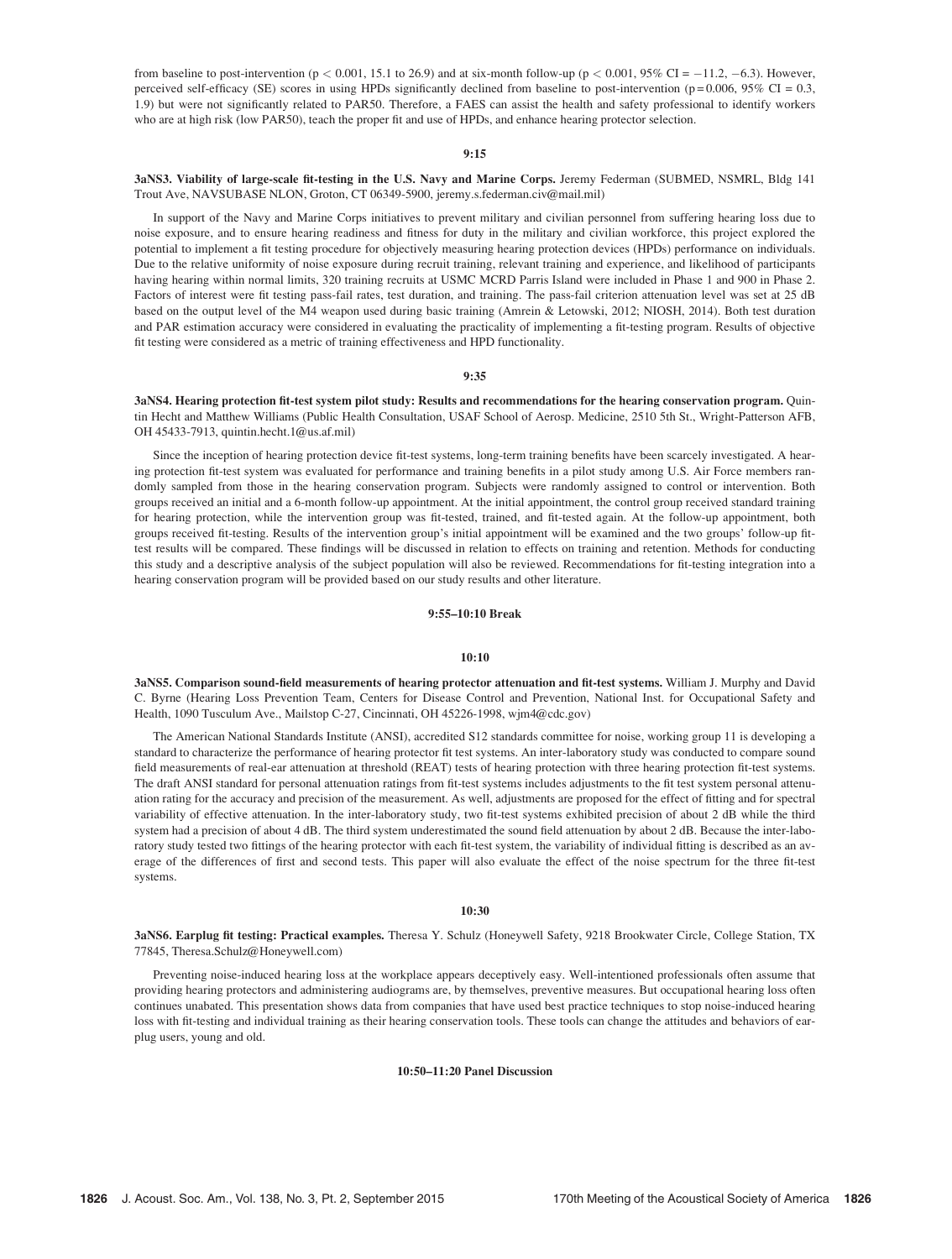from baseline to post-intervention ( $p < 0.001$ , 15.1 to 26.9) and at six-month follow-up ( $p < 0.001$ , 95% CI = -11.2, -6.3). However, perceived self-efficacy (SE) scores in using HPDs significantly declined from baseline to post-intervention ( $p = 0.006$ , 95% CI = 0.3, 1.9) but were not significantly related to PAR50. Therefore, a FAES can assist the health and safety professional to identify workers who are at high risk (low PAR50), teach the proper fit and use of HPDs, and enhance hearing protector selection.

### 9:15

3aNS3. Viability of large-scale fit-testing in the U.S. Navy and Marine Corps. Jeremy Federman (SUBMED, NSMRL, Bldg 141 Trout Ave, NAVSUBASE NLON, Groton, CT 06349-5900, jeremy.s.federman.civ@mail.mil)

In support of the Navy and Marine Corps initiatives to prevent military and civilian personnel from suffering hearing loss due to noise exposure, and to ensure hearing readiness and fitness for duty in the military and civilian workforce, this project explored the potential to implement a fit testing procedure for objectively measuring hearing protection devices (HPDs) performance on individuals. Due to the relative uniformity of noise exposure during recruit training, relevant training and experience, and likelihood of participants having hearing within normal limits, 320 training recruits at USMC MCRD Parris Island were included in Phase 1 and 900 in Phase 2. Factors of interest were fit testing pass-fail rates, test duration, and training. The pass-fail criterion attenuation level was set at 25 dB based on the output level of the M4 weapon used during basic training (Amrein & Letowski, 2012; NIOSH, 2014). Both test duration and PAR estimation accuracy were considered in evaluating the practicality of implementing a fit-testing program. Results of objective fit testing were considered as a metric of training effectiveness and HPD functionality.

### 9:35

3aNS4. Hearing protection fit-test system pilot study: Results and recommendations for the hearing conservation program. Quintin Hecht and Matthew Williams (Public Health Consultation, USAF School of Aerosp. Medicine, 2510 5th St., Wright-Patterson AFB, OH 45433-7913, quintin.hecht.1@us.af.mil)

Since the inception of hearing protection device fit-test systems, long-term training benefits have been scarcely investigated. A hearing protection fit-test system was evaluated for performance and training benefits in a pilot study among U.S. Air Force members randomly sampled from those in the hearing conservation program. Subjects were randomly assigned to control or intervention. Both groups received an initial and a 6-month follow-up appointment. At the initial appointment, the control group received standard training for hearing protection, while the intervention group was fit-tested, trained, and fit-tested again. At the follow-up appointment, both groups received fit-testing. Results of the intervention group's initial appointment will be examined and the two groups' follow-up fittest results will be compared. These findings will be discussed in relation to effects on training and retention. Methods for conducting this study and a descriptive analysis of the subject population will also be reviewed. Recommendations for fit-testing integration into a hearing conservation program will be provided based on our study results and other literature.

# 9:55–10:10 Break

### 10:10

3aNS5. Comparison sound-field measurements of hearing protector attenuation and fit-test systems. William J. Murphy and David C. Byrne (Hearing Loss Prevention Team, Centers for Disease Control and Prevention, National Inst. for Occupational Safety and Health, 1090 Tusculum Ave., Mailstop C-27, Cincinnati, OH 45226-1998, wjm4@cdc.gov)

The American National Standards Institute (ANSI), accredited S12 standards committee for noise, working group 11 is developing a standard to characterize the performance of hearing protector fit test systems. An inter-laboratory study was conducted to compare sound field measurements of real-ear attenuation at threshold (REAT) tests of hearing protection with three hearing protection fit-test systems. The draft ANSI standard for personal attenuation ratings from fit-test systems includes adjustments to the fit test system personal attenuation rating for the accuracy and precision of the measurement. As well, adjustments are proposed for the effect of fitting and for spectral variability of effective attenuation. In the inter-laboratory study, two fit-test systems exhibited precision of about 2 dB while the third system had a precision of about 4 dB. The third system underestimated the sound field attenuation by about 2 dB. Because the inter-laboratory study tested two fittings of the hearing protector with each fit-test system, the variability of individual fitting is described as an average of the differences of first and second tests. This paper will also evaluate the effect of the noise spectrum for the three fit-test systems.

#### 10:30

3aNS6. Earplug fit testing: Practical examples. Theresa Y. Schulz (Honeywell Safety, 9218 Brookwater Circle, College Station, TX 77845, Theresa.Schulz@Honeywell.com)

Preventing noise-induced hearing loss at the workplace appears deceptively easy. Well-intentioned professionals often assume that providing hearing protectors and administering audiograms are, by themselves, preventive measures. But occupational hearing loss often continues unabated. This presentation shows data from companies that have used best practice techniques to stop noise-induced hearing loss with fit-testing and individual training as their hearing conservation tools. These tools can change the attitudes and behaviors of earplug users, young and old.

#### 10:50–11:20 Panel Discussion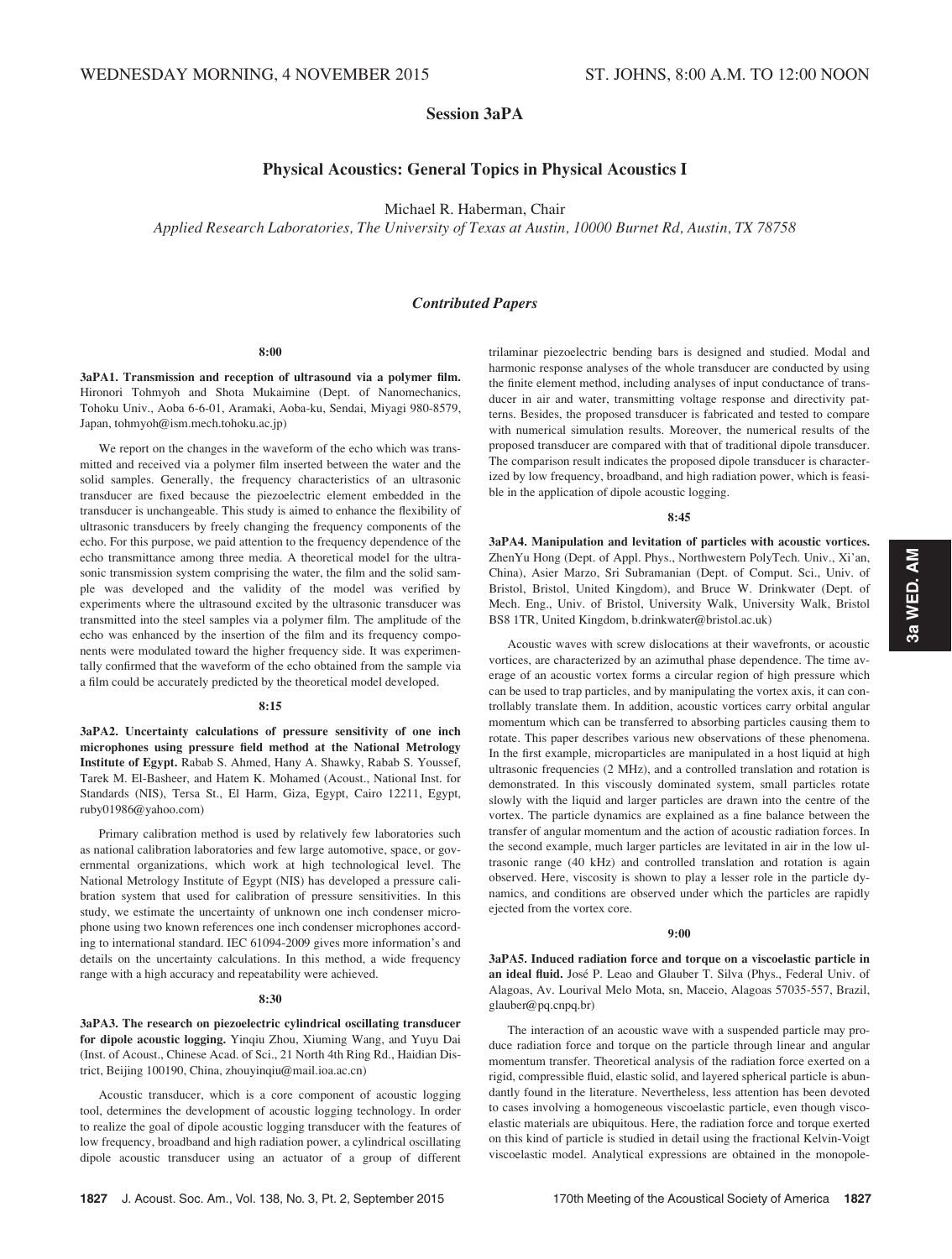# Session 3aPA

# Physical Acoustics: General Topics in Physical Acoustics I

Michael R. Haberman, Chair

Applied Research Laboratories, The University of Texas at Austin, 10000 Burnet Rd, Austin, TX 78758

# Contributed Papers

#### 8:00

3aPA1. Transmission and reception of ultrasound via a polymer film. Hironori Tohmyoh and Shota Mukaimine (Dept. of Nanomechanics, Tohoku Univ., Aoba 6-6-01, Aramaki, Aoba-ku, Sendai, Miyagi 980-8579, Japan, tohmyoh@ism.mech.tohoku.ac.jp)

We report on the changes in the waveform of the echo which was transmitted and received via a polymer film inserted between the water and the solid samples. Generally, the frequency characteristics of an ultrasonic transducer are fixed because the piezoelectric element embedded in the transducer is unchangeable. This study is aimed to enhance the flexibility of ultrasonic transducers by freely changing the frequency components of the echo. For this purpose, we paid attention to the frequency dependence of the echo transmittance among three media. A theoretical model for the ultrasonic transmission system comprising the water, the film and the solid sample was developed and the validity of the model was verified by experiments where the ultrasound excited by the ultrasonic transducer was transmitted into the steel samples via a polymer film. The amplitude of the echo was enhanced by the insertion of the film and its frequency components were modulated toward the higher frequency side. It was experimentally confirmed that the waveform of the echo obtained from the sample via a film could be accurately predicted by the theoretical model developed.

#### 8:15

3aPA2. Uncertainty calculations of pressure sensitivity of one inch microphones using pressure field method at the National Metrology Institute of Egypt. Rabab S. Ahmed, Hany A. Shawky, Rabab S. Youssef, Tarek M. El-Basheer, and Hatem K. Mohamed (Acoust., National Inst. for Standards (NIS), Tersa St., El Harm, Giza, Egypt, Cairo 12211, Egypt, ruby01986@yahoo.com)

Primary calibration method is used by relatively few laboratories such as national calibration laboratories and few large automotive, space, or governmental organizations, which work at high technological level. The National Metrology Institute of Egypt (NIS) has developed a pressure calibration system that used for calibration of pressure sensitivities. In this study, we estimate the uncertainty of unknown one inch condenser microphone using two known references one inch condenser microphones according to international standard. IEC 61094-2009 gives more information's and details on the uncertainty calculations. In this method, a wide frequency range with a high accuracy and repeatability were achieved.

### 8:30

3aPA3. The research on piezoelectric cylindrical oscillating transducer for dipole acoustic logging. Yinqiu Zhou, Xiuming Wang, and Yuyu Dai (Inst. of Acoust., Chinese Acad. of Sci., 21 North 4th Ring Rd., Haidian District, Beijing 100190, China, zhouyinqiu@mail.ioa.ac.cn)

Acoustic transducer, which is a core component of acoustic logging tool, determines the development of acoustic logging technology. In order to realize the goal of dipole acoustic logging transducer with the features of low frequency, broadband and high radiation power, a cylindrical oscillating dipole acoustic transducer using an actuator of a group of different trilaminar piezoelectric bending bars is designed and studied. Modal and harmonic response analyses of the whole transducer are conducted by using the finite element method, including analyses of input conductance of transducer in air and water, transmitting voltage response and directivity patterns. Besides, the proposed transducer is fabricated and tested to compare with numerical simulation results. Moreover, the numerical results of the proposed transducer are compared with that of traditional dipole transducer. The comparison result indicates the proposed dipole transducer is characterized by low frequency, broadband, and high radiation power, which is feasible in the application of dipole acoustic logging.

### 8:45

3aPA4. Manipulation and levitation of particles with acoustic vortices. ZhenYu Hong (Dept. of Appl. Phys., Northwestern PolyTech. Univ., Xi'an, China), Asier Marzo, Sri Subramanian (Dept. of Comput. Sci., Univ. of Bristol, Bristol, United Kingdom), and Bruce W. Drinkwater (Dept. of Mech. Eng., Univ. of Bristol, University Walk, University Walk, Bristol BS8 1TR, United Kingdom, b.drinkwater@bristol.ac.uk)

Acoustic waves with screw dislocations at their wavefronts, or acoustic vortices, are characterized by an azimuthal phase dependence. The time average of an acoustic vortex forms a circular region of high pressure which can be used to trap particles, and by manipulating the vortex axis, it can controllably translate them. In addition, acoustic vortices carry orbital angular momentum which can be transferred to absorbing particles causing them to rotate. This paper describes various new observations of these phenomena. In the first example, microparticles are manipulated in a host liquid at high ultrasonic frequencies (2 MHz), and a controlled translation and rotation is demonstrated. In this viscously dominated system, small particles rotate slowly with the liquid and larger particles are drawn into the centre of the vortex. The particle dynamics are explained as a fine balance between the transfer of angular momentum and the action of acoustic radiation forces. In the second example, much larger particles are levitated in air in the low ultrasonic range (40 kHz) and controlled translation and rotation is again observed. Here, viscosity is shown to play a lesser role in the particle dynamics, and conditions are observed under which the particles are rapidly ejected from the vortex core.

### 9:00

3aPA5. Induced radiation force and torque on a viscoelastic particle in an ideal fluid. José P. Leao and Glauber T. Silva (Phys., Federal Univ. of Alagoas, Av. Lourival Melo Mota, sn, Maceio, Alagoas 57035-557, Brazil, glauber@pq.cnpq.br)

The interaction of an acoustic wave with a suspended particle may produce radiation force and torque on the particle through linear and angular momentum transfer. Theoretical analysis of the radiation force exerted on a rigid, compressible fluid, elastic solid, and layered spherical particle is abundantly found in the literature. Nevertheless, less attention has been devoted to cases involving a homogeneous viscoelastic particle, even though viscoelastic materials are ubiquitous. Here, the radiation force and torque exerted on this kind of particle is studied in detail using the fractional Kelvin-Voigt viscoelastic model. Analytical expressions are obtained in the monopole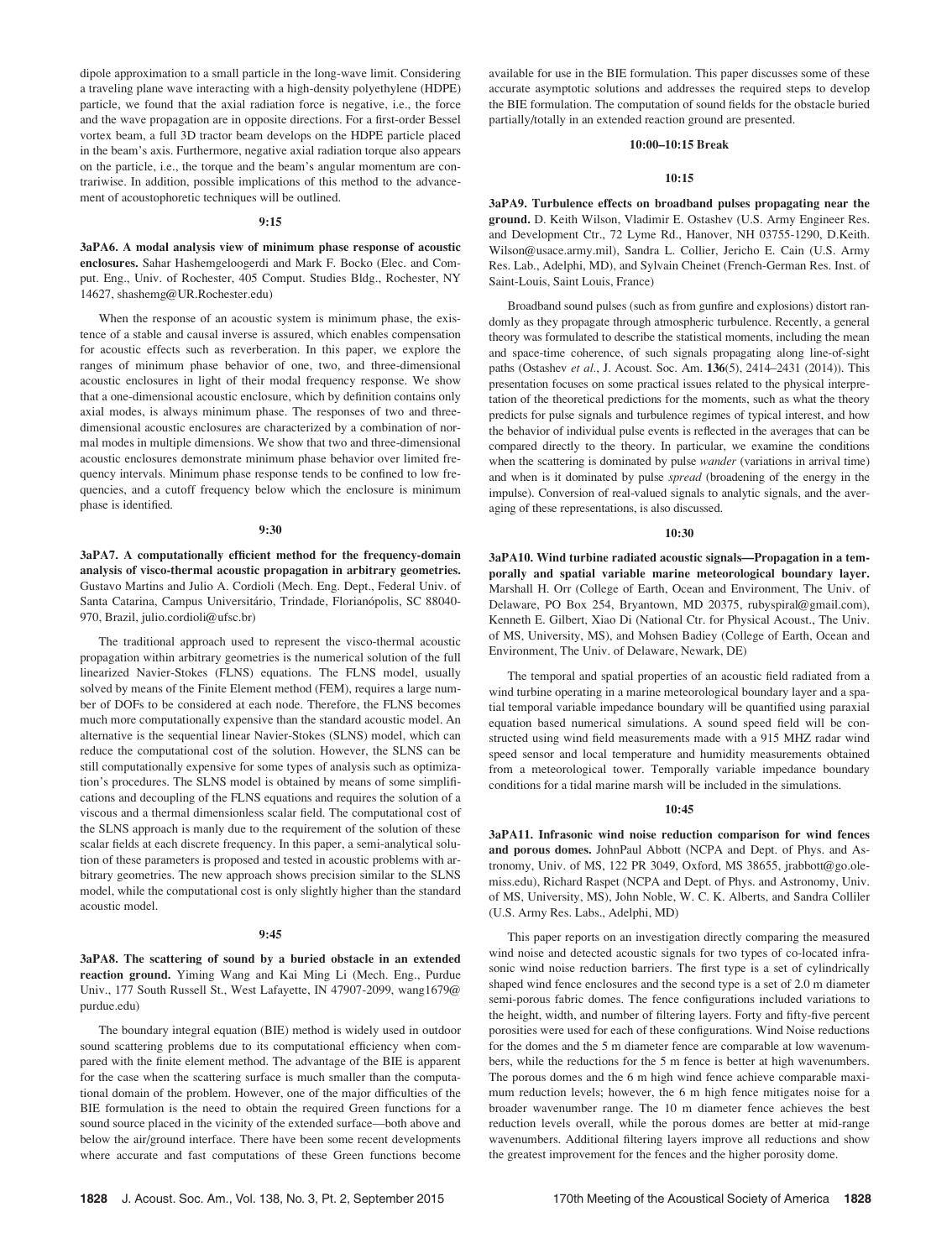dipole approximation to a small particle in the long-wave limit. Considering a traveling plane wave interacting with a high-density polyethylene (HDPE) particle, we found that the axial radiation force is negative, i.e., the force and the wave propagation are in opposite directions. For a first-order Bessel vortex beam, a full 3D tractor beam develops on the HDPE particle placed in the beam's axis. Furthermore, negative axial radiation torque also appears on the particle, i.e., the torque and the beam's angular momentum are contrariwise. In addition, possible implications of this method to the advancement of acoustophoretic techniques will be outlined.

#### 9:15

3aPA6. A modal analysis view of minimum phase response of acoustic enclosures. Sahar Hashemgeloogerdi and Mark F. Bocko (Elec. and Comput. Eng., Univ. of Rochester, 405 Comput. Studies Bldg., Rochester, NY 14627, shashemg@UR.Rochester.edu)

When the response of an acoustic system is minimum phase, the existence of a stable and causal inverse is assured, which enables compensation for acoustic effects such as reverberation. In this paper, we explore the ranges of minimum phase behavior of one, two, and three-dimensional acoustic enclosures in light of their modal frequency response. We show that a one-dimensional acoustic enclosure, which by definition contains only axial modes, is always minimum phase. The responses of two and threedimensional acoustic enclosures are characterized by a combination of normal modes in multiple dimensions. We show that two and three-dimensional acoustic enclosures demonstrate minimum phase behavior over limited frequency intervals. Minimum phase response tends to be confined to low frequencies, and a cutoff frequency below which the enclosure is minimum phase is identified.

### 9:30

3aPA7. A computationally efficient method for the frequency-domain analysis of visco-thermal acoustic propagation in arbitrary geometries. Gustavo Martins and Julio A. Cordioli (Mech. Eng. Dept., Federal Univ. of Santa Catarina, Campus Universitário, Trindade, Florianópolis, SC 88040-970, Brazil, julio.cordioli@ufsc.br)

The traditional approach used to represent the visco-thermal acoustic propagation within arbitrary geometries is the numerical solution of the full linearized Navier-Stokes (FLNS) equations. The FLNS model, usually solved by means of the Finite Element method (FEM), requires a large number of DOFs to be considered at each node. Therefore, the FLNS becomes much more computationally expensive than the standard acoustic model. An alternative is the sequential linear Navier-Stokes (SLNS) model, which can reduce the computational cost of the solution. However, the SLNS can be still computationally expensive for some types of analysis such as optimization's procedures. The SLNS model is obtained by means of some simplifications and decoupling of the FLNS equations and requires the solution of a viscous and a thermal dimensionless scalar field. The computational cost of the SLNS approach is manly due to the requirement of the solution of these scalar fields at each discrete frequency. In this paper, a semi-analytical solution of these parameters is proposed and tested in acoustic problems with arbitrary geometries. The new approach shows precision similar to the SLNS model, while the computational cost is only slightly higher than the standard acoustic model.

#### 9:45

3aPA8. The scattering of sound by a buried obstacle in an extended reaction ground. Yiming Wang and Kai Ming Li (Mech. Eng., Purdue Univ., 177 South Russell St., West Lafayette, IN 47907-2099, wang1679@ purdue.edu)

The boundary integral equation (BIE) method is widely used in outdoor sound scattering problems due to its computational efficiency when compared with the finite element method. The advantage of the BIE is apparent for the case when the scattering surface is much smaller than the computational domain of the problem. However, one of the major difficulties of the BIE formulation is the need to obtain the required Green functions for a sound source placed in the vicinity of the extended surface—both above and below the air/ground interface. There have been some recent developments where accurate and fast computations of these Green functions become available for use in the BIE formulation. This paper discusses some of these accurate asymptotic solutions and addresses the required steps to develop the BIE formulation. The computation of sound fields for the obstacle buried partially/totally in an extended reaction ground are presented.

### 10:00–10:15 Break

### 10:15

3aPA9. Turbulence effects on broadband pulses propagating near the ground. D. Keith Wilson, Vladimir E. Ostashev (U.S. Army Engineer Res. and Development Ctr., 72 Lyme Rd., Hanover, NH 03755-1290, D.Keith. Wilson@usace.army.mil), Sandra L. Collier, Jericho E. Cain (U.S. Army Res. Lab., Adelphi, MD), and Sylvain Cheinet (French-German Res. Inst. of Saint-Louis, Saint Louis, France)

Broadband sound pulses (such as from gunfire and explosions) distort randomly as they propagate through atmospheric turbulence. Recently, a general theory was formulated to describe the statistical moments, including the mean and space-time coherence, of such signals propagating along line-of-sight paths (Ostashev et al., J. Acoust. Soc. Am. 136(5), 2414-2431 (2014)). This presentation focuses on some practical issues related to the physical interpretation of the theoretical predictions for the moments, such as what the theory predicts for pulse signals and turbulence regimes of typical interest, and how the behavior of individual pulse events is reflected in the averages that can be compared directly to the theory. In particular, we examine the conditions when the scattering is dominated by pulse *wander* (variations in arrival time) and when is it dominated by pulse spread (broadening of the energy in the impulse). Conversion of real-valued signals to analytic signals, and the averaging of these representations, is also discussed.

#### 10:30

3aPA10. Wind turbine radiated acoustic signals—Propagation in a temporally and spatial variable marine meteorological boundary layer. Marshall H. Orr (College of Earth, Ocean and Environment, The Univ. of Delaware, PO Box 254, Bryantown, MD 20375, rubyspiral@gmail.com), Kenneth E. Gilbert, Xiao Di (National Ctr. for Physical Acoust., The Univ. of MS, University, MS), and Mohsen Badiey (College of Earth, Ocean and Environment, The Univ. of Delaware, Newark, DE)

The temporal and spatial properties of an acoustic field radiated from a wind turbine operating in a marine meteorological boundary layer and a spatial temporal variable impedance boundary will be quantified using paraxial equation based numerical simulations. A sound speed field will be constructed using wind field measurements made with a 915 MHZ radar wind speed sensor and local temperature and humidity measurements obtained from a meteorological tower. Temporally variable impedance boundary conditions for a tidal marine marsh will be included in the simulations.

#### $10.45$

3aPA11. Infrasonic wind noise reduction comparison for wind fences and porous domes. JohnPaul Abbott (NCPA and Dept. of Phys. and Astronomy, Univ. of MS, 122 PR 3049, Oxford, MS 38655, jrabbott@go.olemiss.edu), Richard Raspet (NCPA and Dept. of Phys. and Astronomy, Univ. of MS, University, MS), John Noble, W. C. K. Alberts, and Sandra Colliler (U.S. Army Res. Labs., Adelphi, MD)

This paper reports on an investigation directly comparing the measured wind noise and detected acoustic signals for two types of co-located infrasonic wind noise reduction barriers. The first type is a set of cylindrically shaped wind fence enclosures and the second type is a set of 2.0 m diameter semi-porous fabric domes. The fence configurations included variations to the height, width, and number of filtering layers. Forty and fifty-five percent porosities were used for each of these configurations. Wind Noise reductions for the domes and the 5 m diameter fence are comparable at low wavenumbers, while the reductions for the 5 m fence is better at high wavenumbers. The porous domes and the 6 m high wind fence achieve comparable maximum reduction levels; however, the 6 m high fence mitigates noise for a broader wavenumber range. The 10 m diameter fence achieves the best reduction levels overall, while the porous domes are better at mid-range wavenumbers. Additional filtering layers improve all reductions and show the greatest improvement for the fences and the higher porosity dome.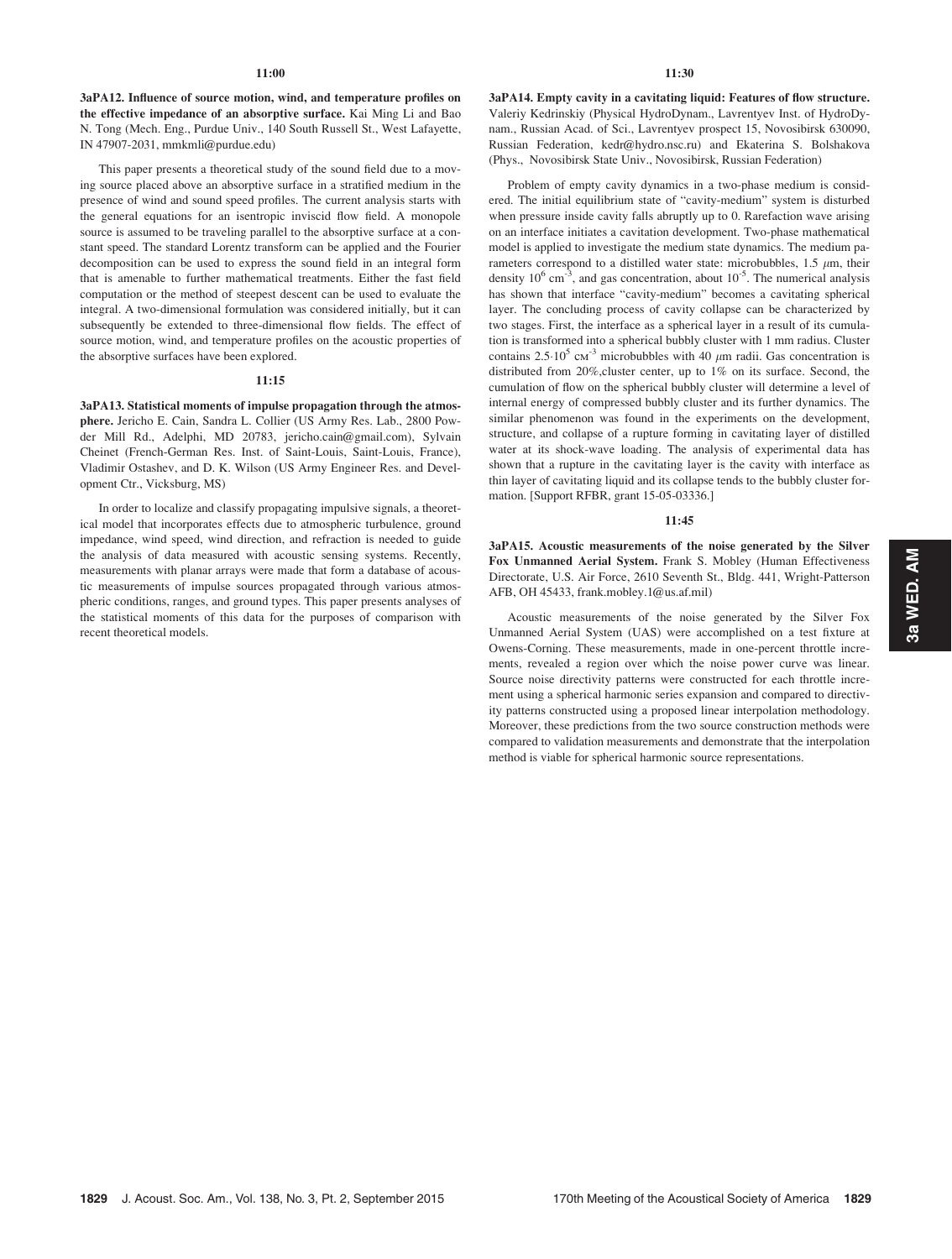### 11:00

3aPA12. Influence of source motion, wind, and temperature profiles on the effective impedance of an absorptive surface. Kai Ming Li and Bao N. Tong (Mech. Eng., Purdue Univ., 140 South Russell St., West Lafayette, IN 47907-2031, mmkmli@purdue.edu)

This paper presents a theoretical study of the sound field due to a moving source placed above an absorptive surface in a stratified medium in the presence of wind and sound speed profiles. The current analysis starts with the general equations for an isentropic inviscid flow field. A monopole source is assumed to be traveling parallel to the absorptive surface at a constant speed. The standard Lorentz transform can be applied and the Fourier decomposition can be used to express the sound field in an integral form that is amenable to further mathematical treatments. Either the fast field computation or the method of steepest descent can be used to evaluate the integral. A two-dimensional formulation was considered initially, but it can subsequently be extended to three-dimensional flow fields. The effect of source motion, wind, and temperature profiles on the acoustic properties of the absorptive surfaces have been explored.

#### 11:15

3aPA13. Statistical moments of impulse propagation through the atmosphere. Jericho E. Cain, Sandra L. Collier (US Army Res. Lab., 2800 Powder Mill Rd., Adelphi, MD 20783, jericho.cain@gmail.com), Sylvain Cheinet (French-German Res. Inst. of Saint-Louis, Saint-Louis, France), Vladimir Ostashev, and D. K. Wilson (US Army Engineer Res. and Development Ctr., Vicksburg, MS)

In order to localize and classify propagating impulsive signals, a theoretical model that incorporates effects due to atmospheric turbulence, ground impedance, wind speed, wind direction, and refraction is needed to guide the analysis of data measured with acoustic sensing systems. Recently, measurements with planar arrays were made that form a database of acoustic measurements of impulse sources propagated through various atmospheric conditions, ranges, and ground types. This paper presents analyses of the statistical moments of this data for the purposes of comparison with recent theoretical models.

### 11:30

3aPA14. Empty cavity in a cavitating liquid: Features of flow structure. Valeriy Kedrinskiy (Physical HydroDynam., Lavrentyev Inst. of HydroDynam., Russian Acad. of Sci., Lavrentyev prospect 15, Novosibirsk 630090, Russian Federation, kedr@hydro.nsc.ru) and Ekaterina S. Bolshakova (Phys., Novosibirsk State Univ., Novosibirsk, Russian Federation)

Problem of empty cavity dynamics in a two-phase medium is considered. The initial equilibrium state of "cavity-medium" system is disturbed when pressure inside cavity falls abruptly up to 0. Rarefaction wave arising on an interface initiates a cavitation development. Two-phase mathematical model is applied to investigate the medium state dynamics. The medium parameters correspond to a distilled water state: microbubbles,  $1.5 \mu m$ , their density  $10^6$  cm<sup>-3</sup>, and gas concentration, about  $10^{-5}$ . The numerical analysis has shown that interface "cavity-medium" becomes a cavitating spherical layer. The concluding process of cavity collapse can be characterized by two stages. First, the interface as a spherical layer in a result of its cumulation is transformed into a spherical bubbly cluster with 1 mm radius. Cluster contains  $2.5 \cdot 10^5$  cm<sup>-3</sup> microbubbles with 40  $\mu$ m radii. Gas concentration is distributed from 20%,cluster center, up to 1% on its surface. Second, the cumulation of flow on the spherical bubbly cluster will determine a level of internal energy of compressed bubbly cluster and its further dynamics. The similar phenomenon was found in the experiments on the development, structure, and collapse of a rupture forming in cavitating layer of distilled water at its shock-wave loading. The analysis of experimental data has shown that a rupture in the cavitating layer is the cavity with interface as thin layer of cavitating liquid and its collapse tends to the bubbly cluster formation. [Support RFBR, grant 15-05-03336.]

#### 11:45

3aPA15. Acoustic measurements of the noise generated by the Silver Fox Unmanned Aerial System. Frank S. Mobley (Human Effectiveness Directorate, U.S. Air Force, 2610 Seventh St., Bldg. 441, Wright-Patterson AFB, OH 45433, frank.mobley.1@us.af.mil)

Acoustic measurements of the noise generated by the Silver Fox Unmanned Aerial System (UAS) were accomplished on a test fixture at Owens-Corning. These measurements, made in one-percent throttle increments, revealed a region over which the noise power curve was linear. Source noise directivity patterns were constructed for each throttle increment using a spherical harmonic series expansion and compared to directivity patterns constructed using a proposed linear interpolation methodology. Moreover, these predictions from the two source construction methods were compared to validation measurements and demonstrate that the interpolation method is viable for spherical harmonic source representations.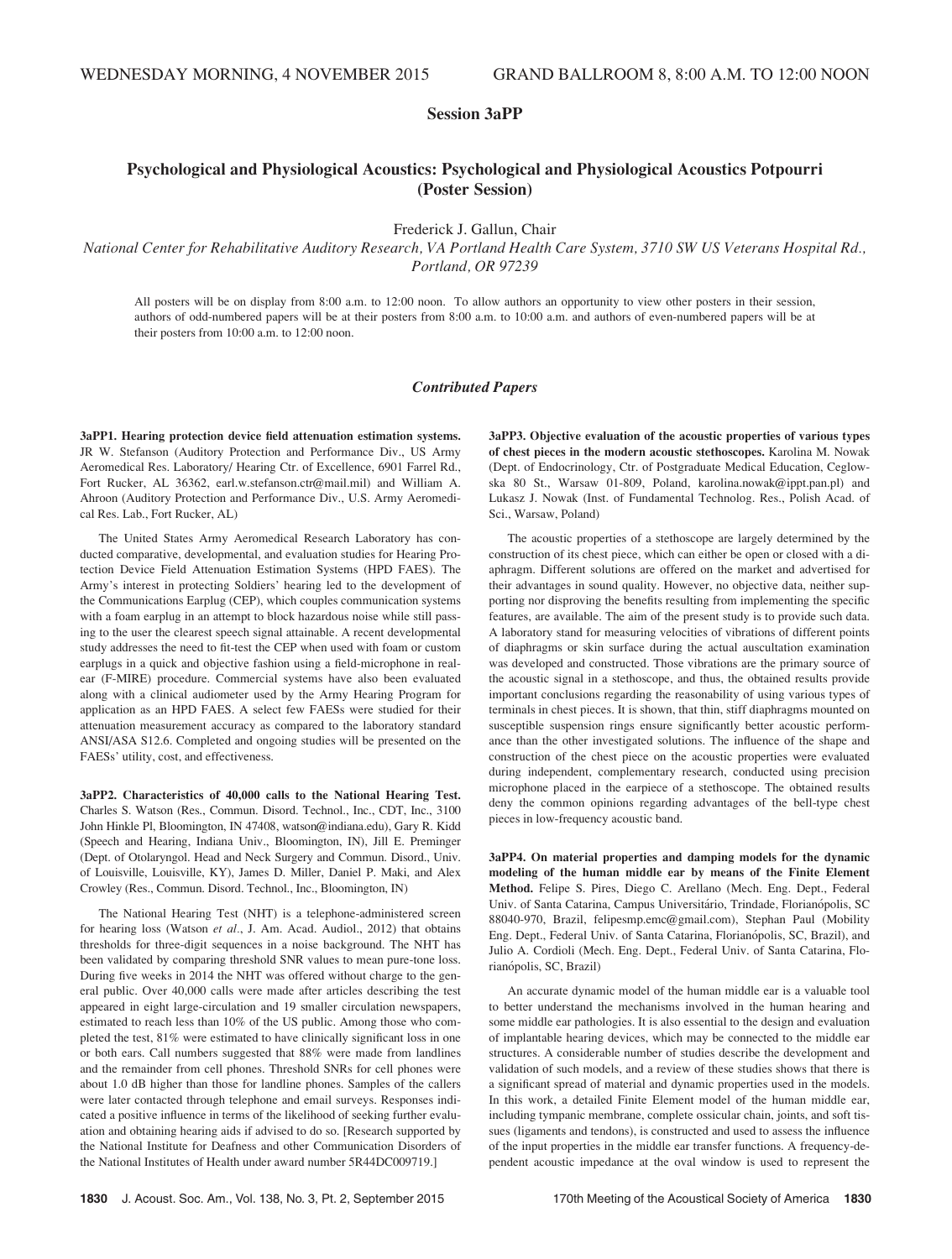# Session 3aPP

# Psychological and Physiological Acoustics: Psychological and Physiological Acoustics Potpourri (Poster Session)

Frederick J. Gallun, Chair

National Center for Rehabilitative Auditory Research, VA Portland Health Care System, 3710 SW US Veterans Hospital Rd., Portland, OR 97239

All posters will be on display from 8:00 a.m. to 12:00 noon. To allow authors an opportunity to view other posters in their session, authors of odd-numbered papers will be at their posters from 8:00 a.m. to 10:00 a.m. and authors of even-numbered papers will be at their posters from 10:00 a.m. to 12:00 noon.

# Contributed Papers

3aPP1. Hearing protection device field attenuation estimation systems. JR W. Stefanson (Auditory Protection and Performance Div., US Army Aeromedical Res. Laboratory/ Hearing Ctr. of Excellence, 6901 Farrel Rd., Fort Rucker, AL 36362, earl.w.stefanson.ctr@mail.mil) and William A. Ahroon (Auditory Protection and Performance Div., U.S. Army Aeromedical Res. Lab., Fort Rucker, AL)

The United States Army Aeromedical Research Laboratory has conducted comparative, developmental, and evaluation studies for Hearing Protection Device Field Attenuation Estimation Systems (HPD FAES). The Army's interest in protecting Soldiers' hearing led to the development of the Communications Earplug (CEP), which couples communication systems with a foam earplug in an attempt to block hazardous noise while still passing to the user the clearest speech signal attainable. A recent developmental study addresses the need to fit-test the CEP when used with foam or custom earplugs in a quick and objective fashion using a field-microphone in realear (F-MIRE) procedure. Commercial systems have also been evaluated along with a clinical audiometer used by the Army Hearing Program for application as an HPD FAES. A select few FAESs were studied for their attenuation measurement accuracy as compared to the laboratory standard ANSI/ASA S12.6. Completed and ongoing studies will be presented on the FAESs' utility, cost, and effectiveness.

3aPP2. Characteristics of 40,000 calls to the National Hearing Test. Charles S. Watson (Res., Commun. Disord. Technol., Inc., CDT, Inc., 3100 John Hinkle Pl, Bloomington, IN 47408, watson@indiana.edu), Gary R. Kidd (Speech and Hearing, Indiana Univ., Bloomington, IN), Jill E. Preminger (Dept. of Otolaryngol. Head and Neck Surgery and Commun. Disord., Univ. of Louisville, Louisville, KY), James D. Miller, Daniel P. Maki, and Alex Crowley (Res., Commun. Disord. Technol., Inc., Bloomington, IN)

The National Hearing Test (NHT) is a telephone-administered screen for hearing loss (Watson et al., J. Am. Acad. Audiol., 2012) that obtains thresholds for three-digit sequences in a noise background. The NHT has been validated by comparing threshold SNR values to mean pure-tone loss. During five weeks in 2014 the NHT was offered without charge to the general public. Over 40,000 calls were made after articles describing the test appeared in eight large-circulation and 19 smaller circulation newspapers, estimated to reach less than 10% of the US public. Among those who completed the test, 81% were estimated to have clinically significant loss in one or both ears. Call numbers suggested that 88% were made from landlines and the remainder from cell phones. Threshold SNRs for cell phones were about 1.0 dB higher than those for landline phones. Samples of the callers were later contacted through telephone and email surveys. Responses indicated a positive influence in terms of the likelihood of seeking further evaluation and obtaining hearing aids if advised to do so. [Research supported by the National Institute for Deafness and other Communication Disorders of the National Institutes of Health under award number 5R44DC009719.]

3aPP3. Objective evaluation of the acoustic properties of various types of chest pieces in the modern acoustic stethoscopes. Karolina M. Nowak (Dept. of Endocrinology, Ctr. of Postgraduate Medical Education, Ceglowska 80 St., Warsaw 01-809, Poland, karolina.nowak@ippt.pan.pl) and Lukasz J. Nowak (Inst. of Fundamental Technolog. Res., Polish Acad. of Sci., Warsaw, Poland)

The acoustic properties of a stethoscope are largely determined by the construction of its chest piece, which can either be open or closed with a diaphragm. Different solutions are offered on the market and advertised for their advantages in sound quality. However, no objective data, neither supporting nor disproving the benefits resulting from implementing the specific features, are available. The aim of the present study is to provide such data. A laboratory stand for measuring velocities of vibrations of different points of diaphragms or skin surface during the actual auscultation examination was developed and constructed. Those vibrations are the primary source of the acoustic signal in a stethoscope, and thus, the obtained results provide important conclusions regarding the reasonability of using various types of terminals in chest pieces. It is shown, that thin, stiff diaphragms mounted on susceptible suspension rings ensure significantly better acoustic performance than the other investigated solutions. The influence of the shape and construction of the chest piece on the acoustic properties were evaluated during independent, complementary research, conducted using precision microphone placed in the earpiece of a stethoscope. The obtained results deny the common opinions regarding advantages of the bell-type chest pieces in low-frequency acoustic band.

3aPP4. On material properties and damping models for the dynamic modeling of the human middle ear by means of the Finite Element Method. Felipe S. Pires, Diego C. Arellano (Mech. Eng. Dept., Federal Univ. of Santa Catarina, Campus Universitário, Trindade, Florianópolis, SC 88040-970, Brazil, felipesmp.emc@gmail.com), Stephan Paul (Mobility Eng. Dept., Federal Univ. of Santa Catarina, Florianópolis, SC, Brazil), and Julio A. Cordioli (Mech. Eng. Dept., Federal Univ. of Santa Catarina, Florianópolis, SC, Brazil)

An accurate dynamic model of the human middle ear is a valuable tool to better understand the mechanisms involved in the human hearing and some middle ear pathologies. It is also essential to the design and evaluation of implantable hearing devices, which may be connected to the middle ear structures. A considerable number of studies describe the development and validation of such models, and a review of these studies shows that there is a significant spread of material and dynamic properties used in the models. In this work, a detailed Finite Element model of the human middle ear, including tympanic membrane, complete ossicular chain, joints, and soft tissues (ligaments and tendons), is constructed and used to assess the influence of the input properties in the middle ear transfer functions. A frequency-dependent acoustic impedance at the oval window is used to represent the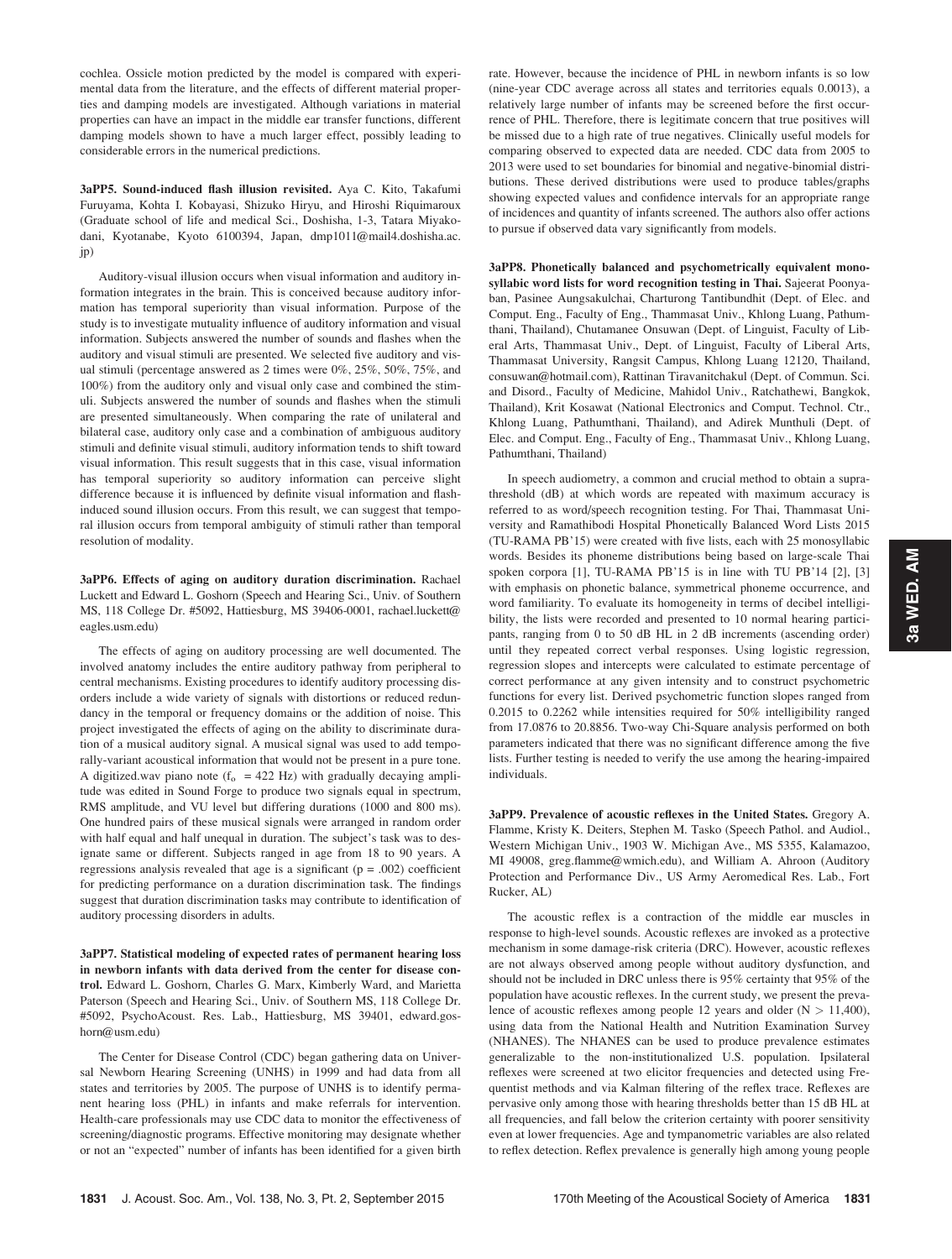cochlea. Ossicle motion predicted by the model is compared with experimental data from the literature, and the effects of different material properties and damping models are investigated. Although variations in material properties can have an impact in the middle ear transfer functions, different damping models shown to have a much larger effect, possibly leading to considerable errors in the numerical predictions.

3aPP5. Sound-induced flash illusion revisited. Aya C. Kito, Takafumi Furuyama, Kohta I. Kobayasi, Shizuko Hiryu, and Hiroshi Riquimaroux (Graduate school of life and medical Sci., Doshisha, 1-3, Tatara Miyakodani, Kyotanabe, Kyoto 6100394, Japan, dmp1011@mail4.doshisha.ac. jp)

Auditory-visual illusion occurs when visual information and auditory information integrates in the brain. This is conceived because auditory information has temporal superiority than visual information. Purpose of the study is to investigate mutuality influence of auditory information and visual information. Subjects answered the number of sounds and flashes when the auditory and visual stimuli are presented. We selected five auditory and visual stimuli (percentage answered as 2 times were 0%, 25%, 50%, 75%, and 100%) from the auditory only and visual only case and combined the stimuli. Subjects answered the number of sounds and flashes when the stimuli are presented simultaneously. When comparing the rate of unilateral and bilateral case, auditory only case and a combination of ambiguous auditory stimuli and definite visual stimuli, auditory information tends to shift toward visual information. This result suggests that in this case, visual information has temporal superiority so auditory information can perceive slight difference because it is influenced by definite visual information and flashinduced sound illusion occurs. From this result, we can suggest that temporal illusion occurs from temporal ambiguity of stimuli rather than temporal resolution of modality.

3aPP6. Effects of aging on auditory duration discrimination. Rachael Luckett and Edward L. Goshorn (Speech and Hearing Sci., Univ. of Southern MS, 118 College Dr. #5092, Hattiesburg, MS 39406-0001, rachael.luckett@ eagles.usm.edu)

The effects of aging on auditory processing are well documented. The involved anatomy includes the entire auditory pathway from peripheral to central mechanisms. Existing procedures to identify auditory processing disorders include a wide variety of signals with distortions or reduced redundancy in the temporal or frequency domains or the addition of noise. This project investigated the effects of aging on the ability to discriminate duration of a musical auditory signal. A musical signal was used to add temporally-variant acoustical information that would not be present in a pure tone. A digitized.wav piano note  $(f_0 = 422 \text{ Hz})$  with gradually decaying amplitude was edited in Sound Forge to produce two signals equal in spectrum, RMS amplitude, and VU level but differing durations (1000 and 800 ms). One hundred pairs of these musical signals were arranged in random order with half equal and half unequal in duration. The subject's task was to designate same or different. Subjects ranged in age from 18 to 90 years. A regressions analysis revealed that age is a significant ( $p = .002$ ) coefficient for predicting performance on a duration discrimination task. The findings suggest that duration discrimination tasks may contribute to identification of auditory processing disorders in adults.

3aPP7. Statistical modeling of expected rates of permanent hearing loss in newborn infants with data derived from the center for disease control. Edward L. Goshorn, Charles G. Marx, Kimberly Ward, and Marietta Paterson (Speech and Hearing Sci., Univ. of Southern MS, 118 College Dr. #5092, PsychoAcoust. Res. Lab., Hattiesburg, MS 39401, edward.goshorn@usm.edu)

The Center for Disease Control (CDC) began gathering data on Universal Newborn Hearing Screening (UNHS) in 1999 and had data from all states and territories by 2005. The purpose of UNHS is to identify permanent hearing loss (PHL) in infants and make referrals for intervention. Health-care professionals may use CDC data to monitor the effectiveness of screening/diagnostic programs. Effective monitoring may designate whether or not an "expected" number of infants has been identified for a given birth rate. However, because the incidence of PHL in newborn infants is so low (nine-year CDC average across all states and territories equals 0.0013), a relatively large number of infants may be screened before the first occurrence of PHL. Therefore, there is legitimate concern that true positives will be missed due to a high rate of true negatives. Clinically useful models for comparing observed to expected data are needed. CDC data from 2005 to 2013 were used to set boundaries for binomial and negative-binomial distributions. These derived distributions were used to produce tables/graphs showing expected values and confidence intervals for an appropriate range of incidences and quantity of infants screened. The authors also offer actions to pursue if observed data vary significantly from models.

3aPP8. Phonetically balanced and psychometrically equivalent monosyllabic word lists for word recognition testing in Thai. Sajeerat Poonyaban, Pasinee Aungsakulchai, Charturong Tantibundhit (Dept. of Elec. and Comput. Eng., Faculty of Eng., Thammasat Univ., Khlong Luang, Pathumthani, Thailand), Chutamanee Onsuwan (Dept. of Linguist, Faculty of Liberal Arts, Thammasat Univ., Dept. of Linguist, Faculty of Liberal Arts, Thammasat University, Rangsit Campus, Khlong Luang 12120, Thailand, consuwan@hotmail.com), Rattinan Tiravanitchakul (Dept. of Commun. Sci. and Disord., Faculty of Medicine, Mahidol Univ., Ratchathewi, Bangkok, Thailand), Krit Kosawat (National Electronics and Comput. Technol. Ctr., Khlong Luang, Pathumthani, Thailand), and Adirek Munthuli (Dept. of Elec. and Comput. Eng., Faculty of Eng., Thammasat Univ., Khlong Luang, Pathumthani, Thailand)

In speech audiometry, a common and crucial method to obtain a suprathreshold (dB) at which words are repeated with maximum accuracy is referred to as word/speech recognition testing. For Thai, Thammasat University and Ramathibodi Hospital Phonetically Balanced Word Lists 2015 (TU-RAMA PB'15) were created with five lists, each with 25 monosyllabic words. Besides its phoneme distributions being based on large-scale Thai spoken corpora [1], TU-RAMA PB'15 is in line with TU PB'14 [2], [3] with emphasis on phonetic balance, symmetrical phoneme occurrence, and word familiarity. To evaluate its homogeneity in terms of decibel intelligibility, the lists were recorded and presented to 10 normal hearing participants, ranging from 0 to 50 dB HL in 2 dB increments (ascending order) until they repeated correct verbal responses. Using logistic regression, regression slopes and intercepts were calculated to estimate percentage of correct performance at any given intensity and to construct psychometric functions for every list. Derived psychometric function slopes ranged from 0.2015 to 0.2262 while intensities required for 50% intelligibility ranged from 17.0876 to 20.8856. Two-way Chi-Square analysis performed on both parameters indicated that there was no significant difference among the five lists. Further testing is needed to verify the use among the hearing-impaired individuals.

3aPP9. Prevalence of acoustic reflexes in the United States. Gregory A. Flamme, Kristy K. Deiters, Stephen M. Tasko (Speech Pathol. and Audiol., Western Michigan Univ., 1903 W. Michigan Ave., MS 5355, Kalamazoo, MI 49008, greg.flamme@wmich.edu), and William A. Ahroon (Auditory Protection and Performance Div., US Army Aeromedical Res. Lab., Fort Rucker, AL)

The acoustic reflex is a contraction of the middle ear muscles in response to high-level sounds. Acoustic reflexes are invoked as a protective mechanism in some damage-risk criteria (DRC). However, acoustic reflexes are not always observed among people without auditory dysfunction, and should not be included in DRC unless there is 95% certainty that 95% of the population have acoustic reflexes. In the current study, we present the prevalence of acoustic reflexes among people 12 years and older  $(N > 11,400)$ , using data from the National Health and Nutrition Examination Survey (NHANES). The NHANES can be used to produce prevalence estimates generalizable to the non-institutionalized U.S. population. Ipsilateral reflexes were screened at two elicitor frequencies and detected using Frequentist methods and via Kalman filtering of the reflex trace. Reflexes are pervasive only among those with hearing thresholds better than 15 dB HL at all frequencies, and fall below the criterion certainty with poorer sensitivity even at lower frequencies. Age and tympanometric variables are also related to reflex detection. Reflex prevalence is generally high among young people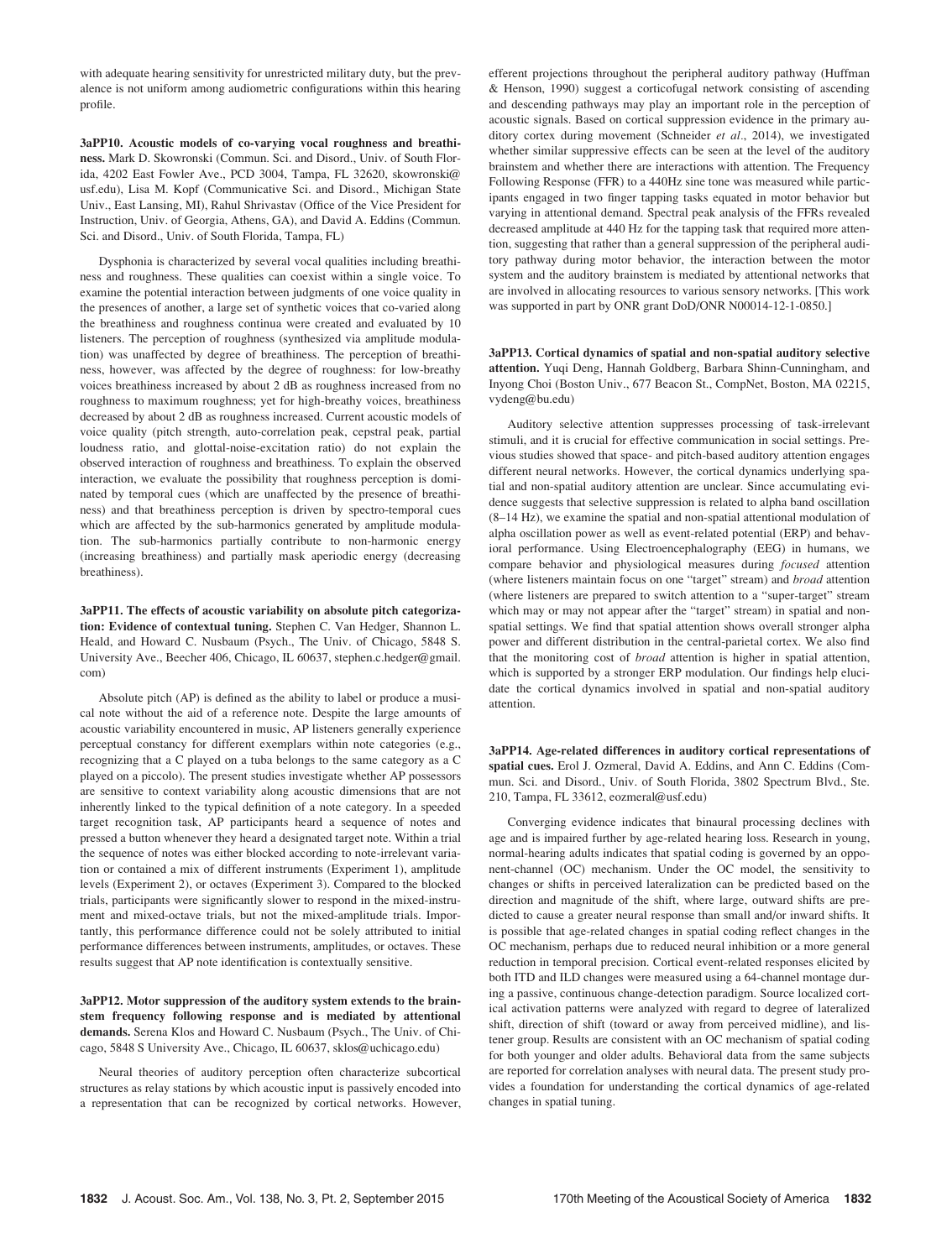with adequate hearing sensitivity for unrestricted military duty, but the prevalence is not uniform among audiometric configurations within this hearing profile.

3aPP10. Acoustic models of co-varying vocal roughness and breathiness. Mark D. Skowronski (Commun. Sci. and Disord., Univ. of South Florida, 4202 East Fowler Ave., PCD 3004, Tampa, FL 32620, skowronski@ usf.edu), Lisa M. Kopf (Communicative Sci. and Disord., Michigan State Univ., East Lansing, MI), Rahul Shrivastav (Office of the Vice President for Instruction, Univ. of Georgia, Athens, GA), and David A. Eddins (Commun. Sci. and Disord., Univ. of South Florida, Tampa, FL)

Dysphonia is characterized by several vocal qualities including breathiness and roughness. These qualities can coexist within a single voice. To examine the potential interaction between judgments of one voice quality in the presences of another, a large set of synthetic voices that co-varied along the breathiness and roughness continua were created and evaluated by 10 listeners. The perception of roughness (synthesized via amplitude modulation) was unaffected by degree of breathiness. The perception of breathiness, however, was affected by the degree of roughness: for low-breathy voices breathiness increased by about 2 dB as roughness increased from no roughness to maximum roughness; yet for high-breathy voices, breathiness decreased by about 2 dB as roughness increased. Current acoustic models of voice quality (pitch strength, auto-correlation peak, cepstral peak, partial loudness ratio, and glottal-noise-excitation ratio) do not explain the observed interaction of roughness and breathiness. To explain the observed interaction, we evaluate the possibility that roughness perception is dominated by temporal cues (which are unaffected by the presence of breathiness) and that breathiness perception is driven by spectro-temporal cues which are affected by the sub-harmonics generated by amplitude modulation. The sub-harmonics partially contribute to non-harmonic energy (increasing breathiness) and partially mask aperiodic energy (decreasing breathiness).

3aPP11. The effects of acoustic variability on absolute pitch categorization: Evidence of contextual tuning. Stephen C. Van Hedger, Shannon L. Heald, and Howard C. Nusbaum (Psych., The Univ. of Chicago, 5848 S. University Ave., Beecher 406, Chicago, IL 60637, stephen.c.hedger@gmail. com)

Absolute pitch (AP) is defined as the ability to label or produce a musical note without the aid of a reference note. Despite the large amounts of acoustic variability encountered in music, AP listeners generally experience perceptual constancy for different exemplars within note categories (e.g., recognizing that a C played on a tuba belongs to the same category as a C played on a piccolo). The present studies investigate whether AP possessors are sensitive to context variability along acoustic dimensions that are not inherently linked to the typical definition of a note category. In a speeded target recognition task, AP participants heard a sequence of notes and pressed a button whenever they heard a designated target note. Within a trial the sequence of notes was either blocked according to note-irrelevant variation or contained a mix of different instruments (Experiment 1), amplitude levels (Experiment 2), or octaves (Experiment 3). Compared to the blocked trials, participants were significantly slower to respond in the mixed-instrument and mixed-octave trials, but not the mixed-amplitude trials. Importantly, this performance difference could not be solely attributed to initial performance differences between instruments, amplitudes, or octaves. These results suggest that AP note identification is contextually sensitive.

3aPP12. Motor suppression of the auditory system extends to the brainstem frequency following response and is mediated by attentional demands. Serena Klos and Howard C. Nusbaum (Psych., The Univ. of Chicago, 5848 S University Ave., Chicago, IL 60637, sklos@uchicago.edu)

Neural theories of auditory perception often characterize subcortical structures as relay stations by which acoustic input is passively encoded into a representation that can be recognized by cortical networks. However, efferent projections throughout the peripheral auditory pathway (Huffman & Henson, 1990) suggest a corticofugal network consisting of ascending and descending pathways may play an important role in the perception of acoustic signals. Based on cortical suppression evidence in the primary auditory cortex during movement (Schneider et al., 2014), we investigated whether similar suppressive effects can be seen at the level of the auditory brainstem and whether there are interactions with attention. The Frequency Following Response (FFR) to a 440Hz sine tone was measured while participants engaged in two finger tapping tasks equated in motor behavior but varying in attentional demand. Spectral peak analysis of the FFRs revealed decreased amplitude at 440 Hz for the tapping task that required more attention, suggesting that rather than a general suppression of the peripheral auditory pathway during motor behavior, the interaction between the motor system and the auditory brainstem is mediated by attentional networks that are involved in allocating resources to various sensory networks. [This work was supported in part by ONR grant DoD/ONR N00014-12-1-0850.]

3aPP13. Cortical dynamics of spatial and non-spatial auditory selective attention. Yuqi Deng, Hannah Goldberg, Barbara Shinn-Cunningham, and Inyong Choi (Boston Univ., 677 Beacon St., CompNet, Boston, MA 02215, vydeng@bu.edu)

Auditory selective attention suppresses processing of task-irrelevant stimuli, and it is crucial for effective communication in social settings. Previous studies showed that space- and pitch-based auditory attention engages different neural networks. However, the cortical dynamics underlying spatial and non-spatial auditory attention are unclear. Since accumulating evidence suggests that selective suppression is related to alpha band oscillation (8–14 Hz), we examine the spatial and non-spatial attentional modulation of alpha oscillation power as well as event-related potential (ERP) and behavioral performance. Using Electroencephalography (EEG) in humans, we compare behavior and physiological measures during focused attention (where listeners maintain focus on one "target" stream) and broad attention (where listeners are prepared to switch attention to a "super-target" stream which may or may not appear after the "target" stream) in spatial and nonspatial settings. We find that spatial attention shows overall stronger alpha power and different distribution in the central-parietal cortex. We also find that the monitoring cost of *broad* attention is higher in spatial attention, which is supported by a stronger ERP modulation. Our findings help elucidate the cortical dynamics involved in spatial and non-spatial auditory attention.

3aPP14. Age-related differences in auditory cortical representations of spatial cues. Erol J. Ozmeral, David A. Eddins, and Ann C. Eddins (Commun. Sci. and Disord., Univ. of South Florida, 3802 Spectrum Blvd., Ste. 210, Tampa, FL 33612, eozmeral@usf.edu)

Converging evidence indicates that binaural processing declines with age and is impaired further by age-related hearing loss. Research in young, normal-hearing adults indicates that spatial coding is governed by an opponent-channel (OC) mechanism. Under the OC model, the sensitivity to changes or shifts in perceived lateralization can be predicted based on the direction and magnitude of the shift, where large, outward shifts are predicted to cause a greater neural response than small and/or inward shifts. It is possible that age-related changes in spatial coding reflect changes in the OC mechanism, perhaps due to reduced neural inhibition or a more general reduction in temporal precision. Cortical event-related responses elicited by both ITD and ILD changes were measured using a 64-channel montage during a passive, continuous change-detection paradigm. Source localized cortical activation patterns were analyzed with regard to degree of lateralized shift, direction of shift (toward or away from perceived midline), and listener group. Results are consistent with an OC mechanism of spatial coding for both younger and older adults. Behavioral data from the same subjects are reported for correlation analyses with neural data. The present study provides a foundation for understanding the cortical dynamics of age-related changes in spatial tuning.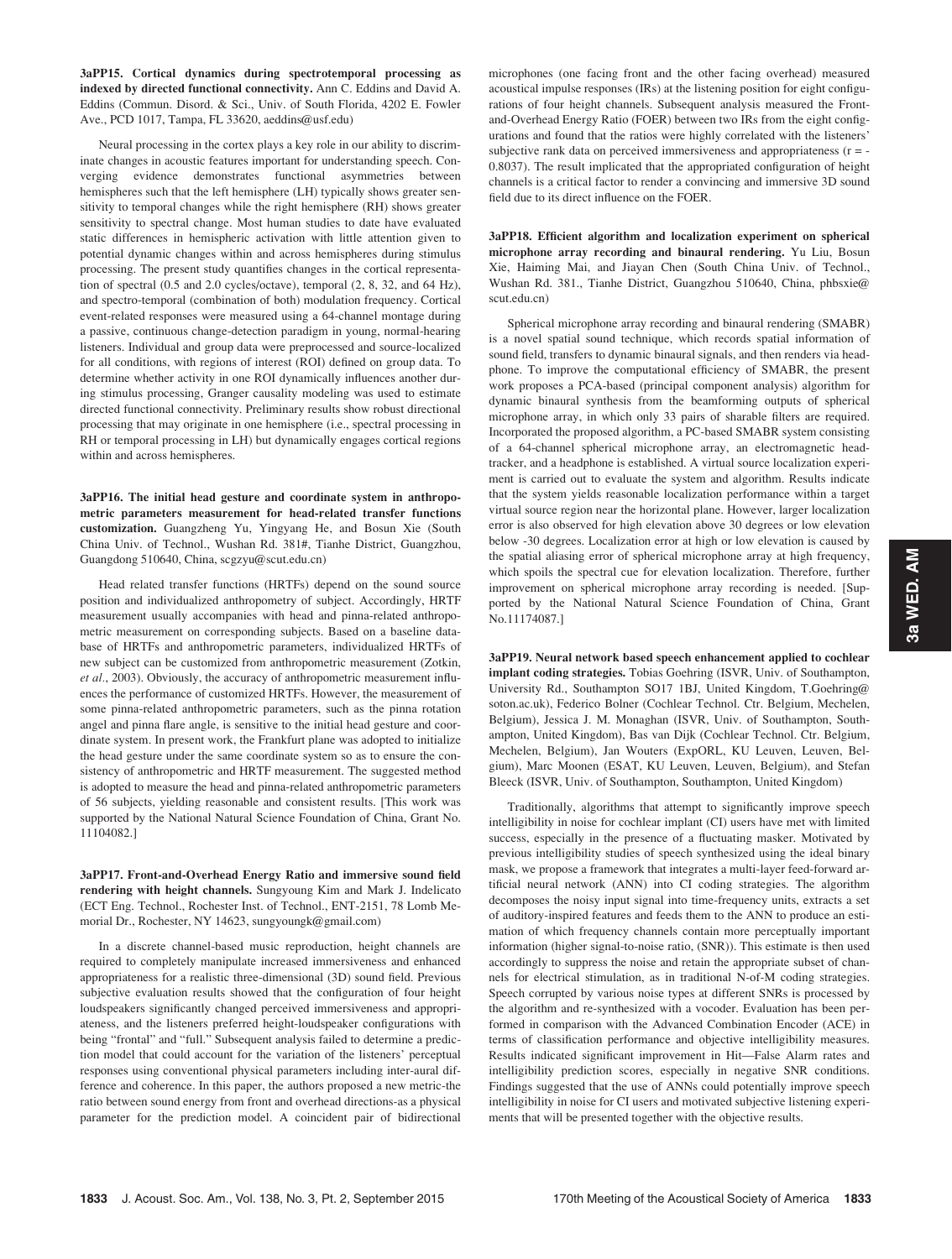3aPP15. Cortical dynamics during spectrotemporal processing as indexed by directed functional connectivity. Ann C. Eddins and David A. Eddins (Commun. Disord. & Sci., Univ. of South Florida, 4202 E. Fowler Ave., PCD 1017, Tampa, FL 33620, aeddins@usf.edu)

Neural processing in the cortex plays a key role in our ability to discriminate changes in acoustic features important for understanding speech. Converging evidence demonstrates functional asymmetries between hemispheres such that the left hemisphere (LH) typically shows greater sensitivity to temporal changes while the right hemisphere (RH) shows greater sensitivity to spectral change. Most human studies to date have evaluated static differences in hemispheric activation with little attention given to potential dynamic changes within and across hemispheres during stimulus processing. The present study quantifies changes in the cortical representation of spectral (0.5 and 2.0 cycles/octave), temporal (2, 8, 32, and 64 Hz), and spectro-temporal (combination of both) modulation frequency. Cortical event-related responses were measured using a 64-channel montage during a passive, continuous change-detection paradigm in young, normal-hearing listeners. Individual and group data were preprocessed and source-localized for all conditions, with regions of interest (ROI) defined on group data. To determine whether activity in one ROI dynamically influences another during stimulus processing, Granger causality modeling was used to estimate directed functional connectivity. Preliminary results show robust directional processing that may originate in one hemisphere (i.e., spectral processing in RH or temporal processing in LH) but dynamically engages cortical regions within and across hemispheres.

3aPP16. The initial head gesture and coordinate system in anthropometric parameters measurement for head-related transfer functions customization. Guangzheng Yu, Yingyang He, and Bosun Xie (South China Univ. of Technol., Wushan Rd. 381#, Tianhe District, Guangzhou, Guangdong 510640, China, scgzyu@scut.edu.cn)

Head related transfer functions (HRTFs) depend on the sound source position and individualized anthropometry of subject. Accordingly, HRTF measurement usually accompanies with head and pinna-related anthropometric measurement on corresponding subjects. Based on a baseline database of HRTFs and anthropometric parameters, individualized HRTFs of new subject can be customized from anthropometric measurement (Zotkin, et al., 2003). Obviously, the accuracy of anthropometric measurement influences the performance of customized HRTFs. However, the measurement of some pinna-related anthropometric parameters, such as the pinna rotation angel and pinna flare angle, is sensitive to the initial head gesture and coordinate system. In present work, the Frankfurt plane was adopted to initialize the head gesture under the same coordinate system so as to ensure the consistency of anthropometric and HRTF measurement. The suggested method is adopted to measure the head and pinna-related anthropometric parameters of 56 subjects, yielding reasonable and consistent results. [This work was supported by the National Natural Science Foundation of China, Grant No. 11104082.]

3aPP17. Front-and-Overhead Energy Ratio and immersive sound field rendering with height channels. Sungyoung Kim and Mark J. Indelicato (ECT Eng. Technol., Rochester Inst. of Technol., ENT-2151, 78 Lomb Memorial Dr., Rochester, NY 14623, sungyoungk@gmail.com)

In a discrete channel-based music reproduction, height channels are required to completely manipulate increased immersiveness and enhanced appropriateness for a realistic three-dimensional (3D) sound field. Previous subjective evaluation results showed that the configuration of four height loudspeakers significantly changed perceived immersiveness and appropriateness, and the listeners preferred height-loudspeaker configurations with being "frontal" and "full." Subsequent analysis failed to determine a prediction model that could account for the variation of the listeners' perceptual responses using conventional physical parameters including inter-aural difference and coherence. In this paper, the authors proposed a new metric-the ratio between sound energy from front and overhead directions-as a physical parameter for the prediction model. A coincident pair of bidirectional microphones (one facing front and the other facing overhead) measured acoustical impulse responses (IRs) at the listening position for eight configurations of four height channels. Subsequent analysis measured the Frontand-Overhead Energy Ratio (FOER) between two IRs from the eight configurations and found that the ratios were highly correlated with the listeners' subjective rank data on perceived immersiveness and appropriateness  $(r = -$ 0.8037). The result implicated that the appropriated configuration of height channels is a critical factor to render a convincing and immersive 3D sound field due to its direct influence on the FOER.

3aPP18. Efficient algorithm and localization experiment on spherical microphone array recording and binaural rendering. Yu Liu, Bosun Xie, Haiming Mai, and Jiayan Chen (South China Univ. of Technol., Wushan Rd. 381., Tianhe District, Guangzhou 510640, China, phbsxie@ scut.edu.cn)

Spherical microphone array recording and binaural rendering (SMABR) is a novel spatial sound technique, which records spatial information of sound field, transfers to dynamic binaural signals, and then renders via headphone. To improve the computational efficiency of SMABR, the present work proposes a PCA-based (principal component analysis) algorithm for dynamic binaural synthesis from the beamforming outputs of spherical microphone array, in which only 33 pairs of sharable filters are required. Incorporated the proposed algorithm, a PC-based SMABR system consisting of a 64-channel spherical microphone array, an electromagnetic headtracker, and a headphone is established. A virtual source localization experiment is carried out to evaluate the system and algorithm. Results indicate that the system yields reasonable localization performance within a target virtual source region near the horizontal plane. However, larger localization error is also observed for high elevation above 30 degrees or low elevation below -30 degrees. Localization error at high or low elevation is caused by the spatial aliasing error of spherical microphone array at high frequency, which spoils the spectral cue for elevation localization. Therefore, further improvement on spherical microphone array recording is needed. [Supported by the National Natural Science Foundation of China, Grant No.11174087.]

3aPP19. Neural network based speech enhancement applied to cochlear implant coding strategies. Tobias Goehring (ISVR, Univ. of Southampton, University Rd., Southampton SO17 1BJ, United Kingdom, T.Goehring@ soton.ac.uk), Federico Bolner (Cochlear Technol. Ctr. Belgium, Mechelen, Belgium), Jessica J. M. Monaghan (ISVR, Univ. of Southampton, Southampton, United Kingdom), Bas van Dijk (Cochlear Technol. Ctr. Belgium, Mechelen, Belgium), Jan Wouters (ExpORL, KU Leuven, Leuven, Belgium), Marc Moonen (ESAT, KU Leuven, Leuven, Belgium), and Stefan Bleeck (ISVR, Univ. of Southampton, Southampton, United Kingdom)

Traditionally, algorithms that attempt to significantly improve speech intelligibility in noise for cochlear implant (CI) users have met with limited success, especially in the presence of a fluctuating masker. Motivated by previous intelligibility studies of speech synthesized using the ideal binary mask, we propose a framework that integrates a multi-layer feed-forward artificial neural network (ANN) into CI coding strategies. The algorithm decomposes the noisy input signal into time-frequency units, extracts a set of auditory-inspired features and feeds them to the ANN to produce an estimation of which frequency channels contain more perceptually important information (higher signal-to-noise ratio, (SNR)). This estimate is then used accordingly to suppress the noise and retain the appropriate subset of channels for electrical stimulation, as in traditional N-of-M coding strategies. Speech corrupted by various noise types at different SNRs is processed by the algorithm and re-synthesized with a vocoder. Evaluation has been performed in comparison with the Advanced Combination Encoder (ACE) in terms of classification performance and objective intelligibility measures. Results indicated significant improvement in Hit—False Alarm rates and intelligibility prediction scores, especially in negative SNR conditions. Findings suggested that the use of ANNs could potentially improve speech intelligibility in noise for CI users and motivated subjective listening experiments that will be presented together with the objective results.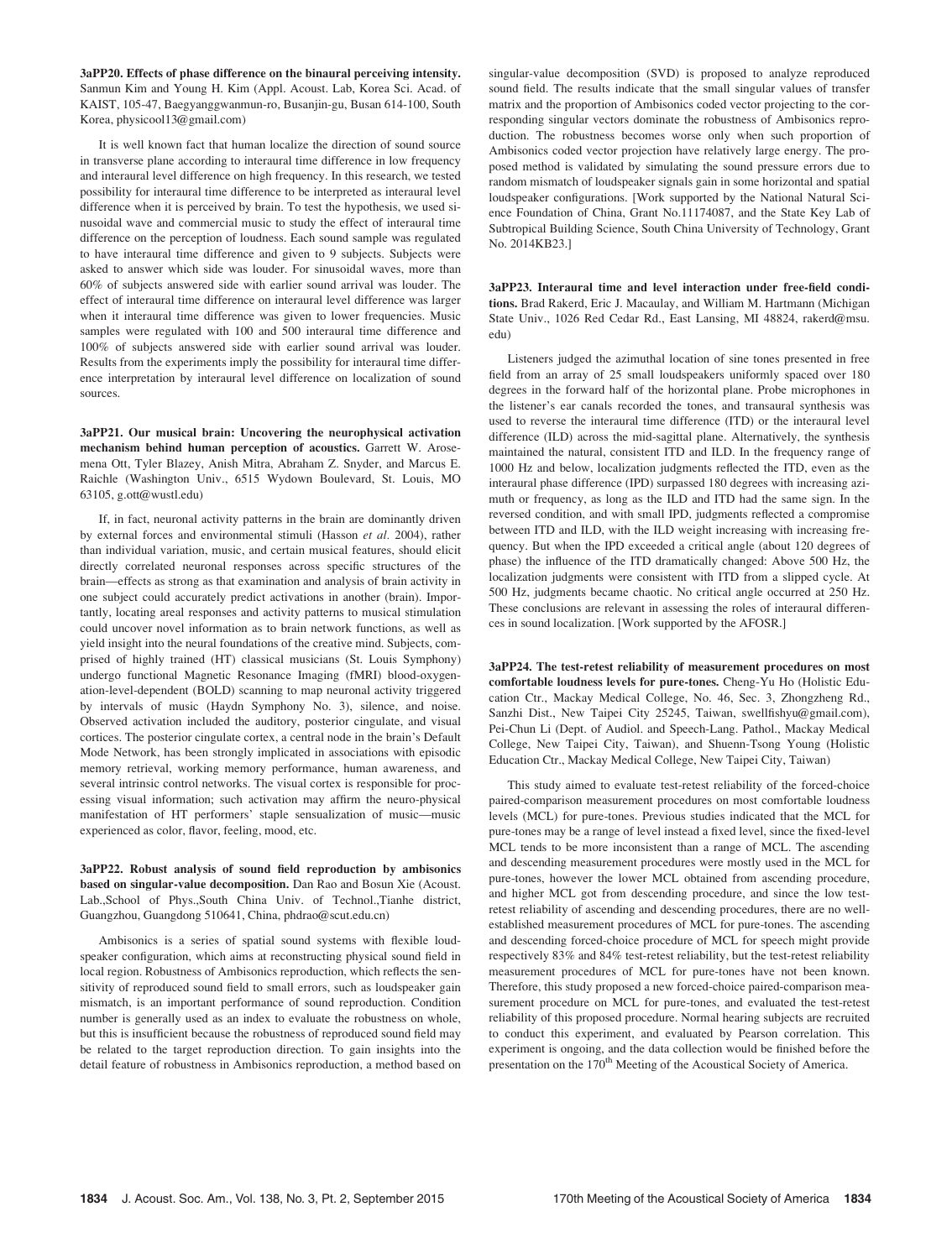3aPP20. Effects of phase difference on the binaural perceiving intensity. Sanmun Kim and Young H. Kim (Appl. Acoust. Lab, Korea Sci. Acad. of KAIST, 105-47, Baegyanggwanmun-ro, Busanjin-gu, Busan 614-100, South Korea, physicool13@gmail.com)

It is well known fact that human localize the direction of sound source in transverse plane according to interaural time difference in low frequency and interaural level difference on high frequency. In this research, we tested possibility for interaural time difference to be interpreted as interaural level difference when it is perceived by brain. To test the hypothesis, we used sinusoidal wave and commercial music to study the effect of interaural time difference on the perception of loudness. Each sound sample was regulated to have interaural time difference and given to 9 subjects. Subjects were asked to answer which side was louder. For sinusoidal waves, more than 60% of subjects answered side with earlier sound arrival was louder. The effect of interaural time difference on interaural level difference was larger when it interaural time difference was given to lower frequencies. Music samples were regulated with 100 and 500 interaural time difference and 100% of subjects answered side with earlier sound arrival was louder. Results from the experiments imply the possibility for interaural time difference interpretation by interaural level difference on localization of sound sources.

3aPP21. Our musical brain: Uncovering the neurophysical activation mechanism behind human perception of acoustics. Garrett W. Arosemena Ott, Tyler Blazey, Anish Mitra, Abraham Z. Snyder, and Marcus E. Raichle (Washington Univ., 6515 Wydown Boulevard, St. Louis, MO 63105, g.ott@wustl.edu)

If, in fact, neuronal activity patterns in the brain are dominantly driven by external forces and environmental stimuli (Hasson et al. 2004), rather than individual variation, music, and certain musical features, should elicit directly correlated neuronal responses across specific structures of the brain—effects as strong as that examination and analysis of brain activity in one subject could accurately predict activations in another (brain). Importantly, locating areal responses and activity patterns to musical stimulation could uncover novel information as to brain network functions, as well as yield insight into the neural foundations of the creative mind. Subjects, comprised of highly trained (HT) classical musicians (St. Louis Symphony) undergo functional Magnetic Resonance Imaging (fMRI) blood-oxygenation-level-dependent (BOLD) scanning to map neuronal activity triggered by intervals of music (Haydn Symphony No. 3), silence, and noise. Observed activation included the auditory, posterior cingulate, and visual cortices. The posterior cingulate cortex, a central node in the brain's Default Mode Network, has been strongly implicated in associations with episodic memory retrieval, working memory performance, human awareness, and several intrinsic control networks. The visual cortex is responsible for processing visual information; such activation may affirm the neuro-physical manifestation of HT performers' staple sensualization of music—music experienced as color, flavor, feeling, mood, etc.

3aPP22. Robust analysis of sound field reproduction by ambisonics based on singular-value decomposition. Dan Rao and Bosun Xie (Acoust. Lab.,School of Phys.,South China Univ. of Technol.,Tianhe district, Guangzhou, Guangdong 510641, China, phdrao@scut.edu.cn)

Ambisonics is a series of spatial sound systems with flexible loudspeaker configuration, which aims at reconstructing physical sound field in local region. Robustness of Ambisonics reproduction, which reflects the sensitivity of reproduced sound field to small errors, such as loudspeaker gain mismatch, is an important performance of sound reproduction. Condition number is generally used as an index to evaluate the robustness on whole, but this is insufficient because the robustness of reproduced sound field may be related to the target reproduction direction. To gain insights into the detail feature of robustness in Ambisonics reproduction, a method based on singular-value decomposition (SVD) is proposed to analyze reproduced sound field. The results indicate that the small singular values of transfer matrix and the proportion of Ambisonics coded vector projecting to the corresponding singular vectors dominate the robustness of Ambisonics reproduction. The robustness becomes worse only when such proportion of Ambisonics coded vector projection have relatively large energy. The proposed method is validated by simulating the sound pressure errors due to random mismatch of loudspeaker signals gain in some horizontal and spatial loudspeaker configurations. [Work supported by the National Natural Science Foundation of China, Grant No.11174087, and the State Key Lab of Subtropical Building Science, South China University of Technology, Grant No. 2014KB23.]

3aPP23. Interaural time and level interaction under free-field conditions. Brad Rakerd, Eric J. Macaulay, and William M. Hartmann (Michigan State Univ., 1026 Red Cedar Rd., East Lansing, MI 48824, rakerd@msu. edu)

Listeners judged the azimuthal location of sine tones presented in free field from an array of 25 small loudspeakers uniformly spaced over 180 degrees in the forward half of the horizontal plane. Probe microphones in the listener's ear canals recorded the tones, and transaural synthesis was used to reverse the interaural time difference (ITD) or the interaural level difference (ILD) across the mid-sagittal plane. Alternatively, the synthesis maintained the natural, consistent ITD and ILD. In the frequency range of 1000 Hz and below, localization judgments reflected the ITD, even as the interaural phase difference (IPD) surpassed 180 degrees with increasing azimuth or frequency, as long as the ILD and ITD had the same sign. In the reversed condition, and with small IPD, judgments reflected a compromise between ITD and ILD, with the ILD weight increasing with increasing frequency. But when the IPD exceeded a critical angle (about 120 degrees of phase) the influence of the ITD dramatically changed: Above 500 Hz, the localization judgments were consistent with ITD from a slipped cycle. At 500 Hz, judgments became chaotic. No critical angle occurred at 250 Hz. These conclusions are relevant in assessing the roles of interaural differences in sound localization. [Work supported by the AFOSR.]

3aPP24. The test-retest reliability of measurement procedures on most comfortable loudness levels for pure-tones. Cheng-Yu Ho (Holistic Education Ctr., Mackay Medical College, No. 46, Sec. 3, Zhongzheng Rd., Sanzhi Dist., New Taipei City 25245, Taiwan, swellfishyu@gmail.com), Pei-Chun Li (Dept. of Audiol. and Speech-Lang. Pathol., Mackay Medical College, New Taipei City, Taiwan), and Shuenn-Tsong Young (Holistic Education Ctr., Mackay Medical College, New Taipei City, Taiwan)

This study aimed to evaluate test-retest reliability of the forced-choice paired-comparison measurement procedures on most comfortable loudness levels (MCL) for pure-tones. Previous studies indicated that the MCL for pure-tones may be a range of level instead a fixed level, since the fixed-level MCL tends to be more inconsistent than a range of MCL. The ascending and descending measurement procedures were mostly used in the MCL for pure-tones, however the lower MCL obtained from ascending procedure, and higher MCL got from descending procedure, and since the low testretest reliability of ascending and descending procedures, there are no wellestablished measurement procedures of MCL for pure-tones. The ascending and descending forced-choice procedure of MCL for speech might provide respectively 83% and 84% test-retest reliability, but the test-retest reliability measurement procedures of MCL for pure-tones have not been known. Therefore, this study proposed a new forced-choice paired-comparison measurement procedure on MCL for pure-tones, and evaluated the test-retest reliability of this proposed procedure. Normal hearing subjects are recruited to conduct this experiment, and evaluated by Pearson correlation. This experiment is ongoing, and the data collection would be finished before the presentation on the 170<sup>th</sup> Meeting of the Acoustical Society of America.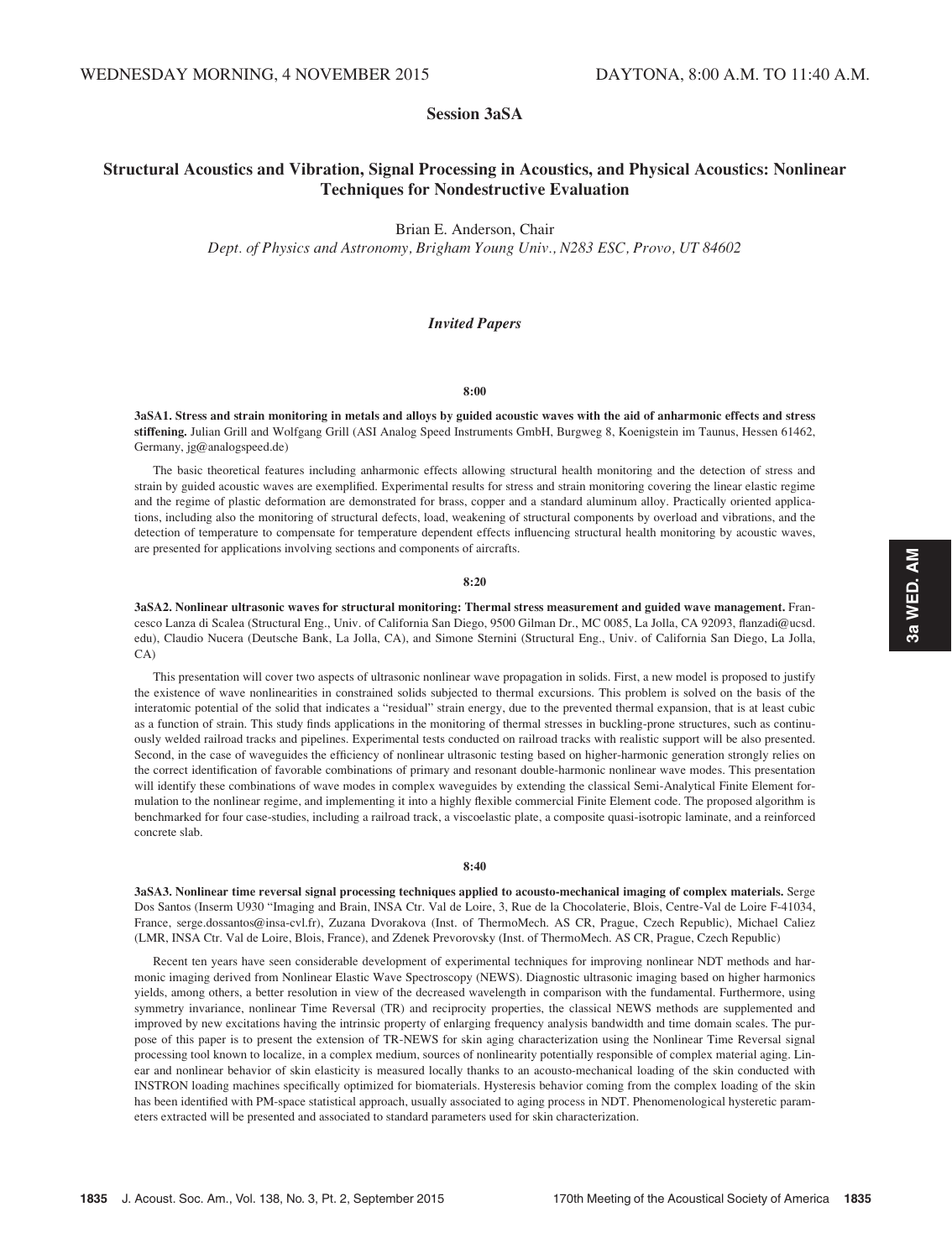# Session 3aSA

# Structural Acoustics and Vibration, Signal Processing in Acoustics, and Physical Acoustics: Nonlinear Techniques for Nondestructive Evaluation

Brian E. Anderson, Chair

Dept. of Physics and Astronomy, Brigham Young Univ., N283 ESC, Provo, UT 84602

# Invited Papers

### 8:00

3aSA1. Stress and strain monitoring in metals and alloys by guided acoustic waves with the aid of anharmonic effects and stress stiffening. Julian Grill and Wolfgang Grill (ASI Analog Speed Instruments GmbH, Burgweg 8, Koenigstein im Taunus, Hessen 61462, Germany, jg@analogspeed.de)

The basic theoretical features including anharmonic effects allowing structural health monitoring and the detection of stress and strain by guided acoustic waves are exemplified. Experimental results for stress and strain monitoring covering the linear elastic regime and the regime of plastic deformation are demonstrated for brass, copper and a standard aluminum alloy. Practically oriented applications, including also the monitoring of structural defects, load, weakening of structural components by overload and vibrations, and the detection of temperature to compensate for temperature dependent effects influencing structural health monitoring by acoustic waves, are presented for applications involving sections and components of aircrafts.

#### 8:20

3aSA2. Nonlinear ultrasonic waves for structural monitoring: Thermal stress measurement and guided wave management. Francesco Lanza di Scalea (Structural Eng., Univ. of California San Diego, 9500 Gilman Dr., MC 0085, La Jolla, CA 92093, flanzadi@ucsd. edu), Claudio Nucera (Deutsche Bank, La Jolla, CA), and Simone Sternini (Structural Eng., Univ. of California San Diego, La Jolla, CA)

This presentation will cover two aspects of ultrasonic nonlinear wave propagation in solids. First, a new model is proposed to justify the existence of wave nonlinearities in constrained solids subjected to thermal excursions. This problem is solved on the basis of the interatomic potential of the solid that indicates a "residual" strain energy, due to the prevented thermal expansion, that is at least cubic as a function of strain. This study finds applications in the monitoring of thermal stresses in buckling-prone structures, such as continuously welded railroad tracks and pipelines. Experimental tests conducted on railroad tracks with realistic support will be also presented. Second, in the case of waveguides the efficiency of nonlinear ultrasonic testing based on higher-harmonic generation strongly relies on the correct identification of favorable combinations of primary and resonant double-harmonic nonlinear wave modes. This presentation will identify these combinations of wave modes in complex waveguides by extending the classical Semi-Analytical Finite Element formulation to the nonlinear regime, and implementing it into a highly flexible commercial Finite Element code. The proposed algorithm is benchmarked for four case-studies, including a railroad track, a viscoelastic plate, a composite quasi-isotropic laminate, and a reinforced concrete slab.

#### 8:40

3aSA3. Nonlinear time reversal signal processing techniques applied to acousto-mechanical imaging of complex materials. Serge Dos Santos (Inserm U930 "Imaging and Brain, INSA Ctr. Val de Loire, 3, Rue de la Chocolaterie, Blois, Centre-Val de Loire F-41034, France, serge.dossantos@insa-cvl.fr), Zuzana Dvorakova (Inst. of ThermoMech. AS CR, Prague, Czech Republic), Michael Caliez (LMR, INSA Ctr. Val de Loire, Blois, France), and Zdenek Prevorovsky (Inst. of ThermoMech. AS CR, Prague, Czech Republic)

Recent ten years have seen considerable development of experimental techniques for improving nonlinear NDT methods and harmonic imaging derived from Nonlinear Elastic Wave Spectroscopy (NEWS). Diagnostic ultrasonic imaging based on higher harmonics yields, among others, a better resolution in view of the decreased wavelength in comparison with the fundamental. Furthermore, using symmetry invariance, nonlinear Time Reversal (TR) and reciprocity properties, the classical NEWS methods are supplemented and improved by new excitations having the intrinsic property of enlarging frequency analysis bandwidth and time domain scales. The purpose of this paper is to present the extension of TR-NEWS for skin aging characterization using the Nonlinear Time Reversal signal processing tool known to localize, in a complex medium, sources of nonlinearity potentially responsible of complex material aging. Linear and nonlinear behavior of skin elasticity is measured locally thanks to an acousto-mechanical loading of the skin conducted with INSTRON loading machines specifically optimized for biomaterials. Hysteresis behavior coming from the complex loading of the skin has been identified with PM-space statistical approach, usually associated to aging process in NDT. Phenomenological hysteretic parameters extracted will be presented and associated to standard parameters used for skin characterization.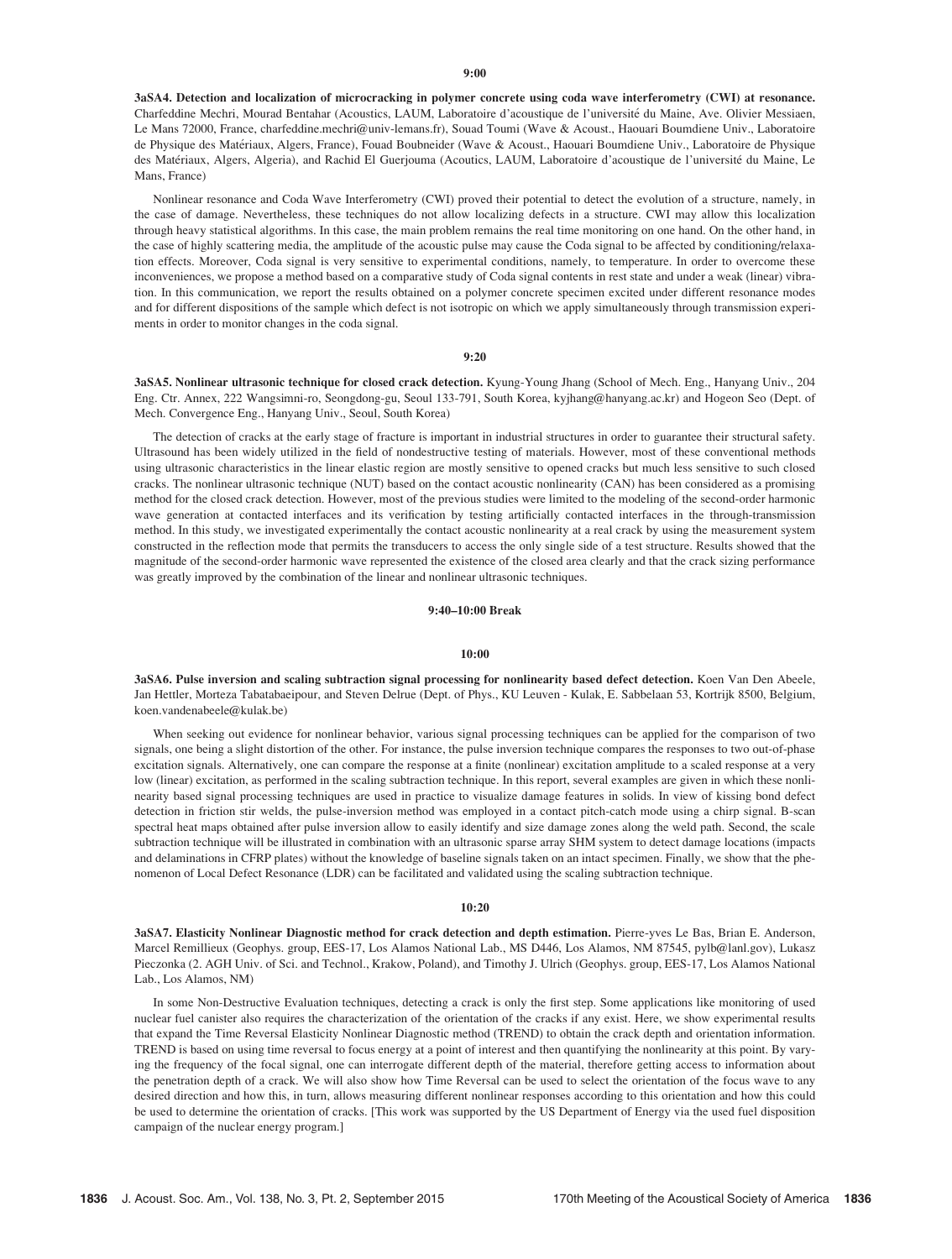3aSA4. Detection and localization of microcracking in polymer concrete using coda wave interferometry (CWI) at resonance. Charfeddine Mechri, Mourad Bentahar (Acoustics, LAUM, Laboratoire d'acoustique de l'université du Maine, Ave. Olivier Messiaen, Le Mans 72000, France, charfeddine.mechri@univ-lemans.fr), Souad Toumi (Wave & Acoust., Haouari Boumdiene Univ., Laboratoire de Physique des Matériaux, Algers, France), Fouad Boubneider (Wave & Acoust., Haouari Boumdiene Univ., Laboratoire de Physique des Matériaux, Algers, Algeria), and Rachid El Guerjouma (Acoutics, LAUM, Laboratoire d'acoustique de l'université du Maine, Le Mans, France)

Nonlinear resonance and Coda Wave Interferometry (CWI) proved their potential to detect the evolution of a structure, namely, in the case of damage. Nevertheless, these techniques do not allow localizing defects in a structure. CWI may allow this localization through heavy statistical algorithms. In this case, the main problem remains the real time monitoring on one hand. On the other hand, in the case of highly scattering media, the amplitude of the acoustic pulse may cause the Coda signal to be affected by conditioning/relaxation effects. Moreover, Coda signal is very sensitive to experimental conditions, namely, to temperature. In order to overcome these inconveniences, we propose a method based on a comparative study of Coda signal contents in rest state and under a weak (linear) vibration. In this communication, we report the results obtained on a polymer concrete specimen excited under different resonance modes and for different dispositions of the sample which defect is not isotropic on which we apply simultaneously through transmission experiments in order to monitor changes in the coda signal.

### 9:20

3aSA5. Nonlinear ultrasonic technique for closed crack detection. Kyung-Young Jhang (School of Mech. Eng., Hanyang Univ., 204 Eng. Ctr. Annex, 222 Wangsimni-ro, Seongdong-gu, Seoul 133-791, South Korea, kyjhang@hanyang.ac.kr) and Hogeon Seo (Dept. of Mech. Convergence Eng., Hanyang Univ., Seoul, South Korea)

The detection of cracks at the early stage of fracture is important in industrial structures in order to guarantee their structural safety. Ultrasound has been widely utilized in the field of nondestructive testing of materials. However, most of these conventional methods using ultrasonic characteristics in the linear elastic region are mostly sensitive to opened cracks but much less sensitive to such closed cracks. The nonlinear ultrasonic technique (NUT) based on the contact acoustic nonlinearity (CAN) has been considered as a promising method for the closed crack detection. However, most of the previous studies were limited to the modeling of the second-order harmonic wave generation at contacted interfaces and its verification by testing artificially contacted interfaces in the through-transmission method. In this study, we investigated experimentally the contact acoustic nonlinearity at a real crack by using the measurement system constructed in the reflection mode that permits the transducers to access the only single side of a test structure. Results showed that the magnitude of the second-order harmonic wave represented the existence of the closed area clearly and that the crack sizing performance was greatly improved by the combination of the linear and nonlinear ultrasonic techniques.

#### 9:40–10:00 Break

#### 10:00

3aSA6. Pulse inversion and scaling subtraction signal processing for nonlinearity based defect detection. Koen Van Den Abeele, Jan Hettler, Morteza Tabatabaeipour, and Steven Delrue (Dept. of Phys., KU Leuven - Kulak, E. Sabbelaan 53, Kortrijk 8500, Belgium, koen.vandenabeele@kulak.be)

When seeking out evidence for nonlinear behavior, various signal processing techniques can be applied for the comparison of two signals, one being a slight distortion of the other. For instance, the pulse inversion technique compares the responses to two out-of-phase excitation signals. Alternatively, one can compare the response at a finite (nonlinear) excitation amplitude to a scaled response at a very low (linear) excitation, as performed in the scaling subtraction technique. In this report, several examples are given in which these nonlinearity based signal processing techniques are used in practice to visualize damage features in solids. In view of kissing bond defect detection in friction stir welds, the pulse-inversion method was employed in a contact pitch-catch mode using a chirp signal. B-scan spectral heat maps obtained after pulse inversion allow to easily identify and size damage zones along the weld path. Second, the scale subtraction technique will be illustrated in combination with an ultrasonic sparse array SHM system to detect damage locations (impacts and delaminations in CFRP plates) without the knowledge of baseline signals taken on an intact specimen. Finally, we show that the phenomenon of Local Defect Resonance (LDR) can be facilitated and validated using the scaling subtraction technique.

#### 10:20

3aSA7. Elasticity Nonlinear Diagnostic method for crack detection and depth estimation. Pierre-yves Le Bas, Brian E. Anderson, Marcel Remillieux (Geophys. group, EES-17, Los Alamos National Lab., MS D446, Los Alamos, NM 87545, pylb@lanl.gov), Lukasz Pieczonka (2. AGH Univ. of Sci. and Technol., Krakow, Poland), and Timothy J. Ulrich (Geophys. group, EES-17, Los Alamos National Lab., Los Alamos, NM)

In some Non-Destructive Evaluation techniques, detecting a crack is only the first step. Some applications like monitoring of used nuclear fuel canister also requires the characterization of the orientation of the cracks if any exist. Here, we show experimental results that expand the Time Reversal Elasticity Nonlinear Diagnostic method (TREND) to obtain the crack depth and orientation information. TREND is based on using time reversal to focus energy at a point of interest and then quantifying the nonlinearity at this point. By varying the frequency of the focal signal, one can interrogate different depth of the material, therefore getting access to information about the penetration depth of a crack. We will also show how Time Reversal can be used to select the orientation of the focus wave to any desired direction and how this, in turn, allows measuring different nonlinear responses according to this orientation and how this could be used to determine the orientation of cracks. [This work was supported by the US Department of Energy via the used fuel disposition campaign of the nuclear energy program.]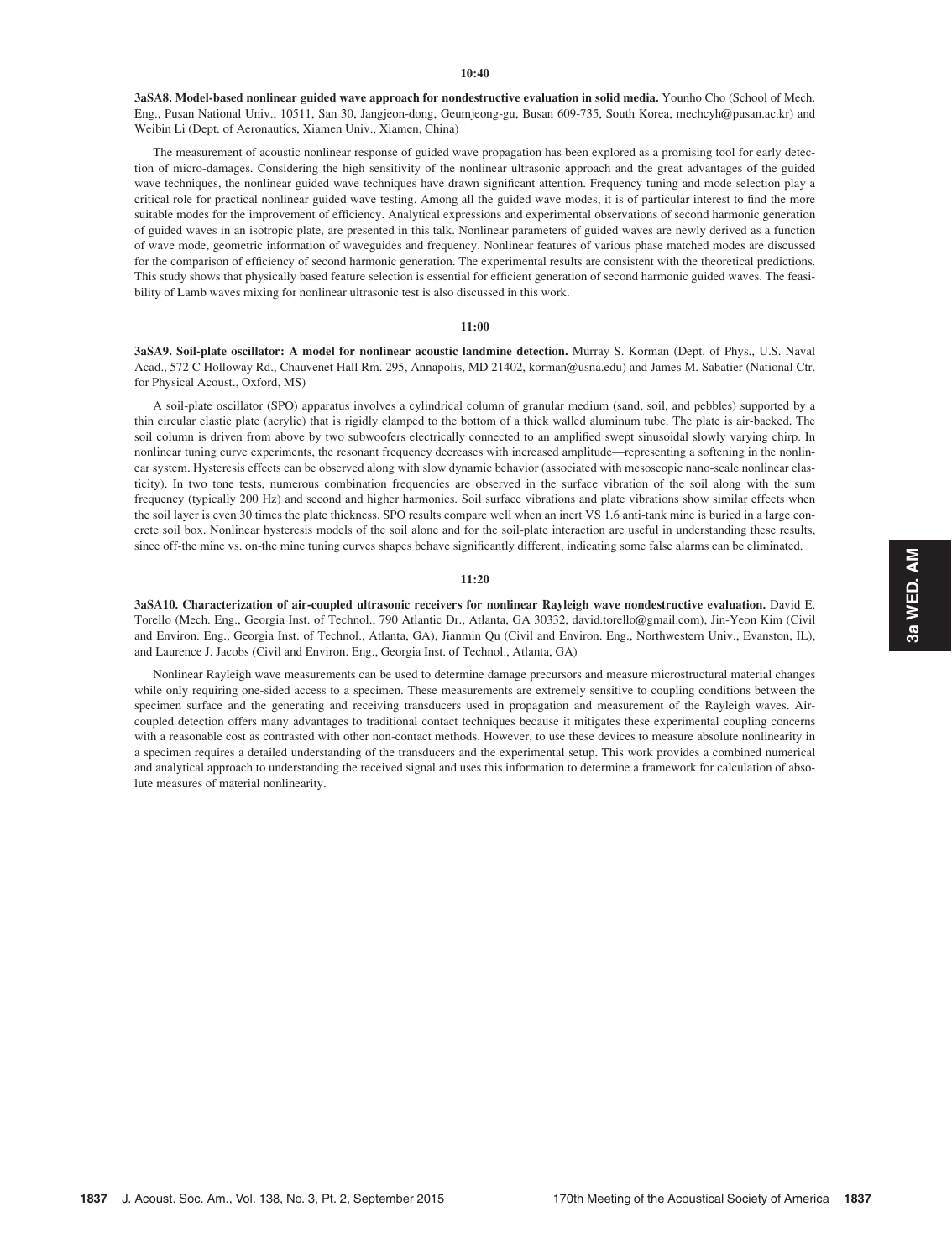3aSA8. Model-based nonlinear guided wave approach for nondestructive evaluation in solid media. Younho Cho (School of Mech. Eng., Pusan National Univ., 10511, San 30, Jangjeon-dong, Geumjeong-gu, Busan 609-735, South Korea, mechcyh@pusan.ac.kr) and Weibin Li (Dept. of Aeronautics, Xiamen Univ., Xiamen, China)

The measurement of acoustic nonlinear response of guided wave propagation has been explored as a promising tool for early detection of micro-damages. Considering the high sensitivity of the nonlinear ultrasonic approach and the great advantages of the guided wave techniques, the nonlinear guided wave techniques have drawn significant attention. Frequency tuning and mode selection play a critical role for practical nonlinear guided wave testing. Among all the guided wave modes, it is of particular interest to find the more suitable modes for the improvement of efficiency. Analytical expressions and experimental observations of second harmonic generation of guided waves in an isotropic plate, are presented in this talk. Nonlinear parameters of guided waves are newly derived as a function of wave mode, geometric information of waveguides and frequency. Nonlinear features of various phase matched modes are discussed for the comparison of efficiency of second harmonic generation. The experimental results are consistent with the theoretical predictions. This study shows that physically based feature selection is essential for efficient generation of second harmonic guided waves. The feasibility of Lamb waves mixing for nonlinear ultrasonic test is also discussed in this work.

### 11:00

3aSA9. Soil-plate oscillator: A model for nonlinear acoustic landmine detection. Murray S. Korman (Dept. of Phys., U.S. Naval Acad., 572 C Holloway Rd., Chauvenet Hall Rm. 295, Annapolis, MD 21402, korman@usna.edu) and James M. Sabatier (National Ctr. for Physical Acoust., Oxford, MS)

A soil-plate oscillator (SPO) apparatus involves a cylindrical column of granular medium (sand, soil, and pebbles) supported by a thin circular elastic plate (acrylic) that is rigidly clamped to the bottom of a thick walled aluminum tube. The plate is air-backed. The soil column is driven from above by two subwoofers electrically connected to an amplified swept sinusoidal slowly varying chirp. In nonlinear tuning curve experiments, the resonant frequency decreases with increased amplitude—representing a softening in the nonlinear system. Hysteresis effects can be observed along with slow dynamic behavior (associated with mesoscopic nano-scale nonlinear elasticity). In two tone tests, numerous combination frequencies are observed in the surface vibration of the soil along with the sum frequency (typically 200 Hz) and second and higher harmonics. Soil surface vibrations and plate vibrations show similar effects when the soil layer is even 30 times the plate thickness. SPO results compare well when an inert VS 1.6 anti-tank mine is buried in a large concrete soil box. Nonlinear hysteresis models of the soil alone and for the soil-plate interaction are useful in understanding these results, since off-the mine vs. on-the mine tuning curves shapes behave significantly different, indicating some false alarms can be eliminated.

### 11:20

3aSA10. Characterization of air-coupled ultrasonic receivers for nonlinear Rayleigh wave nondestructive evaluation. David E. Torello (Mech. Eng., Georgia Inst. of Technol., 790 Atlantic Dr., Atlanta, GA 30332, david.torello@gmail.com), Jin-Yeon Kim (Civil and Environ. Eng., Georgia Inst. of Technol., Atlanta, GA), Jianmin Qu (Civil and Environ. Eng., Northwestern Univ., Evanston, IL), and Laurence J. Jacobs (Civil and Environ. Eng., Georgia Inst. of Technol., Atlanta, GA)

Nonlinear Rayleigh wave measurements can be used to determine damage precursors and measure microstructural material changes while only requiring one-sided access to a specimen. These measurements are extremely sensitive to coupling conditions between the specimen surface and the generating and receiving transducers used in propagation and measurement of the Rayleigh waves. Aircoupled detection offers many advantages to traditional contact techniques because it mitigates these experimental coupling concerns with a reasonable cost as contrasted with other non-contact methods. However, to use these devices to measure absolute nonlinearity in a specimen requires a detailed understanding of the transducers and the experimental setup. This work provides a combined numerical and analytical approach to understanding the received signal and uses this information to determine a framework for calculation of absolute measures of material nonlinearity.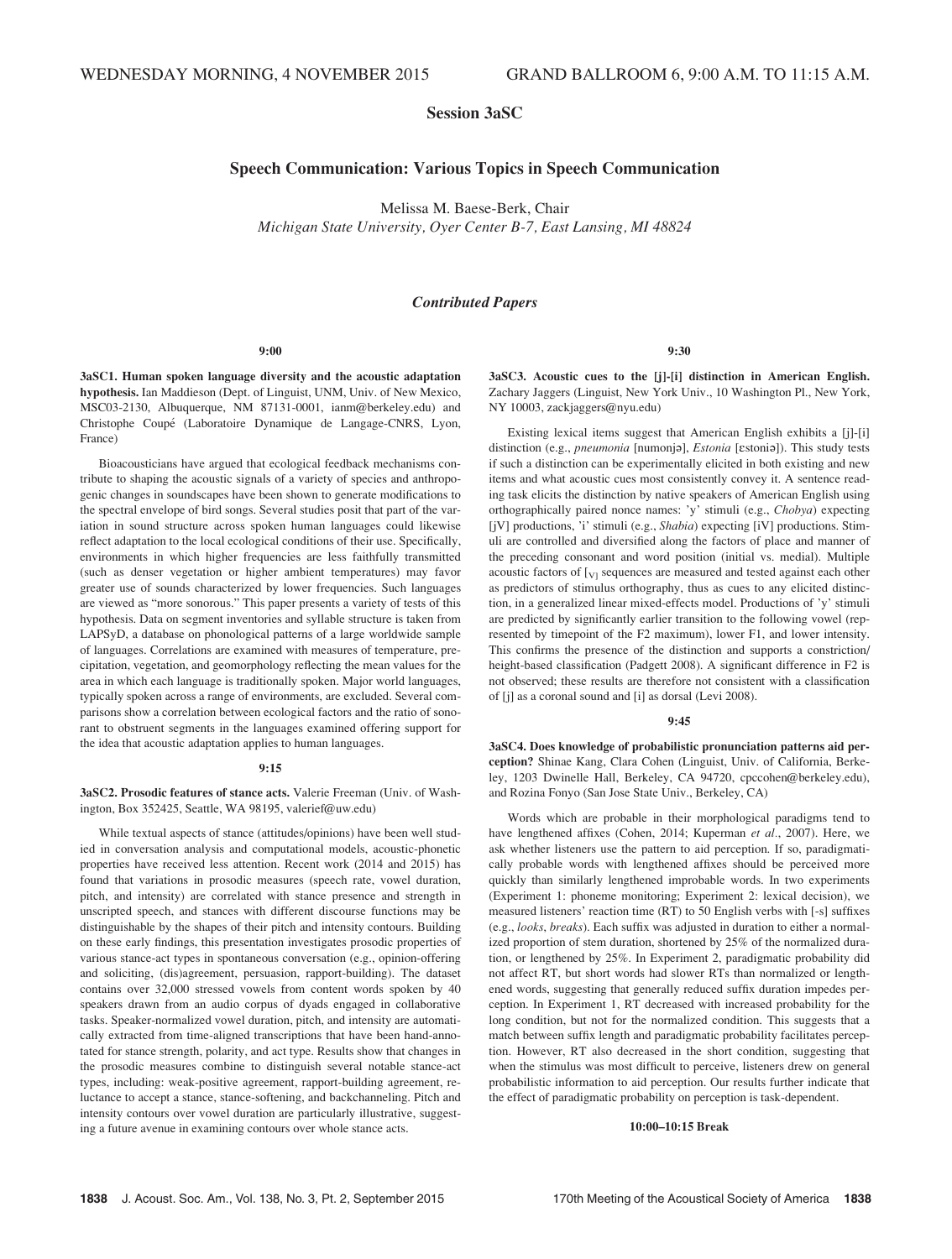# Session 3aSC

# Speech Communication: Various Topics in Speech Communication

Melissa M. Baese-Berk, Chair Michigan State University, Oyer Center B-7, East Lansing, MI 48824

# Contributed Papers

#### 9:00

3aSC1. Human spoken language diversity and the acoustic adaptation hypothesis. Ian Maddieson (Dept. of Linguist, UNM, Univ. of New Mexico, MSC03-2130, Albuquerque, NM 87131-0001, ianm@berkeley.edu) and Christophe Coupé (Laboratoire Dynamique de Langage-CNRS, Lyon, France)

Bioacousticians have argued that ecological feedback mechanisms contribute to shaping the acoustic signals of a variety of species and anthropogenic changes in soundscapes have been shown to generate modifications to the spectral envelope of bird songs. Several studies posit that part of the variation in sound structure across spoken human languages could likewise reflect adaptation to the local ecological conditions of their use. Specifically, environments in which higher frequencies are less faithfully transmitted (such as denser vegetation or higher ambient temperatures) may favor greater use of sounds characterized by lower frequencies. Such languages are viewed as "more sonorous." This paper presents a variety of tests of this hypothesis. Data on segment inventories and syllable structure is taken from LAPSyD, a database on phonological patterns of a large worldwide sample of languages. Correlations are examined with measures of temperature, precipitation, vegetation, and geomorphology reflecting the mean values for the area in which each language is traditionally spoken. Major world languages, typically spoken across a range of environments, are excluded. Several comparisons show a correlation between ecological factors and the ratio of sonorant to obstruent segments in the languages examined offering support for the idea that acoustic adaptation applies to human languages.

#### 9:15

3aSC2. Prosodic features of stance acts. Valerie Freeman (Univ. of Washington, Box 352425, Seattle, WA 98195, valerief@uw.edu)

While textual aspects of stance (attitudes/opinions) have been well studied in conversation analysis and computational models, acoustic-phonetic properties have received less attention. Recent work (2014 and 2015) has found that variations in prosodic measures (speech rate, vowel duration, pitch, and intensity) are correlated with stance presence and strength in unscripted speech, and stances with different discourse functions may be distinguishable by the shapes of their pitch and intensity contours. Building on these early findings, this presentation investigates prosodic properties of various stance-act types in spontaneous conversation (e.g., opinion-offering and soliciting, (dis)agreement, persuasion, rapport-building). The dataset contains over 32,000 stressed vowels from content words spoken by 40 speakers drawn from an audio corpus of dyads engaged in collaborative tasks. Speaker-normalized vowel duration, pitch, and intensity are automatically extracted from time-aligned transcriptions that have been hand-annotated for stance strength, polarity, and act type. Results show that changes in the prosodic measures combine to distinguish several notable stance-act types, including: weak-positive agreement, rapport-building agreement, reluctance to accept a stance, stance-softening, and backchanneling. Pitch and intensity contours over vowel duration are particularly illustrative, suggesting a future avenue in examining contours over whole stance acts.

9:30

3aSC3. Acoustic cues to the [j]-[i] distinction in American English. Zachary Jaggers (Linguist, New York Univ., 10 Washington Pl., New York, NY 10003, zackjaggers@nyu.edu)

Existing lexical items suggest that American English exhibits a [j]-[i] distinction (e.g., *pneumonia* [numonja], *Estonia* [estonia]). This study tests if such a distinction can be experimentally elicited in both existing and new items and what acoustic cues most consistently convey it. A sentence reading task elicits the distinction by native speakers of American English using orthographically paired nonce names: 'y' stimuli (e.g., Chobya) expecting [jV] productions, 'i' stimuli (e.g., Shabia) expecting [iV] productions. Stimuli are controlled and diversified along the factors of place and manner of the preceding consonant and word position (initial vs. medial). Multiple acoustic factors of  $[\sqrt{x}]$  sequences are measured and tested against each other as predictors of stimulus orthography, thus as cues to any elicited distinction, in a generalized linear mixed-effects model. Productions of 'y' stimuli are predicted by significantly earlier transition to the following vowel (represented by timepoint of the F2 maximum), lower F1, and lower intensity. This confirms the presence of the distinction and supports a constriction/ height-based classification (Padgett 2008). A significant difference in F2 is not observed; these results are therefore not consistent with a classification of [j] as a coronal sound and [i] as dorsal (Levi 2008).

### 9:45

3aSC4. Does knowledge of probabilistic pronunciation patterns aid perception? Shinae Kang, Clara Cohen (Linguist, Univ. of California, Berkeley, 1203 Dwinelle Hall, Berkeley, CA 94720, cpccohen@berkeley.edu), and Rozina Fonyo (San Jose State Univ., Berkeley, CA)

Words which are probable in their morphological paradigms tend to have lengthened affixes (Cohen, 2014; Kuperman et al., 2007). Here, we ask whether listeners use the pattern to aid perception. If so, paradigmatically probable words with lengthened affixes should be perceived more quickly than similarly lengthened improbable words. In two experiments (Experiment 1: phoneme monitoring; Experiment 2: lexical decision), we measured listeners' reaction time (RT) to 50 English verbs with [-s] suffixes (e.g., looks, breaks). Each suffix was adjusted in duration to either a normalized proportion of stem duration, shortened by 25% of the normalized duration, or lengthened by 25%. In Experiment 2, paradigmatic probability did not affect RT, but short words had slower RTs than normalized or lengthened words, suggesting that generally reduced suffix duration impedes perception. In Experiment 1, RT decreased with increased probability for the long condition, but not for the normalized condition. This suggests that a match between suffix length and paradigmatic probability facilitates perception. However, RT also decreased in the short condition, suggesting that when the stimulus was most difficult to perceive, listeners drew on general probabilistic information to aid perception. Our results further indicate that the effect of paradigmatic probability on perception is task-dependent.

### 10:00–10:15 Break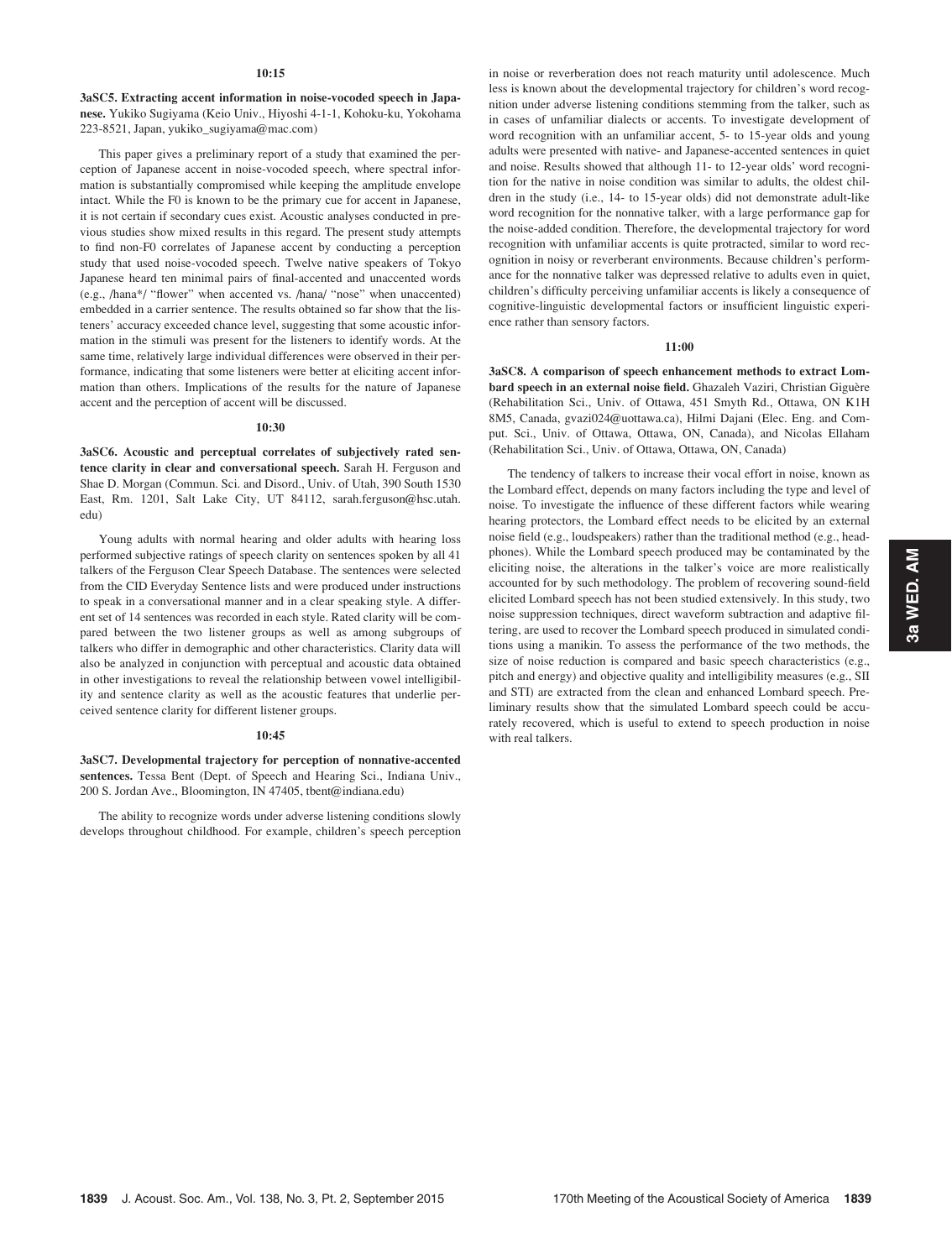#### $10:15$

3aSC5. Extracting accent information in noise-vocoded speech in Japanese. Yukiko Sugiyama (Keio Univ., Hiyoshi 4-1-1, Kohoku-ku, Yokohama 223-8521, Japan, yukiko\_sugiyama@mac.com)

This paper gives a preliminary report of a study that examined the perception of Japanese accent in noise-vocoded speech, where spectral information is substantially compromised while keeping the amplitude envelope intact. While the F0 is known to be the primary cue for accent in Japanese, it is not certain if secondary cues exist. Acoustic analyses conducted in previous studies show mixed results in this regard. The present study attempts to find non-F0 correlates of Japanese accent by conducting a perception study that used noise-vocoded speech. Twelve native speakers of Tokyo Japanese heard ten minimal pairs of final-accented and unaccented words (e.g., /hana\*/ "flower" when accented vs. /hana/ "nose" when unaccented) embedded in a carrier sentence. The results obtained so far show that the listeners' accuracy exceeded chance level, suggesting that some acoustic information in the stimuli was present for the listeners to identify words. At the same time, relatively large individual differences were observed in their performance, indicating that some listeners were better at eliciting accent information than others. Implications of the results for the nature of Japanese accent and the perception of accent will be discussed.

### 10:30

3aSC6. Acoustic and perceptual correlates of subjectively rated sentence clarity in clear and conversational speech. Sarah H. Ferguson and Shae D. Morgan (Commun. Sci. and Disord., Univ. of Utah, 390 South 1530 East, Rm. 1201, Salt Lake City, UT 84112, sarah.ferguson@hsc.utah. edu)

Young adults with normal hearing and older adults with hearing loss performed subjective ratings of speech clarity on sentences spoken by all 41 talkers of the Ferguson Clear Speech Database. The sentences were selected from the CID Everyday Sentence lists and were produced under instructions to speak in a conversational manner and in a clear speaking style. A different set of 14 sentences was recorded in each style. Rated clarity will be compared between the two listener groups as well as among subgroups of talkers who differ in demographic and other characteristics. Clarity data will also be analyzed in conjunction with perceptual and acoustic data obtained in other investigations to reveal the relationship between vowel intelligibility and sentence clarity as well as the acoustic features that underlie perceived sentence clarity for different listener groups.

# 10:45

3aSC7. Developmental trajectory for perception of nonnative-accented sentences. Tessa Bent (Dept. of Speech and Hearing Sci., Indiana Univ., 200 S. Jordan Ave., Bloomington, IN 47405, tbent@indiana.edu)

The ability to recognize words under adverse listening conditions slowly develops throughout childhood. For example, children's speech perception in noise or reverberation does not reach maturity until adolescence. Much less is known about the developmental trajectory for children's word recognition under adverse listening conditions stemming from the talker, such as in cases of unfamiliar dialects or accents. To investigate development of word recognition with an unfamiliar accent, 5- to 15-year olds and young adults were presented with native- and Japanese-accented sentences in quiet and noise. Results showed that although 11- to 12-year olds' word recognition for the native in noise condition was similar to adults, the oldest children in the study (i.e., 14- to 15-year olds) did not demonstrate adult-like word recognition for the nonnative talker, with a large performance gap for the noise-added condition. Therefore, the developmental trajectory for word recognition with unfamiliar accents is quite protracted, similar to word recognition in noisy or reverberant environments. Because children's performance for the nonnative talker was depressed relative to adults even in quiet, children's difficulty perceiving unfamiliar accents is likely a consequence of cognitive-linguistic developmental factors or insufficient linguistic experience rather than sensory factors.

#### 11:00

3aSC8. A comparison of speech enhancement methods to extract Lombard speech in an external noise field. Ghazaleh Vaziri, Christian Giguère (Rehabilitation Sci., Univ. of Ottawa, 451 Smyth Rd., Ottawa, ON K1H 8M5, Canada, gvazi024@uottawa.ca), Hilmi Dajani (Elec. Eng. and Comput. Sci., Univ. of Ottawa, Ottawa, ON, Canada), and Nicolas Ellaham (Rehabilitation Sci., Univ. of Ottawa, Ottawa, ON, Canada)

The tendency of talkers to increase their vocal effort in noise, known as the Lombard effect, depends on many factors including the type and level of noise. To investigate the influence of these different factors while wearing hearing protectors, the Lombard effect needs to be elicited by an external noise field (e.g., loudspeakers) rather than the traditional method (e.g., headphones). While the Lombard speech produced may be contaminated by the eliciting noise, the alterations in the talker's voice are more realistically accounted for by such methodology. The problem of recovering sound-field elicited Lombard speech has not been studied extensively. In this study, two noise suppression techniques, direct waveform subtraction and adaptive filtering, are used to recover the Lombard speech produced in simulated conditions using a manikin. To assess the performance of the two methods, the size of noise reduction is compared and basic speech characteristics (e.g., pitch and energy) and objective quality and intelligibility measures (e.g., SII and STI) are extracted from the clean and enhanced Lombard speech. Preliminary results show that the simulated Lombard speech could be accurately recovered, which is useful to extend to speech production in noise with real talkers.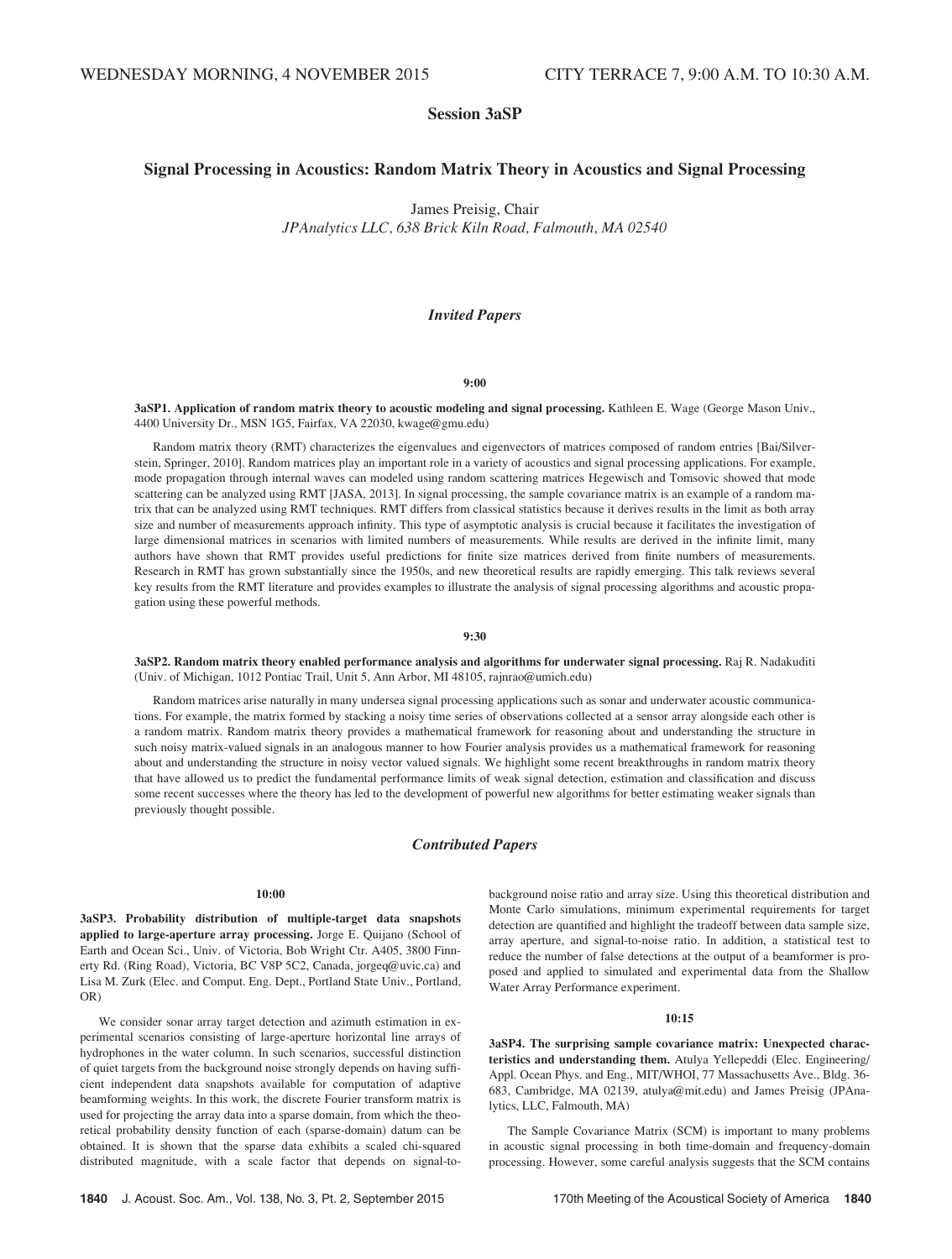# Session 3aSP

# Signal Processing in Acoustics: Random Matrix Theory in Acoustics and Signal Processing

James Preisig, Chair JPAnalytics LLC, 638 Brick Kiln Road, Falmouth, MA 02540

# Invited Papers

### 9:00

3aSP1. Application of random matrix theory to acoustic modeling and signal processing. Kathleen E. Wage (George Mason Univ., 4400 University Dr., MSN 1G5, Fairfax, VA 22030, kwage@gmu.edu)

Random matrix theory (RMT) characterizes the eigenvalues and eigenvectors of matrices composed of random entries [Bai/Silverstein, Springer, 2010]. Random matrices play an important role in a variety of acoustics and signal processing applications. For example, mode propagation through internal waves can modeled using random scattering matrices Hegewisch and Tomsovic showed that mode scattering can be analyzed using RMT [JASA, 2013]. In signal processing, the sample covariance matrix is an example of a random matrix that can be analyzed using RMT techniques. RMT differs from classical statistics because it derives results in the limit as both array size and number of measurements approach infinity. This type of asymptotic analysis is crucial because it facilitates the investigation of large dimensional matrices in scenarios with limited numbers of measurements. While results are derived in the infinite limit, many authors have shown that RMT provides useful predictions for finite size matrices derived from finite numbers of measurements. Research in RMT has grown substantially since the 1950s, and new theoretical results are rapidly emerging. This talk reviews several key results from the RMT literature and provides examples to illustrate the analysis of signal processing algorithms and acoustic propagation using these powerful methods.

#### 9:30

3aSP2. Random matrix theory enabled performance analysis and algorithms for underwater signal processing. Raj R. Nadakuditi (Univ. of Michigan, 1012 Pontiac Trail, Unit 5, Ann Arbor, MI 48105, rajnrao@umich.edu)

Random matrices arise naturally in many undersea signal processing applications such as sonar and underwater acoustic communications. For example, the matrix formed by stacking a noisy time series of observations collected at a sensor array alongside each other is a random matrix. Random matrix theory provides a mathematical framework for reasoning about and understanding the structure in such noisy matrix-valued signals in an analogous manner to how Fourier analysis provides us a mathematical framework for reasoning about and understanding the structure in noisy vector valued signals. We highlight some recent breakthroughs in random matrix theory that have allowed us to predict the fundamental performance limits of weak signal detection, estimation and classification and discuss some recent successes where the theory has led to the development of powerful new algorithms for better estimating weaker signals than previously thought possible.

# Contributed Papers

### 10:00

3aSP3. Probability distribution of multiple-target data snapshots applied to large-aperture array processing. Jorge E. Quijano (School of Earth and Ocean Sci., Univ. of Victoria, Bob Wright Ctr. A405, 3800 Finnerty Rd. (Ring Road), Victoria, BC V8P 5C2, Canada, jorgeq@uvic.ca) and Lisa M. Zurk (Elec. and Comput. Eng. Dept., Portland State Univ., Portland, OR)

We consider sonar array target detection and azimuth estimation in experimental scenarios consisting of large-aperture horizontal line arrays of hydrophones in the water column. In such scenarios, successful distinction of quiet targets from the background noise strongly depends on having sufficient independent data snapshots available for computation of adaptive beamforming weights. In this work, the discrete Fourier transform matrix is used for projecting the array data into a sparse domain, from which the theoretical probability density function of each (sparse-domain) datum can be obtained. It is shown that the sparse data exhibits a scaled chi-squared distributed magnitude, with a scale factor that depends on signal-tobackground noise ratio and array size. Using this theoretical distribution and Monte Carlo simulations, minimum experimental requirements for target detection are quantified and highlight the tradeoff between data sample size, array aperture, and signal-to-noise ratio. In addition, a statistical test to reduce the number of false detections at the output of a beamformer is proposed and applied to simulated and experimental data from the Shallow Water Array Performance experiment.

### 10:15

3aSP4. The surprising sample covariance matrix: Unexpected characteristics and understanding them. Atulya Yellepeddi (Elec. Engineering/ Appl. Ocean Phys. and Eng., MIT/WHOI, 77 Massachusetts Ave., Bldg. 36- 683, Cambridge, MA 02139, atulya@mit.edu) and James Preisig (JPAnalytics, LLC, Falmouth, MA)

The Sample Covariance Matrix (SCM) is important to many problems in acoustic signal processing in both time-domain and frequency-domain processing. However, some careful analysis suggests that the SCM contains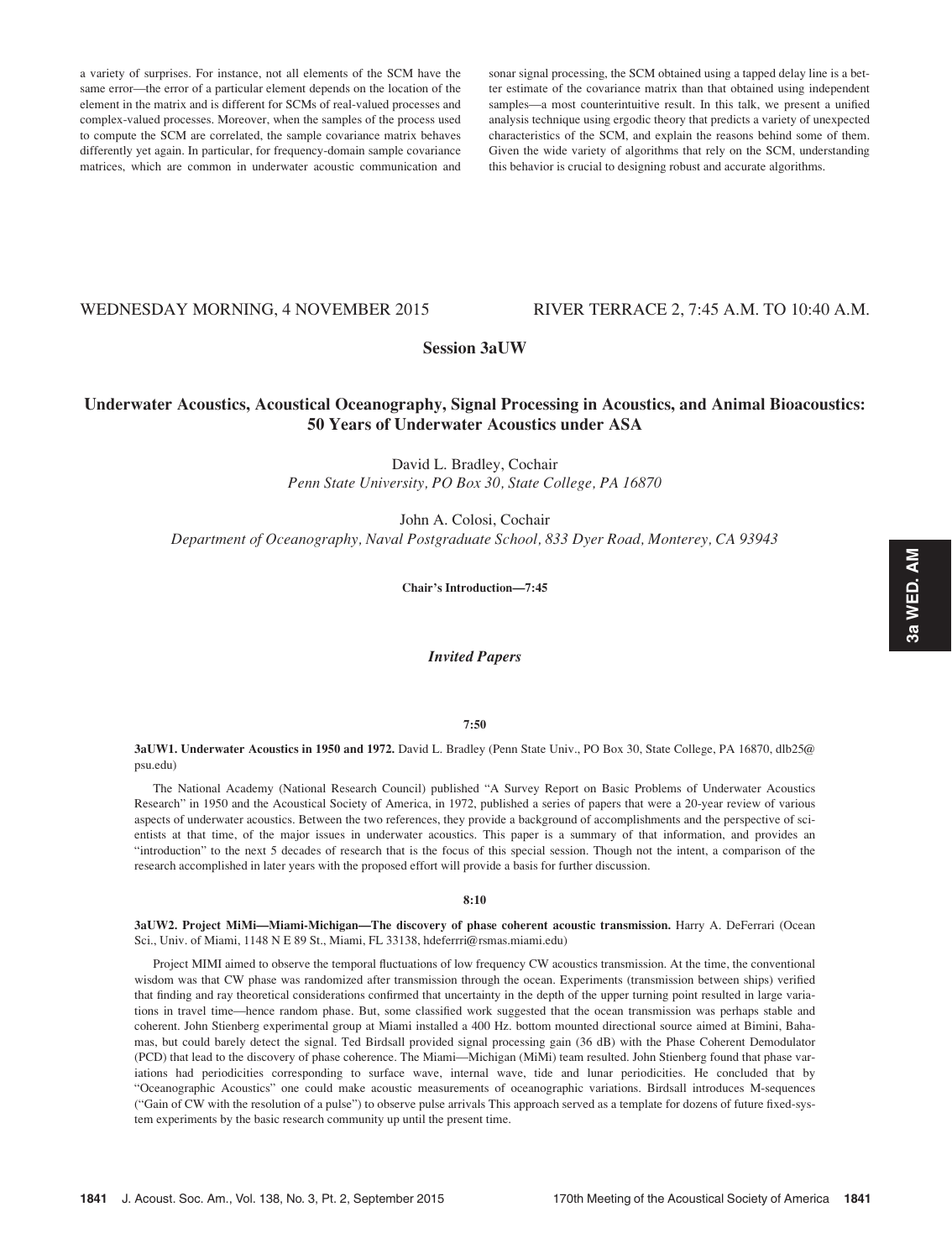a variety of surprises. For instance, not all elements of the SCM have the same error—the error of a particular element depends on the location of the element in the matrix and is different for SCMs of real-valued processes and complex-valued processes. Moreover, when the samples of the process used to compute the SCM are correlated, the sample covariance matrix behaves differently yet again. In particular, for frequency-domain sample covariance matrices, which are common in underwater acoustic communication and

sonar signal processing, the SCM obtained using a tapped delay line is a better estimate of the covariance matrix than that obtained using independent samples—a most counterintuitive result. In this talk, we present a unified analysis technique using ergodic theory that predicts a variety of unexpected characteristics of the SCM, and explain the reasons behind some of them. Given the wide variety of algorithms that rely on the SCM, understanding this behavior is crucial to designing robust and accurate algorithms.

# WEDNESDAY MORNING, 4 NOVEMBER 2015 RIVER TERRACE 2, 7:45 A.M. TO 10:40 A.M.

# Session 3aUW

# Underwater Acoustics, Acoustical Oceanography, Signal Processing in Acoustics, and Animal Bioacoustics: 50 Years of Underwater Acoustics under ASA

David L. Bradley, Cochair Penn State University, PO Box 30, State College, PA 16870

John A. Colosi, Cochair Department of Oceanography, Naval Postgraduate School, 833 Dyer Road, Monterey, CA 93943

Chair's Introduction—7:45

Invited Papers

# 7:50

3aUW1. Underwater Acoustics in 1950 and 1972. David L. Bradley (Penn State Univ., PO Box 30, State College, PA 16870, dlb25@ psu.edu)

The National Academy (National Research Council) published "A Survey Report on Basic Problems of Underwater Acoustics Research" in 1950 and the Acoustical Society of America, in 1972, published a series of papers that were a 20-year review of various aspects of underwater acoustics. Between the two references, they provide a background of accomplishments and the perspective of scientists at that time, of the major issues in underwater acoustics. This paper is a summary of that information, and provides an "introduction" to the next 5 decades of research that is the focus of this special session. Though not the intent, a comparison of the research accomplished in later years with the proposed effort will provide a basis for further discussion.

### 8:10

3aUW2. Project MiMi—Miami-Michigan—The discovery of phase coherent acoustic transmission. Harry A. DeFerrari (Ocean Sci., Univ. of Miami, 1148 N E 89 St., Miami, FL 33138, hdeferrri@rsmas.miami.edu)

Project MIMI aimed to observe the temporal fluctuations of low frequency CW acoustics transmission. At the time, the conventional wisdom was that CW phase was randomized after transmission through the ocean. Experiments (transmission between ships) verified that finding and ray theoretical considerations confirmed that uncertainty in the depth of the upper turning point resulted in large variations in travel time—hence random phase. But, some classified work suggested that the ocean transmission was perhaps stable and coherent. John Stienberg experimental group at Miami installed a 400 Hz. bottom mounted directional source aimed at Bimini, Bahamas, but could barely detect the signal. Ted Birdsall provided signal processing gain (36 dB) with the Phase Coherent Demodulator (PCD) that lead to the discovery of phase coherence. The Miami—Michigan (MiMi) team resulted. John Stienberg found that phase variations had periodicities corresponding to surface wave, internal wave, tide and lunar periodicities. He concluded that by "Oceanographic Acoustics" one could make acoustic measurements of oceanographic variations. Birdsall introduces M-sequences ("Gain of CW with the resolution of a pulse") to observe pulse arrivals This approach served as a template for dozens of future fixed-system experiments by the basic research community up until the present time.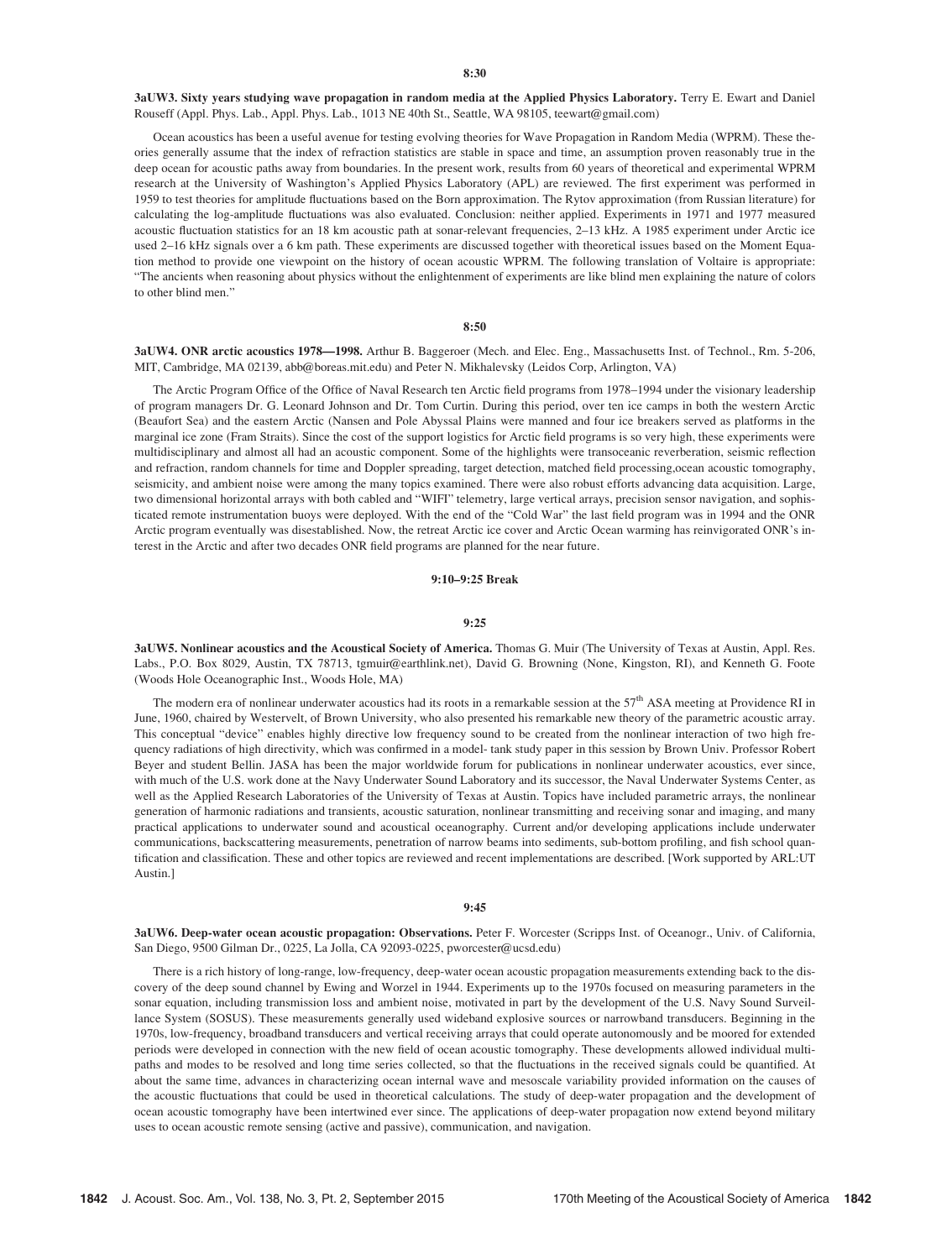3aUW3. Sixty years studying wave propagation in random media at the Applied Physics Laboratory. Terry E. Ewart and Daniel Rouseff (Appl. Phys. Lab., Appl. Phys. Lab., 1013 NE 40th St., Seattle, WA 98105, teewart@gmail.com)

Ocean acoustics has been a useful avenue for testing evolving theories for Wave Propagation in Random Media (WPRM). These theories generally assume that the index of refraction statistics are stable in space and time, an assumption proven reasonably true in the deep ocean for acoustic paths away from boundaries. In the present work, results from 60 years of theoretical and experimental WPRM research at the University of Washington's Applied Physics Laboratory (APL) are reviewed. The first experiment was performed in 1959 to test theories for amplitude fluctuations based on the Born approximation. The Rytov approximation (from Russian literature) for calculating the log-amplitude fluctuations was also evaluated. Conclusion: neither applied. Experiments in 1971 and 1977 measured acoustic fluctuation statistics for an 18 km acoustic path at sonar-relevant frequencies, 2–13 kHz. A 1985 experiment under Arctic ice used 2–16 kHz signals over a 6 km path. These experiments are discussed together with theoretical issues based on the Moment Equation method to provide one viewpoint on the history of ocean acoustic WPRM. The following translation of Voltaire is appropriate: "The ancients when reasoning about physics without the enlightenment of experiments are like blind men explaining the nature of colors to other blind men."

### 8:50

3aUW4. ONR arctic acoustics 1978—1998. Arthur B. Baggeroer (Mech. and Elec. Eng., Massachusetts Inst. of Technol., Rm. 5-206, MIT, Cambridge, MA 02139, abb@boreas.mit.edu) and Peter N. Mikhalevsky (Leidos Corp, Arlington, VA)

The Arctic Program Office of the Office of Naval Research ten Arctic field programs from 1978–1994 under the visionary leadership of program managers Dr. G. Leonard Johnson and Dr. Tom Curtin. During this period, over ten ice camps in both the western Arctic (Beaufort Sea) and the eastern Arctic (Nansen and Pole Abyssal Plains were manned and four ice breakers served as platforms in the marginal ice zone (Fram Straits). Since the cost of the support logistics for Arctic field programs is so very high, these experiments were multidisciplinary and almost all had an acoustic component. Some of the highlights were transoceanic reverberation, seismic reflection and refraction, random channels for time and Doppler spreading, target detection, matched field processing,ocean acoustic tomography, seismicity, and ambient noise were among the many topics examined. There were also robust efforts advancing data acquisition. Large, two dimensional horizontal arrays with both cabled and "WIFI" telemetry, large vertical arrays, precision sensor navigation, and sophisticated remote instrumentation buoys were deployed. With the end of the "Cold War" the last field program was in 1994 and the ONR Arctic program eventually was disestablished. Now, the retreat Arctic ice cover and Arctic Ocean warming has reinvigorated ONR's interest in the Arctic and after two decades ONR field programs are planned for the near future.

### 9:10–9:25 Break

#### 9:25

3aUW5. Nonlinear acoustics and the Acoustical Society of America. Thomas G. Muir (The University of Texas at Austin, Appl. Res. Labs., P.O. Box 8029, Austin, TX 78713, tgmuir@earthlink.net), David G. Browning (None, Kingston, RI), and Kenneth G. Foote (Woods Hole Oceanographic Inst., Woods Hole, MA)

The modern era of nonlinear underwater acoustics had its roots in a remarkable session at the  $57<sup>th</sup>$  ASA meeting at Providence RI in June, 1960, chaired by Westervelt, of Brown University, who also presented his remarkable new theory of the parametric acoustic array. This conceptual "device" enables highly directive low frequency sound to be created from the nonlinear interaction of two high frequency radiations of high directivity, which was confirmed in a model- tank study paper in this session by Brown Univ. Professor Robert Beyer and student Bellin. JASA has been the major worldwide forum for publications in nonlinear underwater acoustics, ever since, with much of the U.S. work done at the Navy Underwater Sound Laboratory and its successor, the Naval Underwater Systems Center, as well as the Applied Research Laboratories of the University of Texas at Austin. Topics have included parametric arrays, the nonlinear generation of harmonic radiations and transients, acoustic saturation, nonlinear transmitting and receiving sonar and imaging, and many practical applications to underwater sound and acoustical oceanography. Current and/or developing applications include underwater communications, backscattering measurements, penetration of narrow beams into sediments, sub-bottom profiling, and fish school quantification and classification. These and other topics are reviewed and recent implementations are described. [Work supported by ARL:UT Austin.]

#### 9:45

3aUW6. Deep-water ocean acoustic propagation: Observations. Peter F. Worcester (Scripps Inst. of Oceanogr., Univ. of California, San Diego, 9500 Gilman Dr., 0225, La Jolla, CA 92093-0225, pworcester@ucsd.edu)

There is a rich history of long-range, low-frequency, deep-water ocean acoustic propagation measurements extending back to the discovery of the deep sound channel by Ewing and Worzel in 1944. Experiments up to the 1970s focused on measuring parameters in the sonar equation, including transmission loss and ambient noise, motivated in part by the development of the U.S. Navy Sound Surveillance System (SOSUS). These measurements generally used wideband explosive sources or narrowband transducers. Beginning in the 1970s, low-frequency, broadband transducers and vertical receiving arrays that could operate autonomously and be moored for extended periods were developed in connection with the new field of ocean acoustic tomography. These developments allowed individual multipaths and modes to be resolved and long time series collected, so that the fluctuations in the received signals could be quantified. At about the same time, advances in characterizing ocean internal wave and mesoscale variability provided information on the causes of the acoustic fluctuations that could be used in theoretical calculations. The study of deep-water propagation and the development of ocean acoustic tomography have been intertwined ever since. The applications of deep-water propagation now extend beyond military uses to ocean acoustic remote sensing (active and passive), communication, and navigation.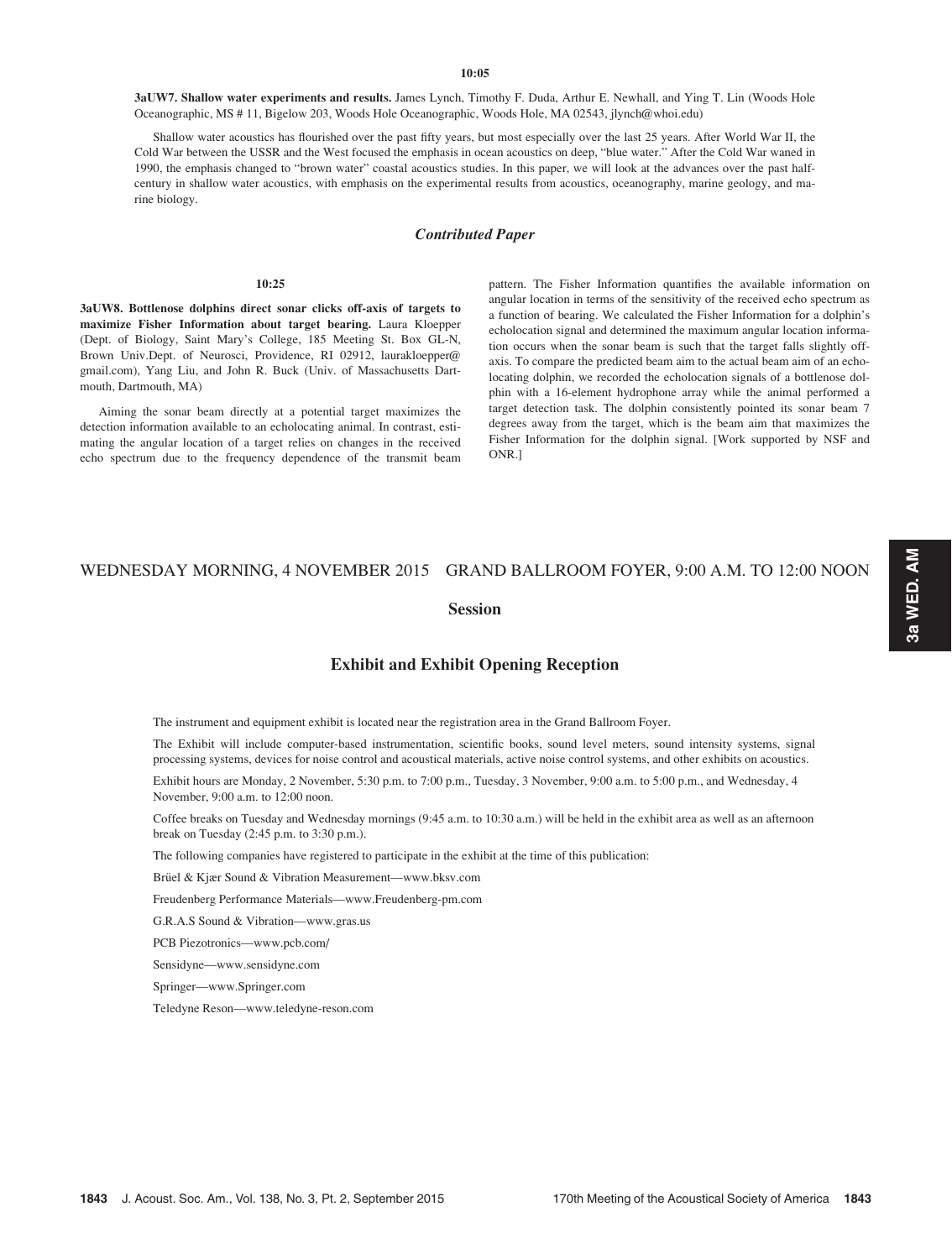3aUW7. Shallow water experiments and results. James Lynch, Timothy F. Duda, Arthur E. Newhall, and Ying T. Lin (Woods Hole Oceanographic, MS # 11, Bigelow 203, Woods Hole Oceanographic, Woods Hole, MA 02543, jlynch@whoi.edu)

Shallow water acoustics has flourished over the past fifty years, but most especially over the last 25 years. After World War II, the Cold War between the USSR and the West focused the emphasis in ocean acoustics on deep, "blue water." After the Cold War waned in 1990, the emphasis changed to "brown water" coastal acoustics studies. In this paper, we will look at the advances over the past halfcentury in shallow water acoustics, with emphasis on the experimental results from acoustics, oceanography, marine geology, and marine biology.

# Contributed Paper

### $10.25$

3aUW8. Bottlenose dolphins direct sonar clicks off-axis of targets to maximize Fisher Information about target bearing. Laura Kloepper (Dept. of Biology, Saint Mary's College, 185 Meeting St. Box GL-N, Brown Univ.Dept. of Neurosci, Providence, RI 02912, laurakloepper@ gmail.com), Yang Liu, and John R. Buck (Univ. of Massachusetts Dartmouth, Dartmouth, MA)

Aiming the sonar beam directly at a potential target maximizes the detection information available to an echolocating animal. In contrast, estimating the angular location of a target relies on changes in the received echo spectrum due to the frequency dependence of the transmit beam pattern. The Fisher Information quantifies the available information on angular location in terms of the sensitivity of the received echo spectrum as a function of bearing. We calculated the Fisher Information for a dolphin's echolocation signal and determined the maximum angular location information occurs when the sonar beam is such that the target falls slightly offaxis. To compare the predicted beam aim to the actual beam aim of an echolocating dolphin, we recorded the echolocation signals of a bottlenose dolphin with a 16-element hydrophone array while the animal performed a target detection task. The dolphin consistently pointed its sonar beam 7 degrees away from the target, which is the beam aim that maximizes the Fisher Information for the dolphin signal. [Work supported by NSF and ONR.]

# WEDNESDAY MORNING, 4 NOVEMBER 2015 GRAND BALLROOM FOYER, 9:00 A.M. TO 12:00 NOON

Session

# Exhibit and Exhibit Opening Reception

The instrument and equipment exhibit is located near the registration area in the Grand Ballroom Foyer.

The Exhibit will include computer-based instrumentation, scientific books, sound level meters, sound intensity systems, signal processing systems, devices for noise control and acoustical materials, active noise control systems, and other exhibits on acoustics.

Exhibit hours are Monday, 2 November, 5:30 p.m. to 7:00 p.m., Tuesday, 3 November, 9:00 a.m. to 5:00 p.m., and Wednesday, 4 November, 9:00 a.m. to 12:00 noon.

Coffee breaks on Tuesday and Wednesday mornings (9:45 a.m. to 10:30 a.m.) will be held in the exhibit area as well as an afternoon break on Tuesday (2:45 p.m. to 3:30 p.m.).

The following companies have registered to participate in the exhibit at the time of this publication:

Brüel & Kjær Sound & Vibration Measurement—www.bksv.com

Freudenberg Performance Materials—www.Freudenberg-pm.com

G.R.A.S Sound & Vibration—www.gras.us

PCB Piezotronics—www.pcb.com/

Sensidyne—www.sensidyne.com

Springer—www.Springer.com

Teledyne Reson—www.teledyne-reson.com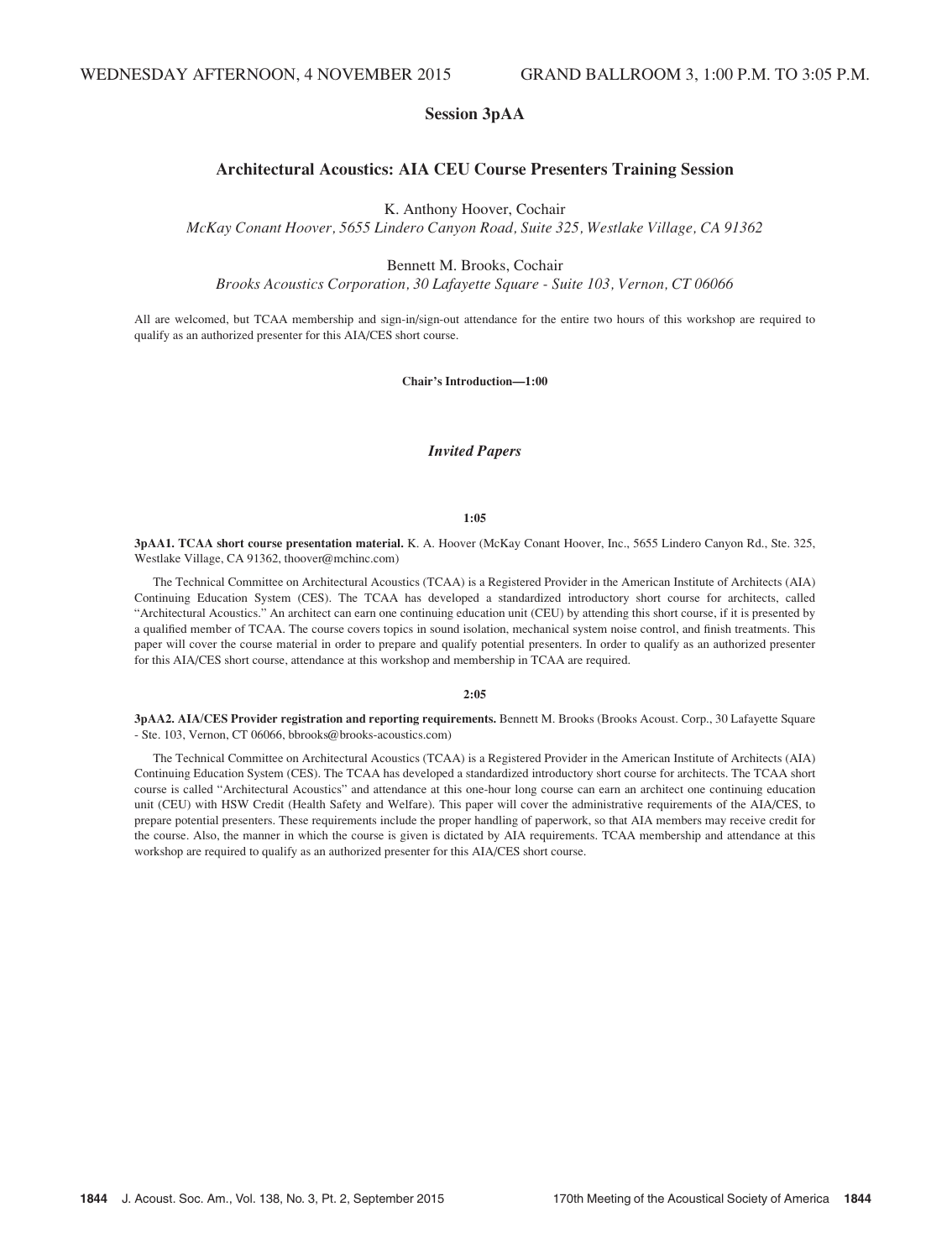# Session 3pAA

# Architectural Acoustics: AIA CEU Course Presenters Training Session

K. Anthony Hoover, Cochair

McKay Conant Hoover, 5655 Lindero Canyon Road, Suite 325, Westlake Village, CA 91362

Bennett M. Brooks, Cochair

Brooks Acoustics Corporation, 30 Lafayette Square - Suite 103, Vernon, CT 06066

All are welcomed, but TCAA membership and sign-in/sign-out attendance for the entire two hours of this workshop are required to qualify as an authorized presenter for this AIA/CES short course.

### Chair's Introduction—1:00

Invited Papers

### 1:05

3pAA1. TCAA short course presentation material. K. A. Hoover (McKay Conant Hoover, Inc., 5655 Lindero Canyon Rd., Ste. 325, Westlake Village, CA 91362, thoover@mchinc.com)

The Technical Committee on Architectural Acoustics (TCAA) is a Registered Provider in the American Institute of Architects (AIA) Continuing Education System (CES). The TCAA has developed a standardized introductory short course for architects, called "Architectural Acoustics." An architect can earn one continuing education unit (CEU) by attending this short course, if it is presented by a qualified member of TCAA. The course covers topics in sound isolation, mechanical system noise control, and finish treatments. This paper will cover the course material in order to prepare and qualify potential presenters. In order to qualify as an authorized presenter for this AIA/CES short course, attendance at this workshop and membership in TCAA are required.

#### 2:05

3pAA2. AIA/CES Provider registration and reporting requirements. Bennett M. Brooks (Brooks Acoust. Corp., 30 Lafayette Square - Ste. 103, Vernon, CT 06066, bbrooks@brooks-acoustics.com)

The Technical Committee on Architectural Acoustics (TCAA) is a Registered Provider in the American Institute of Architects (AIA) Continuing Education System (CES). The TCAA has developed a standardized introductory short course for architects. The TCAA short course is called "Architectural Acoustics" and attendance at this one-hour long course can earn an architect one continuing education unit (CEU) with HSW Credit (Health Safety and Welfare). This paper will cover the administrative requirements of the AIA/CES, to prepare potential presenters. These requirements include the proper handling of paperwork, so that AIA members may receive credit for the course. Also, the manner in which the course is given is dictated by AIA requirements. TCAA membership and attendance at this workshop are required to qualify as an authorized presenter for this AIA/CES short course.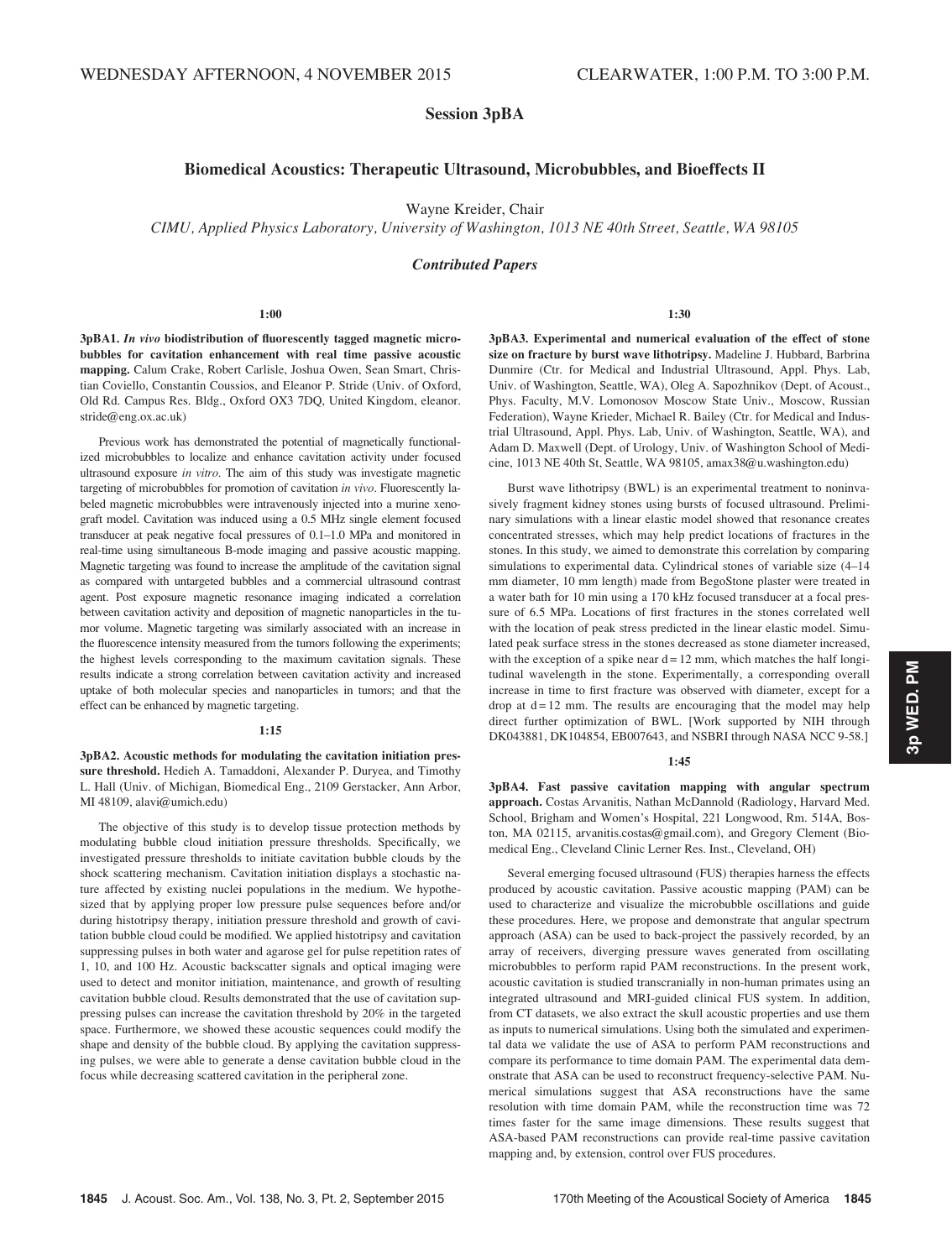# Session 3pBA

# Biomedical Acoustics: Therapeutic Ultrasound, Microbubbles, and Bioeffects II

Wayne Kreider, Chair

CIMU, Applied Physics Laboratory, University of Washington, 1013 NE 40th Street, Seattle, WA 98105

Contributed Papers

### 1:00

3pBA1. In vivo biodistribution of fluorescently tagged magnetic microbubbles for cavitation enhancement with real time passive acoustic mapping. Calum Crake, Robert Carlisle, Joshua Owen, Sean Smart, Christian Coviello, Constantin Coussios, and Eleanor P. Stride (Univ. of Oxford, Old Rd. Campus Res. Bldg., Oxford OX3 7DQ, United Kingdom, eleanor. stride@eng.ox.ac.uk)

Previous work has demonstrated the potential of magnetically functionalized microbubbles to localize and enhance cavitation activity under focused ultrasound exposure in vitro. The aim of this study was investigate magnetic targeting of microbubbles for promotion of cavitation in vivo. Fluorescently labeled magnetic microbubbles were intravenously injected into a murine xenograft model. Cavitation was induced using a 0.5 MHz single element focused transducer at peak negative focal pressures of 0.1–1.0 MPa and monitored in real-time using simultaneous B-mode imaging and passive acoustic mapping. Magnetic targeting was found to increase the amplitude of the cavitation signal as compared with untargeted bubbles and a commercial ultrasound contrast agent. Post exposure magnetic resonance imaging indicated a correlation between cavitation activity and deposition of magnetic nanoparticles in the tumor volume. Magnetic targeting was similarly associated with an increase in the fluorescence intensity measured from the tumors following the experiments; the highest levels corresponding to the maximum cavitation signals. These results indicate a strong correlation between cavitation activity and increased uptake of both molecular species and nanoparticles in tumors; and that the effect can be enhanced by magnetic targeting.

### 1:15

3pBA2. Acoustic methods for modulating the cavitation initiation pressure threshold. Hedieh A. Tamaddoni, Alexander P. Duryea, and Timothy L. Hall (Univ. of Michigan, Biomedical Eng., 2109 Gerstacker, Ann Arbor, MI 48109, alavi@umich.edu)

The objective of this study is to develop tissue protection methods by modulating bubble cloud initiation pressure thresholds. Specifically, we investigated pressure thresholds to initiate cavitation bubble clouds by the shock scattering mechanism. Cavitation initiation displays a stochastic nature affected by existing nuclei populations in the medium. We hypothesized that by applying proper low pressure pulse sequences before and/or during histotripsy therapy, initiation pressure threshold and growth of cavitation bubble cloud could be modified. We applied histotripsy and cavitation suppressing pulses in both water and agarose gel for pulse repetition rates of 1, 10, and 100 Hz. Acoustic backscatter signals and optical imaging were used to detect and monitor initiation, maintenance, and growth of resulting cavitation bubble cloud. Results demonstrated that the use of cavitation suppressing pulses can increase the cavitation threshold by 20% in the targeted space. Furthermore, we showed these acoustic sequences could modify the shape and density of the bubble cloud. By applying the cavitation suppressing pulses, we were able to generate a dense cavitation bubble cloud in the focus while decreasing scattered cavitation in the peripheral zone.

3pBA3. Experimental and numerical evaluation of the effect of stone size on fracture by burst wave lithotripsy. Madeline J. Hubbard, Barbrina Dunmire (Ctr. for Medical and Industrial Ultrasound, Appl. Phys. Lab, Univ. of Washington, Seattle, WA), Oleg A. Sapozhnikov (Dept. of Acoust., Phys. Faculty, M.V. Lomonosov Moscow State Univ., Moscow, Russian Federation), Wayne Krieder, Michael R. Bailey (Ctr. for Medical and Industrial Ultrasound, Appl. Phys. Lab, Univ. of Washington, Seattle, WA), and Adam D. Maxwell (Dept. of Urology, Univ. of Washington School of Medicine, 1013 NE 40th St, Seattle, WA 98105, amax38@u.washington.edu)

1:30

Burst wave lithotripsy (BWL) is an experimental treatment to noninvasively fragment kidney stones using bursts of focused ultrasound. Preliminary simulations with a linear elastic model showed that resonance creates concentrated stresses, which may help predict locations of fractures in the stones. In this study, we aimed to demonstrate this correlation by comparing simulations to experimental data. Cylindrical stones of variable size (4–14 mm diameter, 10 mm length) made from BegoStone plaster were treated in a water bath for 10 min using a 170 kHz focused transducer at a focal pressure of 6.5 MPa. Locations of first fractures in the stones correlated well with the location of peak stress predicted in the linear elastic model. Simulated peak surface stress in the stones decreased as stone diameter increased, with the exception of a spike near  $d = 12$  mm, which matches the half longitudinal wavelength in the stone. Experimentally, a corresponding overall increase in time to first fracture was observed with diameter, except for a drop at  $d = 12$  mm. The results are encouraging that the model may help direct further optimization of BWL. [Work supported by NIH through DK043881, DK104854, EB007643, and NSBRI through NASA NCC 9-58.]

### 1:45

3pBA4. Fast passive cavitation mapping with angular spectrum approach. Costas Arvanitis, Nathan McDannold (Radiology, Harvard Med. School, Brigham and Women's Hospital, 221 Longwood, Rm. 514A, Boston, MA 02115, arvanitis.costas@gmail.com), and Gregory Clement (Biomedical Eng., Cleveland Clinic Lerner Res. Inst., Cleveland, OH)

Several emerging focused ultrasound (FUS) therapies harness the effects produced by acoustic cavitation. Passive acoustic mapping (PAM) can be used to characterize and visualize the microbubble oscillations and guide these procedures. Here, we propose and demonstrate that angular spectrum approach (ASA) can be used to back-project the passively recorded, by an array of receivers, diverging pressure waves generated from oscillating microbubbles to perform rapid PAM reconstructions. In the present work, acoustic cavitation is studied transcranially in non-human primates using an integrated ultrasound and MRI-guided clinical FUS system. In addition, from CT datasets, we also extract the skull acoustic properties and use them as inputs to numerical simulations. Using both the simulated and experimental data we validate the use of ASA to perform PAM reconstructions and compare its performance to time domain PAM. The experimental data demonstrate that ASA can be used to reconstruct frequency-selective PAM. Numerical simulations suggest that ASA reconstructions have the same resolution with time domain PAM, while the reconstruction time was 72 times faster for the same image dimensions. These results suggest that ASA-based PAM reconstructions can provide real-time passive cavitation mapping and, by extension, control over FUS procedures.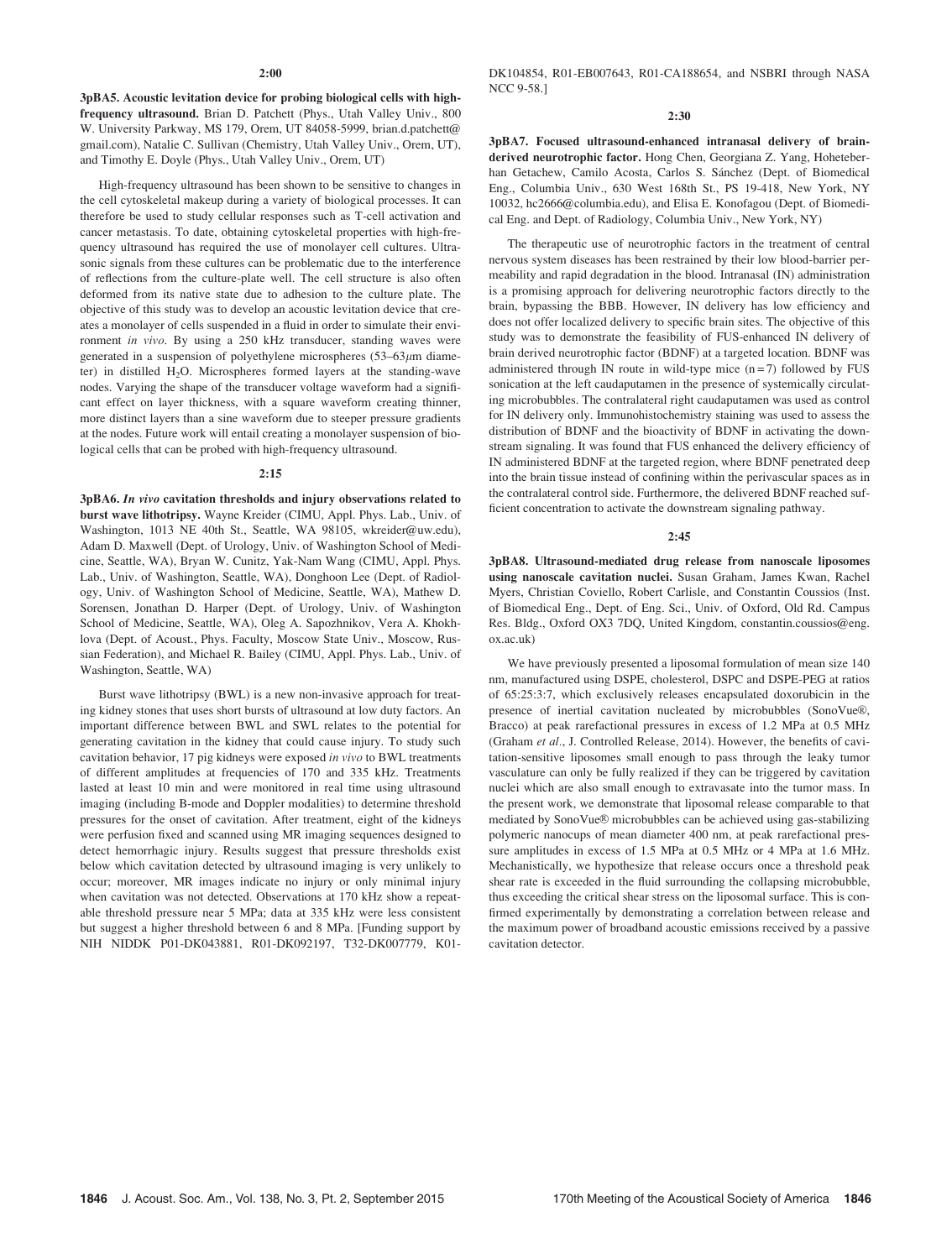#### 2:00

3pBA5. Acoustic levitation device for probing biological cells with highfrequency ultrasound. Brian D. Patchett (Phys., Utah Valley Univ., 800 W. University Parkway, MS 179, Orem, UT 84058-5999, brian.d.patchett@ gmail.com), Natalie C. Sullivan (Chemistry, Utah Valley Univ., Orem, UT), and Timothy E. Doyle (Phys., Utah Valley Univ., Orem, UT)

High-frequency ultrasound has been shown to be sensitive to changes in the cell cytoskeletal makeup during a variety of biological processes. It can therefore be used to study cellular responses such as T-cell activation and cancer metastasis. To date, obtaining cytoskeletal properties with high-frequency ultrasound has required the use of monolayer cell cultures. Ultrasonic signals from these cultures can be problematic due to the interference of reflections from the culture-plate well. The cell structure is also often deformed from its native state due to adhesion to the culture plate. The objective of this study was to develop an acoustic levitation device that creates a monolayer of cells suspended in a fluid in order to simulate their environment in vivo. By using a 250 kHz transducer, standing waves were generated in a suspension of polyethylene microspheres  $(53-63\mu m)$  diameter) in distilled  $H_2O$ . Microspheres formed layers at the standing-wave nodes. Varying the shape of the transducer voltage waveform had a significant effect on layer thickness, with a square waveform creating thinner, more distinct layers than a sine waveform due to steeper pressure gradients at the nodes. Future work will entail creating a monolayer suspension of biological cells that can be probed with high-frequency ultrasound.

### 2:15

3pBA6. In vivo cavitation thresholds and injury observations related to burst wave lithotripsy. Wayne Kreider (CIMU, Appl. Phys. Lab., Univ. of Washington, 1013 NE 40th St., Seattle, WA 98105, wkreider@uw.edu), Adam D. Maxwell (Dept. of Urology, Univ. of Washington School of Medicine, Seattle, WA), Bryan W. Cunitz, Yak-Nam Wang (CIMU, Appl. Phys. Lab., Univ. of Washington, Seattle, WA), Donghoon Lee (Dept. of Radiology, Univ. of Washington School of Medicine, Seattle, WA), Mathew D. Sorensen, Jonathan D. Harper (Dept. of Urology, Univ. of Washington School of Medicine, Seattle, WA), Oleg A. Sapozhnikov, Vera A. Khokhlova (Dept. of Acoust., Phys. Faculty, Moscow State Univ., Moscow, Russian Federation), and Michael R. Bailey (CIMU, Appl. Phys. Lab., Univ. of Washington, Seattle, WA)

Burst wave lithotripsy (BWL) is a new non-invasive approach for treating kidney stones that uses short bursts of ultrasound at low duty factors. An important difference between BWL and SWL relates to the potential for generating cavitation in the kidney that could cause injury. To study such cavitation behavior, 17 pig kidneys were exposed in vivo to BWL treatments of different amplitudes at frequencies of 170 and 335 kHz. Treatments lasted at least 10 min and were monitored in real time using ultrasound imaging (including B-mode and Doppler modalities) to determine threshold pressures for the onset of cavitation. After treatment, eight of the kidneys were perfusion fixed and scanned using MR imaging sequences designed to detect hemorrhagic injury. Results suggest that pressure thresholds exist below which cavitation detected by ultrasound imaging is very unlikely to occur; moreover, MR images indicate no injury or only minimal injury when cavitation was not detected. Observations at 170 kHz show a repeatable threshold pressure near 5 MPa; data at 335 kHz were less consistent but suggest a higher threshold between 6 and 8 MPa. [Funding support by NIH NIDDK P01-DK043881, R01-DK092197, T32-DK007779, K01DK104854, R01-EB007643, R01-CA188654, and NSBRI through NASA NCC 9-58.]

#### 2:30

3pBA7. Focused ultrasound-enhanced intranasal delivery of brainderived neurotrophic factor. Hong Chen, Georgiana Z. Yang, Hoheteberhan Getachew, Camilo Acosta, Carlos S. Sánchez (Dept. of Biomedical Eng., Columbia Univ., 630 West 168th St., PS 19-418, New York, NY 10032, hc2666@columbia.edu), and Elisa E. Konofagou (Dept. of Biomedical Eng. and Dept. of Radiology, Columbia Univ., New York, NY)

The therapeutic use of neurotrophic factors in the treatment of central nervous system diseases has been restrained by their low blood-barrier permeability and rapid degradation in the blood. Intranasal (IN) administration is a promising approach for delivering neurotrophic factors directly to the brain, bypassing the BBB. However, IN delivery has low efficiency and does not offer localized delivery to specific brain sites. The objective of this study was to demonstrate the feasibility of FUS-enhanced IN delivery of brain derived neurotrophic factor (BDNF) at a targeted location. BDNF was administered through IN route in wild-type mice  $(n=7)$  followed by FUS sonication at the left caudaputamen in the presence of systemically circulating microbubbles. The contralateral right caudaputamen was used as control for IN delivery only. Immunohistochemistry staining was used to assess the distribution of BDNF and the bioactivity of BDNF in activating the downstream signaling. It was found that FUS enhanced the delivery efficiency of IN administered BDNF at the targeted region, where BDNF penetrated deep into the brain tissue instead of confining within the perivascular spaces as in the contralateral control side. Furthermore, the delivered BDNF reached sufficient concentration to activate the downstream signaling pathway.

#### 2:45

3pBA8. Ultrasound-mediated drug release from nanoscale liposomes using nanoscale cavitation nuclei. Susan Graham, James Kwan, Rachel Myers, Christian Coviello, Robert Carlisle, and Constantin Coussios (Inst. of Biomedical Eng., Dept. of Eng. Sci., Univ. of Oxford, Old Rd. Campus Res. Bldg., Oxford OX3 7DQ, United Kingdom, constantin.coussios@eng. ox.ac.uk)

We have previously presented a liposomal formulation of mean size 140 nm, manufactured using DSPE, cholesterol, DSPC and DSPE-PEG at ratios of 65:25:3:7, which exclusively releases encapsulated doxorubicin in the presence of inertial cavitation nucleated by microbubbles (SonoVue®, Bracco) at peak rarefactional pressures in excess of 1.2 MPa at 0.5 MHz (Graham et al., J. Controlled Release, 2014). However, the benefits of cavitation-sensitive liposomes small enough to pass through the leaky tumor vasculature can only be fully realized if they can be triggered by cavitation nuclei which are also small enough to extravasate into the tumor mass. In the present work, we demonstrate that liposomal release comparable to that mediated by SonoVue® microbubbles can be achieved using gas-stabilizing polymeric nanocups of mean diameter 400 nm, at peak rarefactional pressure amplitudes in excess of 1.5 MPa at 0.5 MHz or 4 MPa at 1.6 MHz. Mechanistically, we hypothesize that release occurs once a threshold peak shear rate is exceeded in the fluid surrounding the collapsing microbubble, thus exceeding the critical shear stress on the liposomal surface. This is confirmed experimentally by demonstrating a correlation between release and the maximum power of broadband acoustic emissions received by a passive cavitation detector.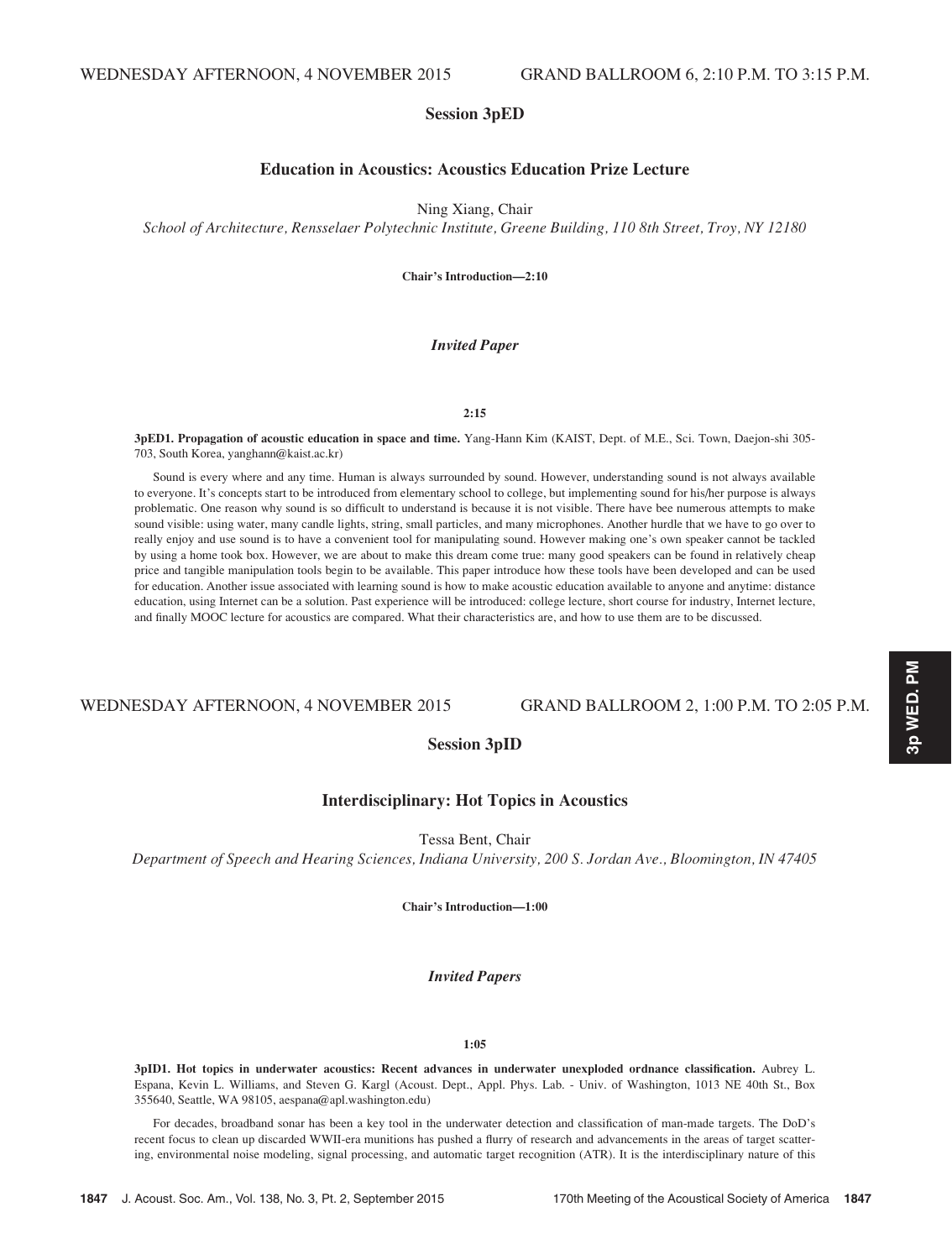# Session 3pED

# Education in Acoustics: Acoustics Education Prize Lecture

Ning Xiang, Chair

School of Architecture, Rensselaer Polytechnic Institute, Greene Building, 110 8th Street, Troy, NY 12180

Chair's Introduction—2:10

# Invited Paper

 $2:15$ 

3pED1. Propagation of acoustic education in space and time. Yang-Hann Kim (KAIST, Dept. of M.E., Sci. Town, Daejon-shi 305- 703, South Korea, yanghann@kaist.ac.kr)

Sound is every where and any time. Human is always surrounded by sound. However, understanding sound is not always available to everyone. It's concepts start to be introduced from elementary school to college, but implementing sound for his/her purpose is always problematic. One reason why sound is so difficult to understand is because it is not visible. There have bee numerous attempts to make sound visible: using water, many candle lights, string, small particles, and many microphones. Another hurdle that we have to go over to really enjoy and use sound is to have a convenient tool for manipulating sound. However making one's own speaker cannot be tackled by using a home took box. However, we are about to make this dream come true: many good speakers can be found in relatively cheap price and tangible manipulation tools begin to be available. This paper introduce how these tools have been developed and can be used for education. Another issue associated with learning sound is how to make acoustic education available to anyone and anytime: distance education, using Internet can be a solution. Past experience will be introduced: college lecture, short course for industry, Internet lecture, and finally MOOC lecture for acoustics are compared. What their characteristics are, and how to use them are to be discussed.

WEDNESDAY AFTERNOON, 4 NOVEMBER 2015 GRAND BALLROOM 2, 1:00 P.M. TO 2:05 P.M.

# Session 3pID

# Interdisciplinary: Hot Topics in Acoustics

Tessa Bent, Chair

Department of Speech and Hearing Sciences, Indiana University, 200 S. Jordan Ave., Bloomington, IN 47405

Chair's Introduction—1:00

### Invited Papers

### 1:05

3pID1. Hot topics in underwater acoustics: Recent advances in underwater unexploded ordnance classification. Aubrey L. Espana, Kevin L. Williams, and Steven G. Kargl (Acoust. Dept., Appl. Phys. Lab. - Univ. of Washington, 1013 NE 40th St., Box 355640, Seattle, WA 98105, aespana@apl.washington.edu)

For decades, broadband sonar has been a key tool in the underwater detection and classification of man-made targets. The DoD's recent focus to clean up discarded WWII-era munitions has pushed a flurry of research and advancements in the areas of target scattering, environmental noise modeling, signal processing, and automatic target recognition (ATR). It is the interdisciplinary nature of this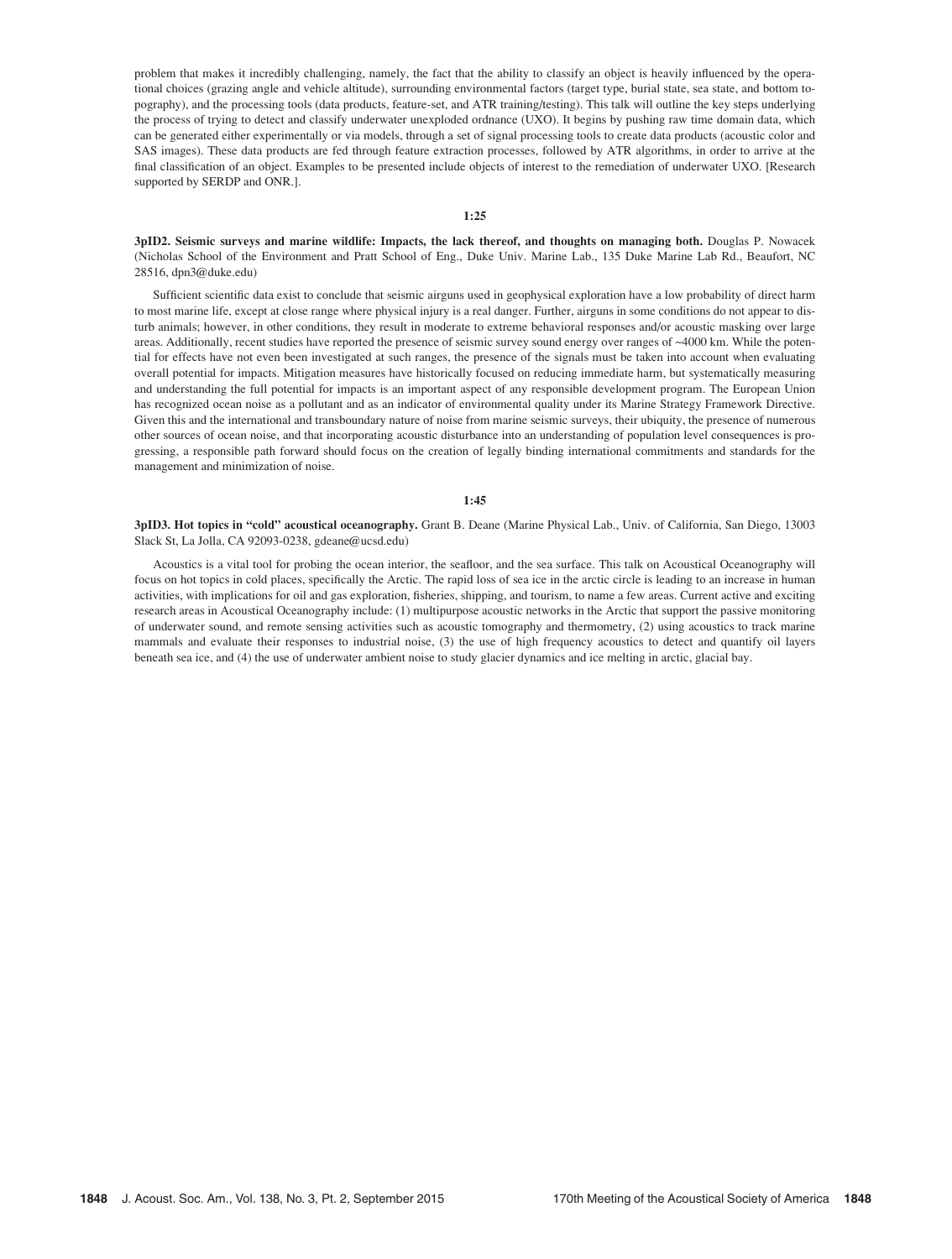problem that makes it incredibly challenging, namely, the fact that the ability to classify an object is heavily influenced by the operational choices (grazing angle and vehicle altitude), surrounding environmental factors (target type, burial state, sea state, and bottom topography), and the processing tools (data products, feature-set, and ATR training/testing). This talk will outline the key steps underlying the process of trying to detect and classify underwater unexploded ordnance (UXO). It begins by pushing raw time domain data, which can be generated either experimentally or via models, through a set of signal processing tools to create data products (acoustic color and SAS images). These data products are fed through feature extraction processes, followed by ATR algorithms, in order to arrive at the final classification of an object. Examples to be presented include objects of interest to the remediation of underwater UXO. [Research supported by SERDP and ONR.].

#### 1:25

3pID2. Seismic surveys and marine wildlife: Impacts, the lack thereof, and thoughts on managing both. Douglas P. Nowacek (Nicholas School of the Environment and Pratt School of Eng., Duke Univ. Marine Lab., 135 Duke Marine Lab Rd., Beaufort, NC 28516, dpn3@duke.edu)

Sufficient scientific data exist to conclude that seismic airguns used in geophysical exploration have a low probability of direct harm to most marine life, except at close range where physical injury is a real danger. Further, airguns in some conditions do not appear to disturb animals; however, in other conditions, they result in moderate to extreme behavioral responses and/or acoustic masking over large areas. Additionally, recent studies have reported the presence of seismic survey sound energy over ranges of ~4000 km. While the potential for effects have not even been investigated at such ranges, the presence of the signals must be taken into account when evaluating overall potential for impacts. Mitigation measures have historically focused on reducing immediate harm, but systematically measuring and understanding the full potential for impacts is an important aspect of any responsible development program. The European Union has recognized ocean noise as a pollutant and as an indicator of environmental quality under its Marine Strategy Framework Directive. Given this and the international and transboundary nature of noise from marine seismic surveys, their ubiquity, the presence of numerous other sources of ocean noise, and that incorporating acoustic disturbance into an understanding of population level consequences is progressing, a responsible path forward should focus on the creation of legally binding international commitments and standards for the management and minimization of noise.

### 1:45

3pID3. Hot topics in "cold" acoustical oceanography. Grant B. Deane (Marine Physical Lab., Univ. of California, San Diego, 13003 Slack St, La Jolla, CA 92093-0238, gdeane@ucsd.edu)

Acoustics is a vital tool for probing the ocean interior, the seafloor, and the sea surface. This talk on Acoustical Oceanography will focus on hot topics in cold places, specifically the Arctic. The rapid loss of sea ice in the arctic circle is leading to an increase in human activities, with implications for oil and gas exploration, fisheries, shipping, and tourism, to name a few areas. Current active and exciting research areas in Acoustical Oceanography include: (1) multipurpose acoustic networks in the Arctic that support the passive monitoring of underwater sound, and remote sensing activities such as acoustic tomography and thermometry, (2) using acoustics to track marine mammals and evaluate their responses to industrial noise, (3) the use of high frequency acoustics to detect and quantify oil layers beneath sea ice, and (4) the use of underwater ambient noise to study glacier dynamics and ice melting in arctic, glacial bay.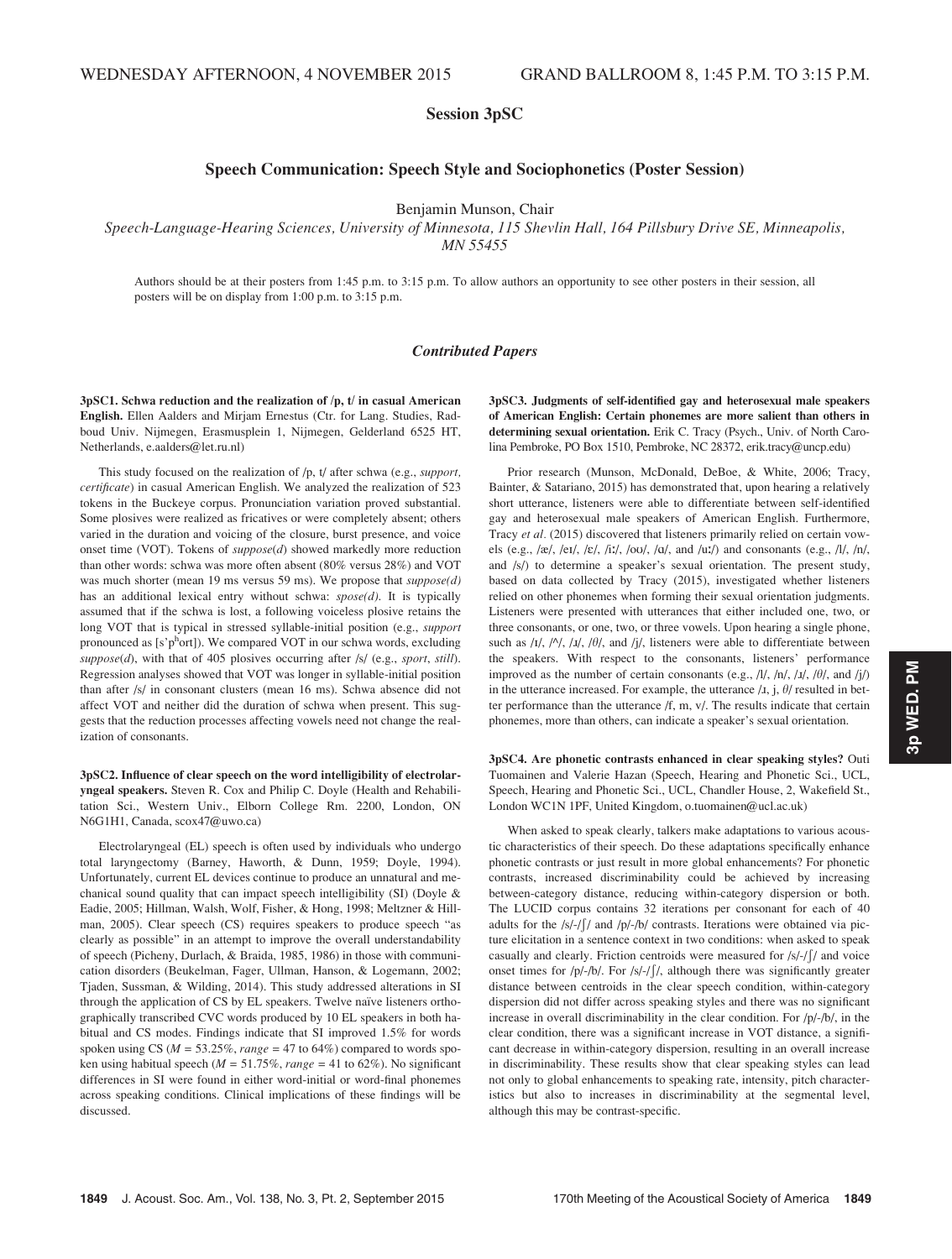# Session 3pSC

# Speech Communication: Speech Style and Sociophonetics (Poster Session)

Benjamin Munson, Chair

Speech-Language-Hearing Sciences, University of Minnesota, 115 Shevlin Hall, 164 Pillsbury Drive SE, Minneapolis, MN 55455

Authors should be at their posters from 1:45 p.m. to 3:15 p.m. To allow authors an opportunity to see other posters in their session, all posters will be on display from 1:00 p.m. to 3:15 p.m.

# Contributed Papers

3pSC1. Schwa reduction and the realization of /p, t/ in casual American English. Ellen Aalders and Mirjam Ernestus (Ctr. for Lang. Studies, Radboud Univ. Nijmegen, Erasmusplein 1, Nijmegen, Gelderland 6525 HT, Netherlands, e.aalders@let.ru.nl)

This study focused on the realization of  $/p$ , t/ after schwa (e.g., *support*, certificate) in casual American English. We analyzed the realization of 523 tokens in the Buckeye corpus. Pronunciation variation proved substantial. Some plosives were realized as fricatives or were completely absent; others varied in the duration and voicing of the closure, burst presence, and voice onset time (VOT). Tokens of  $suppose(d)$  showed markedly more reduction than other words: schwa was more often absent (80% versus 28%) and VOT was much shorter (mean 19 ms versus 59 ms). We propose that  $suppose(d)$ has an additional lexical entry without schwa:  $\textit{spose}(d)$ . It is typically assumed that if the schwa is lost, a following voiceless plosive retains the long VOT that is typical in stressed syllable-initial position (e.g., support pronounced as [s'phort]). We compared VOT in our schwa words, excluding  $suppose(d)$ , with that of 405 plosives occurring after /s/ (e.g., sport, still). Regression analyses showed that VOT was longer in syllable-initial position than after /s/ in consonant clusters (mean 16 ms). Schwa absence did not affect VOT and neither did the duration of schwa when present. This suggests that the reduction processes affecting vowels need not change the realization of consonants.

3pSC2. Influence of clear speech on the word intelligibility of electrolaryngeal speakers. Steven R. Cox and Philip C. Doyle (Health and Rehabilitation Sci., Western Univ., Elborn College Rm. 2200, London, ON N6G1H1, Canada, scox47@uwo.ca)

Electrolaryngeal (EL) speech is often used by individuals who undergo total laryngectomy (Barney, Haworth, & Dunn, 1959; Doyle, 1994). Unfortunately, current EL devices continue to produce an unnatural and mechanical sound quality that can impact speech intelligibility (SI) (Doyle & Eadie, 2005; Hillman, Walsh, Wolf, Fisher, & Hong, 1998; Meltzner & Hillman, 2005). Clear speech (CS) requires speakers to produce speech "as clearly as possible" in an attempt to improve the overall understandability of speech (Picheny, Durlach, & Braida, 1985, 1986) in those with communication disorders (Beukelman, Fager, Ullman, Hanson, & Logemann, 2002; Tjaden, Sussman, & Wilding, 2014). This study addressed alterations in SI through the application of CS by EL speakers. Twelve naïve listeners orthographically transcribed CVC words produced by 10 EL speakers in both habitual and CS modes. Findings indicate that SI improved 1.5% for words spoken using CS ( $M = 53.25\%$ , range = 47 to 64%) compared to words spoken using habitual speech ( $M = 51.75\%$ , range = 41 to 62%). No significant differences in SI were found in either word-initial or word-final phonemes across speaking conditions. Clinical implications of these findings will be discussed.

3pSC3. Judgments of self-identified gay and heterosexual male speakers of American English: Certain phonemes are more salient than others in determining sexual orientation. Erik C. Tracy (Psych., Univ. of North Carolina Pembroke, PO Box 1510, Pembroke, NC 28372, erik.tracy@uncp.edu)

Prior research (Munson, McDonald, DeBoe, & White, 2006; Tracy, Bainter, & Satariano, 2015) has demonstrated that, upon hearing a relatively short utterance, listeners were able to differentiate between self-identified gay and heterosexual male speakers of American English. Furthermore, Tracy et al. (2015) discovered that listeners primarily relied on certain vowels (e.g., /æ/, /eɪ/, /ɛ/, /iː/, /oʊ/, /ɑ/, and /uː/) and consonants (e.g., /l/, /n/, and /s/) to determine a speaker's sexual orientation. The present study, based on data collected by Tracy (2015), investigated whether listeners relied on other phonemes when forming their sexual orientation judgments. Listeners were presented with utterances that either included one, two, or three consonants, or one, two, or three vowels. Upon hearing a single phone, such as  $\frac{1}{\sqrt{2}}$ ,  $\frac{1}{\sqrt{2}}$ ,  $\frac{1}{\sqrt{2}}$ ,  $\frac{1}{\sqrt{2}}$ ,  $\frac{1}{\sqrt{2}}$ , listeners were able to differentiate between the speakers. With respect to the consonants, listeners' performance improved as the number of certain consonants (e.g.,  $\frac{1}{1}$ ,  $\frac{1}{1}$ ,  $\frac{1}{1}$ ,  $\frac{1}{1}$ ,  $\frac{1}{1}$ ,  $\frac{1}{1}$ ) in the utterance increased. For example, the utterance  $\lambda$ , j,  $\theta$  resulted in better performance than the utterance /f, m, v/. The results indicate that certain phonemes, more than others, can indicate a speaker's sexual orientation.

3pSC4. Are phonetic contrasts enhanced in clear speaking styles? Outi Tuomainen and Valerie Hazan (Speech, Hearing and Phonetic Sci., UCL, Speech, Hearing and Phonetic Sci., UCL, Chandler House, 2, Wakefield St., London WC1N 1PF, United Kingdom, o.tuomainen@ucl.ac.uk)

When asked to speak clearly, talkers make adaptations to various acoustic characteristics of their speech. Do these adaptations specifically enhance phonetic contrasts or just result in more global enhancements? For phonetic contrasts, increased discriminability could be achieved by increasing between-category distance, reducing within-category dispersion or both. The LUCID corpus contains 32 iterations per consonant for each of 40 adults for the /s/-/ f/ and /p/-/b/ contrasts. Iterations were obtained via picture elicitation in a sentence context in two conditions: when asked to speak casually and clearly. Friction centroids were measured for  $\frac{s}{-}$  / $\frac{s}{-}$  and voice onset times for  $/p/-/b$ . For  $/s/-/f/$ , although there was significantly greater distance between centroids in the clear speech condition, within-category dispersion did not differ across speaking styles and there was no significant increase in overall discriminability in the clear condition. For /p/-/b/, in the clear condition, there was a significant increase in VOT distance, a significant decrease in within-category dispersion, resulting in an overall increase in discriminability. These results show that clear speaking styles can lead not only to global enhancements to speaking rate, intensity, pitch characteristics but also to increases in discriminability at the segmental level, although this may be contrast-specific.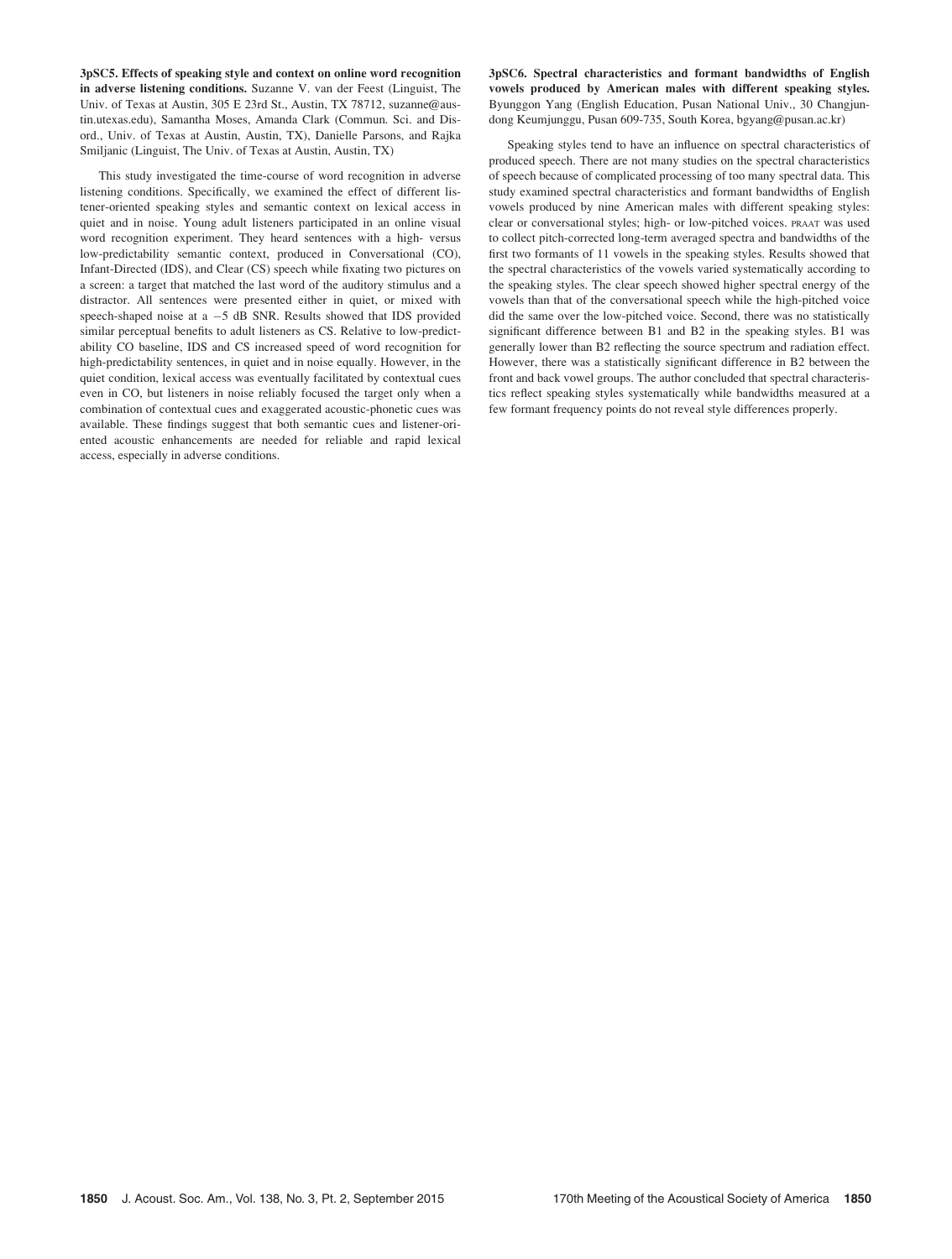3pSC5. Effects of speaking style and context on online word recognition in adverse listening conditions. Suzanne V. van der Feest (Linguist, The Univ. of Texas at Austin, 305 E 23rd St., Austin, TX 78712, suzanne@austin.utexas.edu), Samantha Moses, Amanda Clark (Commun. Sci. and Disord., Univ. of Texas at Austin, Austin, TX), Danielle Parsons, and Rajka Smiljanic (Linguist, The Univ. of Texas at Austin, Austin, TX)

This study investigated the time-course of word recognition in adverse listening conditions. Specifically, we examined the effect of different listener-oriented speaking styles and semantic context on lexical access in quiet and in noise. Young adult listeners participated in an online visual word recognition experiment. They heard sentences with a high- versus low-predictability semantic context, produced in Conversational (CO), Infant-Directed (IDS), and Clear (CS) speech while fixating two pictures on a screen: a target that matched the last word of the auditory stimulus and a distractor. All sentences were presented either in quiet, or mixed with speech-shaped noise at  $a - 5$  dB SNR. Results showed that IDS provided similar perceptual benefits to adult listeners as CS. Relative to low-predictability CO baseline, IDS and CS increased speed of word recognition for high-predictability sentences, in quiet and in noise equally. However, in the quiet condition, lexical access was eventually facilitated by contextual cues even in CO, but listeners in noise reliably focused the target only when a combination of contextual cues and exaggerated acoustic-phonetic cues was available. These findings suggest that both semantic cues and listener-oriented acoustic enhancements are needed for reliable and rapid lexical access, especially in adverse conditions.

3pSC6. Spectral characteristics and formant bandwidths of English vowels produced by American males with different speaking styles. Byunggon Yang (English Education, Pusan National Univ., 30 Changjundong Keumjunggu, Pusan 609-735, South Korea, bgyang@pusan.ac.kr)

Speaking styles tend to have an influence on spectral characteristics of produced speech. There are not many studies on the spectral characteristics of speech because of complicated processing of too many spectral data. This study examined spectral characteristics and formant bandwidths of English vowels produced by nine American males with different speaking styles: clear or conversational styles; high- or low-pitched voices. PRAAT was used to collect pitch-corrected long-term averaged spectra and bandwidths of the first two formants of 11 vowels in the speaking styles. Results showed that the spectral characteristics of the vowels varied systematically according to the speaking styles. The clear speech showed higher spectral energy of the vowels than that of the conversational speech while the high-pitched voice did the same over the low-pitched voice. Second, there was no statistically significant difference between B1 and B2 in the speaking styles. B1 was generally lower than B2 reflecting the source spectrum and radiation effect. However, there was a statistically significant difference in B2 between the front and back vowel groups. The author concluded that spectral characteristics reflect speaking styles systematically while bandwidths measured at a few formant frequency points do not reveal style differences properly.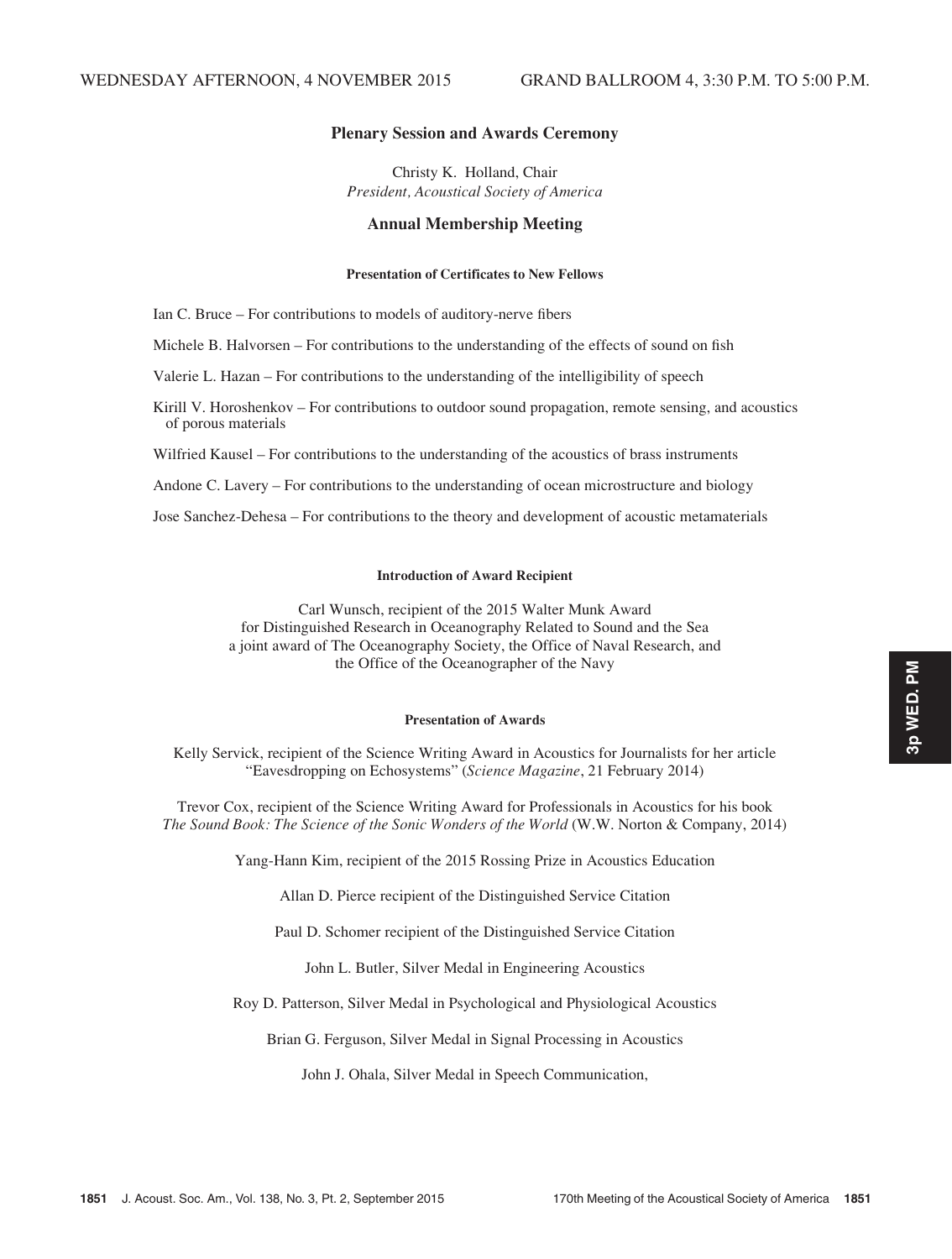# Session Plenary Session and Awards Ceremony

Christy K. Holland, Chair President, Acoustical Society of America

# Annual Membership Meeting

# Presentation of Certificates to New Fellows

Ian C. Bruce – For contributions to models of auditory-nerve fibers

Michele B. Halvorsen – For contributions to the understanding of the effects of sound on fish

Valerie L. Hazan – For contributions to the understanding of the intelligibility of speech

Kirill V. Horoshenkov – For contributions to outdoor sound propagation, remote sensing, and acoustics of porous materials

Wilfried Kausel – For contributions to the understanding of the acoustics of brass instruments

Andone C. Lavery – For contributions to the understanding of ocean microstructure and biology

Jose Sanchez-Dehesa – For contributions to the theory and development of acoustic metamaterials

# Introduction of Award Recipient

Carl Wunsch, recipient of the 2015 Walter Munk Award for Distinguished Research in Oceanography Related to Sound and the Sea a joint award of The Oceanography Society, the Office of Naval Research, and the Office of the Oceanographer of the Navy

# Presentation of Awards

Kelly Servick, recipient of the Science Writing Award in Acoustics for Journalists for her article "Eavesdropping on Echosystems" (Science Magazine, 21 February 2014)

Trevor Cox, recipient of the Science Writing Award for Professionals in Acoustics for his book The Sound Book: The Science of the Sonic Wonders of the World (W.W. Norton & Company, 2014)

Yang-Hann Kim, recipient of the 2015 Rossing Prize in Acoustics Education

Allan D. Pierce recipient of the Distinguished Service Citation

Paul D. Schomer recipient of the Distinguished Service Citation

John L. Butler, Silver Medal in Engineering Acoustics

Roy D. Patterson, Silver Medal in Psychological and Physiological Acoustics

Brian G. Ferguson, Silver Medal in Signal Processing in Acoustics

John J. Ohala, Silver Medal in Speech Communication,